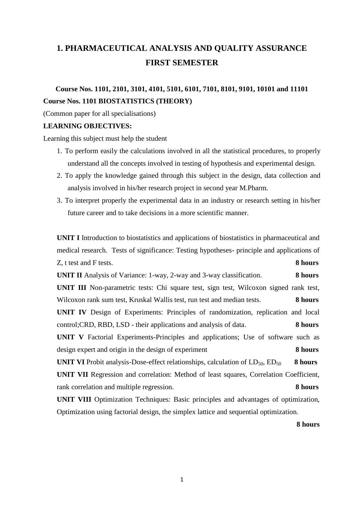# **1. PHARMACEUTICAL ANALYSIS AND QUALITY ASSURANCE FIRST SEMESTER**

# **Course Nos. 1101, 2101, 3101, 4101, 5101, 6101, 7101, 8101, 9101, 10101 and 11101 Course Nos. 1101 BIOSTATISTICS (THEORY)**

(Common paper for all specialisations)

#### **LEARNING OBJECTIVES:**

Learning this subject must help the student

- 1. To perform easily the calculations involved in all the statistical procedures, to properly understand all the concepts involved in testing of hypothesis and experimental design.
- 2. To apply the knowledge gained through this subject in the design, data collection and analysis involved in his/her research project in second year M.Pharm.
- 3. To interpret properly the experimental data in an industry or research setting in his/her future career and to take decisions in a more scientific manner.

**UNIT I** Introduction to biostatistics and applications of biostatistics in pharmaceutical and medical research. Tests of significance: Testing hypotheses- principle and applications of Z, t test and F tests. **8 hours UNIT II** Analysis of Variance: 1-way, 2-way and 3-way classification. **8 hours UNIT III** Non-parametric tests: Chi square test, sign test, Wilcoxon signed rank test, Wilcoxon rank sum test, Kruskal Wallis test, run test and median tests. **8 hours UNIT IV** Design of Experiments: Principles of randomization, replication and local control;CRD, RBD, LSD - their applications and analysis of data. **8 hours UNIT V** Factorial Experiments-Principles and applications; Use of software such as design expert and origin in the design of experiment **8 hours UNIT VI** Probit analysis-Dose-effect relationships, calculation of  $LD_{50}$ ,  $ED_{50}$  **8 hours UNIT VII** Regression and correlation: Method of least squares, Correlation Coefficient, rank correlation and multiple regression. **8 hours**

**UNIT VIII** Optimization Techniques: Basic principles and advantages of optimization, Optimization using factorial design, the simplex lattice and sequential optimization.

**8 hours**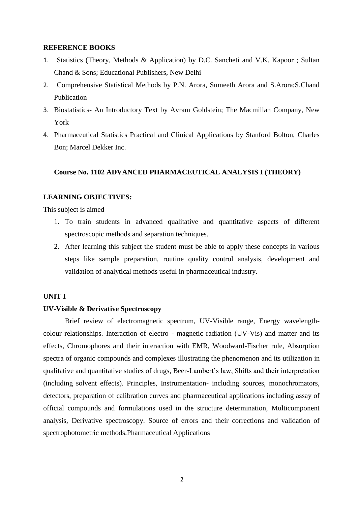#### **REFERENCE BOOKS**

- 1. Statistics (Theory, Methods & Application) by D.C. Sancheti and V.K. Kapoor ; Sultan Chand & Sons; Educational Publishers, New Delhi
- 2. Comprehensive Statistical Methods by P.N. Arora, Sumeeth Arora and S.Arora;S.Chand Publication
- 3. Biostatistics- An Introductory Text by Avram Goldstein; The Macmillan Company, New York
- 4. Pharmaceutical Statistics Practical and Clinical Applications by Stanford Bolton, Charles Bon; Marcel Dekker Inc.

#### **Course No. 1102 ADVANCED PHARMACEUTICAL ANALYSIS I (THEORY)**

#### **LEARNING OBJECTIVES:**

This subject is aimed

- 1. To train students in advanced qualitative and quantitative aspects of different spectroscopic methods and separation techniques.
- 2. After learning this subject the student must be able to apply these concepts in various steps like sample preparation, routine quality control analysis, development and validation of analytical methods useful in pharmaceutical industry.

#### **UNIT I**

#### **UV-Visible & Derivative Spectroscopy**

Brief review of electromagnetic spectrum, UV-Visible range, Energy wavelengthcolour relationships. Interaction of electro - magnetic radiation (UV-Vis) and matter and its effects, Chromophores and their interaction with EMR, Woodward-Fischer rule, Absorption spectra of organic compounds and complexes illustrating the phenomenon and its utilization in qualitative and quantitative studies of drugs, Beer-Lambert's law, Shifts and their interpretation (including solvent effects). Principles, Instrumentation- including sources, monochromators, detectors, preparation of calibration curves and pharmaceutical applications including assay of official compounds and formulations used in the structure determination, Multicomponent analysis, Derivative spectroscopy. Source of errors and their corrections and validation of spectrophotometric methods.Pharmaceutical Applications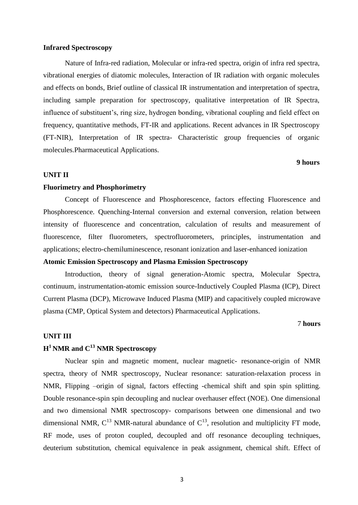#### **Infrared Spectroscopy**

Nature of Infra-red radiation, Molecular or infra-red spectra, origin of infra red spectra, vibrational energies of diatomic molecules, Interaction of IR radiation with organic molecules and effects on bonds, Brief outline of classical IR instrumentation and interpretation of spectra, including sample preparation for spectroscopy, qualitative interpretation of IR Spectra, influence of substituent's, ring size, hydrogen bonding, vibrational coupling and field effect on frequency, quantitative methods, FT-IR and applications. Recent advances in IR Spectroscopy (FT-NIR), Interpretation of IR spectra- Characteristic group frequencies of organic molecules.Pharmaceutical Applications.

#### **9 hours**

#### **UNIT II**

#### **Fluorimetry and Phosphorimetry**

Concept of Fluorescence and Phosphorescence, factors effecting Fluorescence and Phosphorescence. Quenching-Internal conversion and external conversion, relation between intensity of fluorescence and concentration, calculation of results and measurement of fluorescence, filter fluorometers, spectrofluorometers, principles, instrumentation and applications; electro-chemiluminescence, resonant ionization and laser-enhanced ionization

#### **Atomic Emission Spectroscopy and Plasma Emission Spectroscopy**

Introduction, theory of signal generation-Atomic spectra, Molecular Spectra, continuum, instrumentation-atomic emission source-Inductively Coupled Plasma (ICP), Direct Current Plasma (DCP), Microwave Induced Plasma (MIP) and capacitively coupled microwave plasma (CMP, Optical System and detectors) Pharmaceutical Applications.

#### 7 **hours**

#### **UNIT III**

### **H <sup>1</sup>NMR and C <sup>13</sup> NMR Spectroscopy**

Nuclear spin and magnetic moment, nuclear magnetic- resonance-origin of NMR spectra, theory of NMR spectroscopy, Nuclear resonance: saturation-relaxation process in NMR, Flipping –origin of signal, factors effecting -chemical shift and spin spin splitting. Double resonance-spin spin decoupling and nuclear overhauser effect (NOE). One dimensional and two dimensional NMR spectroscopy- comparisons between one dimensional and two dimensional NMR,  $C^{13}$  NMR-natural abundance of  $C^{13}$ , resolution and multiplicity FT mode, RF mode, uses of proton coupled, decoupled and off resonance decoupling techniques, deuterium substitution, chemical equivalence in peak assignment, chemical shift. Effect of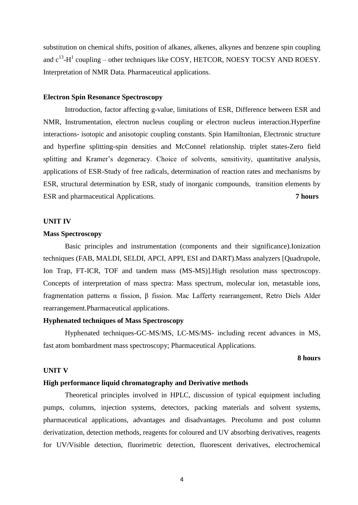substitution on chemical shifts, position of alkanes, alkenes, alkynes and benzene spin coupling and  $c^{13}$ -H<sup>1</sup> coupling – other techniques like COSY, HETCOR, NOESY TOCSY AND ROESY. Interpretation of NMR Data. Pharmaceutical applications.

#### **Electron Spin Resonance Spectroscopy**

Introduction, factor affecting g-value, limitations of ESR, Difference between ESR and NMR, Instrumentation, electron nucleus coupling or electron nucleus interaction.Hyperfine interactions- isotopic and anisotopic coupling constants. Spin Hamiltonian, Electronic structure and hyperfine splitting-spin densities and McConnel relationship. triplet states-Zero field splitting and Kramer's degeneracy. Choice of solvents, sensitivity, quantitative analysis, applications of ESR-Study of free radicals, determination of reaction rates and mechanisms by ESR, structural determination by ESR, study of inorganic compounds, transition elements by ESR and pharmaceutical Applications. **7 hours**

#### **UNIT IV**

#### **Mass Spectroscopy**

Basic principles and instrumentation (components and their significance).Ionization techniques (FAB, MALDI, SELDI, APCI, APPI, ESI and DART).Mass analyzers [Quadrupole, Ion Trap, FT-ICR, TOF and tandem mass (MS-MS)].High resolution mass spectroscopy. Concepts of interpretation of mass spectra: Mass spectrum, molecular ion, metastable ions, fragmentation patterns α fission, β fission. Mac Lafferty rearrangement, Retro Diels Alder rearrangement.Pharmaceutical applications.

#### **Hyphenated techniques of Mass Spectroscopy**

Hyphenated techniques-GC-MS/MS, LC-MS/MS- including recent advances in MS, fast atom bombardment mass spectroscopy; Pharmaceutical Applications.

#### **8 hours**

#### **UNIT V**

#### **High performance liquid chromatography and Derivative methods**

Theoretical principles involved in HPLC, discussion of typical equipment including pumps, columns, injection systems, detectors, packing materials and solvent systems, pharmaceutical applications, advantages and disadvantages. Precolumn and post column derivatization, detection methods, reagents for coloured and UV absorbing derivatives, reagents for UV/Visible detection, fluorimetric detection, fluorescent derivatives, electrochemical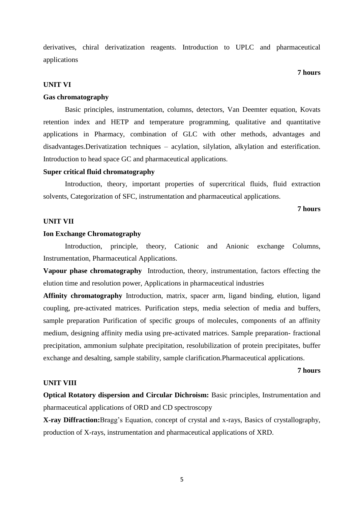derivatives, chiral derivatization reagents. Introduction to UPLC and pharmaceutical applications

#### **7 hours**

#### **UNIT VI**

#### **Gas chromatography**

Basic principles, instrumentation, columns, detectors, Van Deemter equation, Kovats retention index and HETP and temperature programming, qualitative and quantitative applications in Pharmacy, combination of GLC with other methods, advantages and disadvantages.Derivatization techniques – acylation, silylation, alkylation and esterification. Introduction to head space GC and pharmaceutical applications.

#### **Super critical fluid chromatography**

Introduction, theory, important properties of supercritical fluids, fluid extraction solvents, Categorization of SFC, instrumentation and pharmaceutical applications.

**7 hours**

#### **UNIT VII**

#### **Ion Exchange Chromatography**

Introduction, principle, theory, Cationic and Anionic exchange Columns, Instrumentation, Pharmaceutical Applications.

**Vapour phase chromatography** Introduction, theory, instrumentation, factors effecting the elution time and resolution power, Applications in pharmaceutical industries

**Affinity chromatography** Introduction, matrix, spacer arm, ligand binding, elution, ligand coupling, pre-activated matrices. Purification steps, media selection of media and buffers, sample preparation Purification of specific groups of molecules, components of an affinity medium, designing affinity media using pre-activated matrices. Sample preparation- fractional precipitation, ammonium sulphate precipitation, resolubilization of protein precipitates, buffer exchange and desalting, sample stability, sample clarification.Pharmaceutical applications.

#### **7 hours**

#### **UNIT VIII**

**Optical Rotatory dispersion and Circular Dichroism:** Basic principles, Instrumentation and pharmaceutical applications of ORD and CD spectroscopy

**X-ray Diffraction:**Bragg's Equation, concept of crystal and x-rays, Basics of crystallography, production of X-rays, instrumentation and pharmaceutical applications of XRD.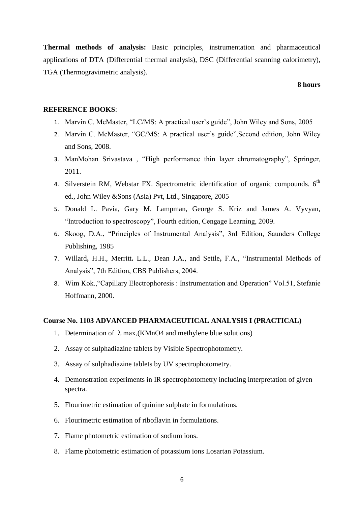**Thermal methods of analysis:** Basic principles, instrumentation and pharmaceutical applications of DTA (Differential thermal analysis), DSC (Differential scanning calorimetry), TGA (Thermogravimetric analysis).

#### **8 hours**

#### **REFERENCE BOOKS**:

- 1. Marvin C. McMaster, "LC/MS: A practical user's guide", John Wiley and Sons, 2005
- 2. Marvin C. McMaster, "GC/MS: A practical user's guide",Second edition, John Wiley and Sons, 2008.
- 3. ManMohan Srivastava , "High performance thin layer chromatography", Springer, 2011.
- 4. Silverstein RM, Webstar FX. Spectrometric identification of organic compounds. 6<sup>th</sup> ed., John Wiley &Sons (Asia) Pvt, Ltd., Singapore, 2005
- 5. Donald L. Pavia, Gary M. Lampman, George S. Kriz and James A. Vyvyan, "Introduction to spectroscopy", Fourth edition, Cengage Learning, 2009.
- 6. Skoog, D.A., "Principles of Instrumental Analysis", 3rd Edition, Saunders College Publishing, 1985
- 7. Willard**,** H.H., Merritt**.** L.L., Dean J.A., and Settle**,** F.A., "Instrumental Methods of Analysis", 7th Edition, CBS Publishers, 2004.
- 8. Wim Kok.,"Capillary Electrophoresis : Instrumentation and Operation" Vol.51, Stefanie Hoffmann, 2000.

#### **Course No. 1103 ADVANCED PHARMACEUTICAL ANALYSIS I (PRACTICAL)**

- 1. Determination of  $\lambda$  max, (KMnO4 and methylene blue solutions)
- 2. Assay of sulphadiazine tablets by Visible Spectrophotometry.
- 3. Assay of sulphadiazine tablets by UV spectrophotometry.
- 4. Demonstration experiments in IR spectrophotometry including interpretation of given spectra.
- 5. Flourimetric estimation of quinine sulphate in formulations.
- 6. Flourimetric estimation of riboflavin in formulations.
- 7. Flame photometric estimation of sodium ions.
- 8. Flame photometric estimation of potassium ions Losartan Potassium.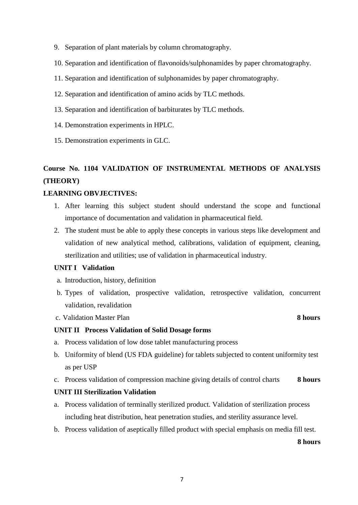- 9. Separation of plant materials by column chromatography.
- 10. Separation and identification of flavonoids/sulphonamides by paper chromatography.
- 11. Separation and identification of sulphonamides by paper chromatography.
- 12. Separation and identification of amino acids by TLC methods.
- 13. Separation and identification of barbiturates by TLC methods.
- 14. Demonstration experiments in HPLC.
- 15. Demonstration experiments in GLC.

# **Course No. 1104 VALIDATION OF INSTRUMENTAL METHODS OF ANALYSIS (THEORY)**

#### **LEARNING OBVJECTIVES:**

- 1. After learning this subject student should understand the scope and functional importance of documentation and validation in pharmaceutical field.
- 2. The student must be able to apply these concepts in various steps like development and validation of new analytical method, calibrations, validation of equipment, cleaning, sterilization and utilities; use of validation in pharmaceutical industry.

#### **UNIT I Validation**

- a. Introduction, history, definition
- b. Types of validation, prospective validation, retrospective validation, concurrent validation, revalidation
- c. Validation Master Plan **8 hours**

#### **UNIT II Process Validation of Solid Dosage forms**

- a. Process validation of low dose tablet manufacturing process
- b. Uniformity of blend (US FDA guideline) for tablets subjected to content uniformity test as per USP
- c. Process validation of compression machine giving details of control charts **8 hours**

#### **UNIT III Sterilization Validation**

- a. Process validation of terminally sterilized product. Validation of sterilization process including heat distribution, heat penetration studies, and sterility assurance level.
- b. Process validation of aseptically filled product with special emphasis on media fill test.

**8 hours**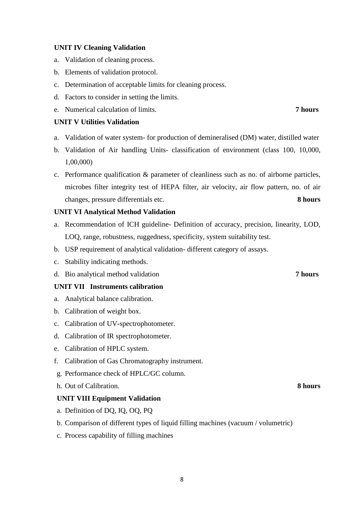#### **UNIT IV Cleaning Validation**

- a. Validation of cleaning process.
- b. Elements of validation protocol.
- c. Determination of acceptable limits for cleaning process.
- d. Factors to consider in setting the limits.
- e. Numerical calculation of limits. **7 hours**

#### **UNIT V Utilities Validation**

- a. Validation of water system- for production of demineralised (DM) water, distilled water
- b. Validation of Air handling Units- classification of environment (class 100, 10,000, 1,00,000)
- c. Performance qualification & parameter of cleanliness such as no. of airborne particles, microbes filter integrity test of HEPA filter, air velocity, air flow pattern, no. of air changes, pressure differentials etc. **8 hours**

#### **UNIT VI Analytical Method Validation**

- a. Recommendation of ICH guideline- Definition of accuracy, precision, linearity, LOD, LOQ, range, robustness, ruggedness, specificity, system suitability test.
- b. USP requirement of analytical validation- different category of assays.
- c. Stability indicating methods.
- d. Bio analytical method validation **7 hours**

#### **UNIT VII Instruments calibration**

- a. Analytical balance calibration.
- b. Calibration of weight box.
- c. Calibration of UV-spectrophotometer.
- d. Calibration of IR spectrophotometer.
- e. Calibration of HPLC system.
- f. Calibration of Gas Chromatography instrument.
- g. Performance check of HPLC/GC column.
- h. Out of Calibration. **8 hours**

#### **UNIT VIII Equipment Validation**

- a. Definition of DQ, IQ, OQ, PQ
- b. Comparison of different types of liquid filling machines (vacuum / volumetric)
- c. Process capability of filling machines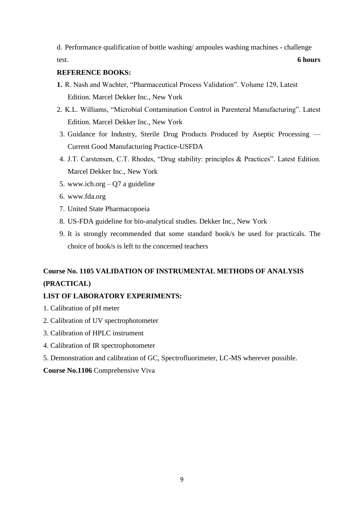d. Performance qualification of bottle washing/ ampoules washing machines - challenge test. **6 hours**

#### **REFERENCE BOOKS:**

- **1.** R. Nash and Wachter, "Pharmaceutical Process Validation". Volume 129, Latest Edition. Marcel Dekker Inc., New York
- 2. K.L. Williams, "Microbial Contamination Control in Parenteral Manufacturing". Latest Edition. Marcel Dekker Inc., New York
- 3. Guidance for Industry, Sterile Drug Products Produced by Aseptic Processing Current Good Manufacturing Practice-USFDA
- 4. J.T. Carstensen, C.T. Rhodes, "Drug stability: principles & Practices". Latest Edition. Marcel Dekker Inc., New York
- 5. www.ich.org Q7 a guideline
- 6. www.fda.org
- 7. United State Pharmacopoeia
- 8. US-FDA guideline for bio-analytical studies. Dekker Inc., New York
- 9. It is strongly recommended that some standard book/s be used for practicals. The choice of book/s is left to the concerned teachers

# **Course No. 1105 VALIDATION OF INSTRUMENTAL METHODS OF ANALYSIS (PRACTICAL)**

#### **LIST OF LABORATORY EXPERIMENTS:**

- 1. Calibration of pH meter
- 2. Calibration of UV spectrophotometer
- 3. Calibration of HPLC instrument
- 4. Calibration of IR spectrophotometer
- 5. Demonstration and calibration of GC, Spectrofluorimeter, LC-MS wherever possible.

#### **Course No.1106** Comprehensive Viva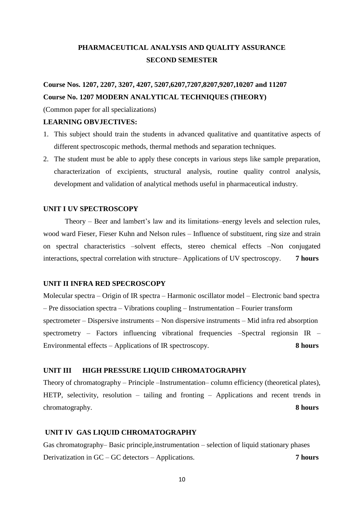# **PHARMACEUTICAL ANALYSIS AND QUALITY ASSURANCE SECOND SEMESTER**

# **Course Nos. 1207, 2207, 3207, 4207, 5207,6207,7207,8207,9207,10207 and 11207 Course No. 1207 MODERN ANALYTICAL TECHNIQUES (THEORY)**

(Common paper for all specializations)

#### **LEARNING OBVJECTIVES:**

- 1. This subject should train the students in advanced qualitative and quantitative aspects of different spectroscopic methods, thermal methods and separation techniques.
- 2. The student must be able to apply these concepts in various steps like sample preparation, characterization of excipients, structural analysis, routine quality control analysis, development and validation of analytical methods useful in pharmaceutical industry.

#### **UNIT I UV SPECTROSCOPY**

Theory – Beer and lambert's law and its limitations–energy levels and selection rules, wood ward Fieser, Fieser Kuhn and Nelson rules – Influence of substituent, ring size and strain on spectral characteristics –solvent effects, stereo chemical effects –Non conjugated interactions, spectral correlation with structure– Applications of UV spectroscopy. **7 hours**

#### **UNIT II INFRA RED SPECROSCOPY**

Molecular spectra – Origin of IR spectra – Harmonic oscillator model – Electronic band spectra – Pre dissociation spectra – Vibrations coupling – Instrumentation – Fourier transform spectrometer – Dispersive instruments – Non dispersive instruments – Mid infra red absorption spectrometry – Factors influencing vibrational frequencies –Spectral regionsin IR – Environmental effects – Applications of IR spectroscopy. **8 hours**

#### **UNIT III HIGH PRESSURE LIQUID CHROMATOGRAPHY**

Theory of chromatography – Principle –Instrumentation– column efficiency (theoretical plates), HETP, selectivity, resolution – tailing and fronting – Applications and recent trends in chromatography. **8 hours** 

#### **UNIT IV GAS LIQUID CHROMATOGRAPHY**

Gas chromatography– Basic principle,instrumentation – selection of liquid stationary phases Derivatization in GC – GC detectors – Applications. **7 hours**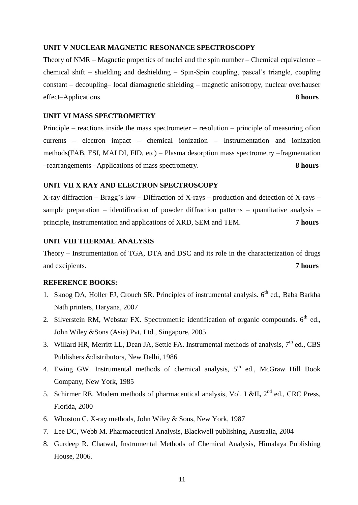#### **UNIT V NUCLEAR MAGNETIC RESONANCE SPECTROSCOPY**

Theory of NMR – Magnetic properties of nuclei and the spin number – Chemical equivalence – chemical shift – shielding and deshielding – Spin-Spin coupling, pascal's triangle, coupling constant – decoupling– local diamagnetic shielding – magnetic anisotropy, nuclear overhauser effect–Applications. **8 hours**

#### **UNIT VI MASS SPECTROMETRY**

Principle – reactions inside the mass spectrometer – resolution – principle of measuring ofion currents – electron impact – chemical ionization – Instrumentation and ionization methods(FAB, ESI, MALDI, FID, etc) – Plasma desorption mass spectrometry –fragmentation –rearrangements –Applications of mass spectrometry. **8 hours**

#### **UNIT VII X RAY AND ELECTRON SPECTROSCOPY**

X-ray diffraction – Bragg's law – Diffraction of X-rays – production and detection of X-rays – sample preparation – identification of powder diffraction patterns – quantitative analysis – principle, instrumentation and applications of XRD, SEM and TEM. **7 hours**

#### **UNIT VIII THERMAL ANALYSIS**

Theory – Instrumentation of TGA, DTA and DSC and its role in the characterization of drugs and excipients. **7 hours**

#### **REFERENCE BOOKS:**

- 1. Skoog DA, Holler FJ, Crouch SR. Principles of instrumental analysis.  $6<sup>th</sup>$  ed., Baba Barkha Nath printers, Haryana, 2007
- 2. Silverstein RM, Webstar FX. Spectrometric identification of organic compounds.  $6<sup>th</sup>$  ed., John Wiley &Sons (Asia) Pvt, Ltd., Singapore, 2005
- 3. Willard HR, Merritt LL, Dean JA, Settle FA. Instrumental methods of analysis,  $7<sup>th</sup>$  ed., CBS Publishers &distributors, New Delhi, 1986
- 4. Ewing GW. Instrumental methods of chemical analysis, 5<sup>th</sup> ed., McGraw Hill Book Company, New York, 1985
- 5. Schirmer RE. Modem methods of pharmaceutical analysis, Vol. I &II, 2<sup>nd</sup> ed., CRC Press, Florida, 2000
- 6. Whoston C. X-ray methods, John Wiley & Sons, New York, 1987
- 7. Lee DC, Webb M. Pharmaceutical Analysis, Blackwell publishing, Australia, 2004
- 8. Gurdeep R. Chatwal, Instrumental Methods of Chemical Analysis, Himalaya Publishing House, 2006.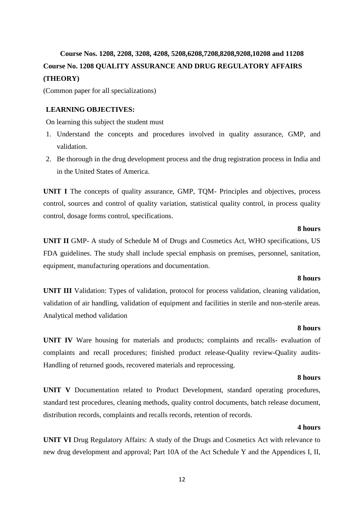# **Course Nos. 1208, 2208, 3208, 4208, 5208,6208,7208,8208,9208,10208 and 11208 Course No. 1208 QUALITY ASSURANCE AND DRUG REGULATORY AFFAIRS (THEORY)**

(Common paper for all specializations)

#### **LEARNING OBJECTIVES:**

On learning this subject the student must

- 1. Understand the concepts and procedures involved in quality assurance, GMP, and validation.
- 2. Be thorough in the drug development process and the drug registration process in India and in the United States of America.

**UNIT I** The concepts of quality assurance, GMP, TQM- Principles and objectives, process control, sources and control of quality variation, statistical quality control, in process quality control, dosage forms control, specifications.

#### **8 hours**

**UNIT II** GMP- A study of Schedule M of Drugs and Cosmetics Act, WHO specifications, US FDA guidelines. The study shall include special emphasis on premises, personnel, sanitation, equipment, manufacturing operations and documentation.

#### **8 hours**

**UNIT III** Validation: Types of validation, protocol for process validation, cleaning validation, validation of air handling, validation of equipment and facilities in sterile and non-sterile areas. Analytical method validation

#### **8 hours**

**UNIT IV** Ware housing for materials and products; complaints and recalls- evaluation of complaints and recall procedures; finished product release-Quality review-Quality audits-Handling of returned goods, recovered materials and reprocessing.

#### **8 hours**

**UNIT V** Documentation related to Product Development, standard operating procedures, standard test procedures, cleaning methods, quality control documents, batch release document, distribution records, complaints and recalls records, retention of records.

#### **4 hours**

**UNIT VI** Drug Regulatory Affairs: A study of the Drugs and Cosmetics Act with relevance to new drug development and approval; Part 10A of the Act Schedule Y and the Appendices I, II,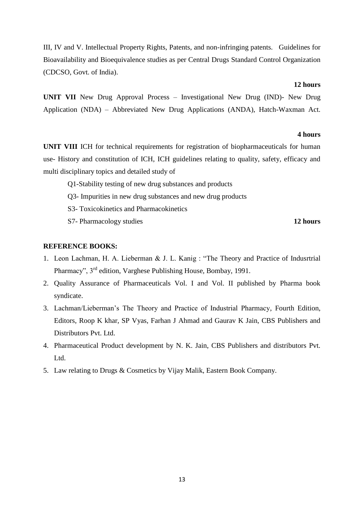III, IV and V. Intellectual Property Rights, Patents, and non-infringing patents. Guidelines for Bioavailability and Bioequivalence studies as per Central Drugs Standard Control Organization (CDCSO, Govt. of India).

#### **12 hours**

**UNIT VII** New Drug Approval Process – Investigational New Drug (IND)- New Drug Application (NDA) – Abbreviated New Drug Applications (ANDA), Hatch-Waxman Act.

#### **4 hours**

**UNIT VIII** ICH for technical requirements for registration of biopharmaceuticals for human use- History and constitution of ICH, ICH guidelines relating to quality, safety, efficacy and multi disciplinary topics and detailed study of

- Q1-Stability testing of new drug substances and products
- Q3- Impurities in new drug substances and new drug products
- S3- Toxicokinetics and Pharmacokinetics
- S7- Pharmacology studies **12 hours**

#### **REFERENCE BOOKS:**

- 1. Leon Lachman, H. A. Lieberman & J. L. Kanig : "The Theory and Practice of Indusrtrial Pharmacy", 3rd edition, Varghese Publishing House, Bombay, 1991.
- 2. Quality Assurance of Pharmaceuticals Vol. I and Vol. II published by Pharma book syndicate.
- 3. Lachman/Lieberman's The Theory and Practice of Industrial Pharmacy, Fourth Edition, Editors, Roop K khar, SP Vyas, Farhan J Ahmad and Gaurav K Jain, CBS Publishers and Distributors Pvt. Ltd.
- 4. Pharmaceutical Product development by N. K. Jain, CBS Publishers and distributors Pvt. Ltd.
- 5. Law relating to Drugs & Cosmetics by Vijay Malik, Eastern Book Company.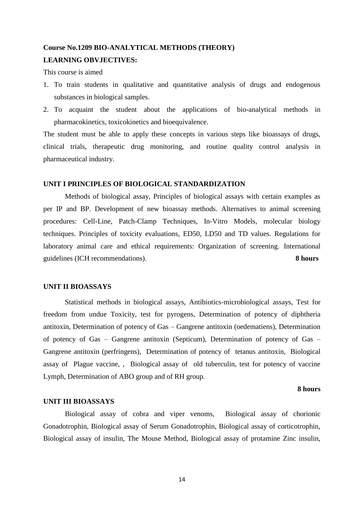#### **Course No.1209 BIO-ANALYTICAL METHODS (THEORY)**

#### **LEARNING OBVJECTIVES:**

This course is aimed

- 1. To train students in qualitative and quantitative analysis of drugs and endogenous substances in biological samples.
- 2. To acquaint the student about the applications of bio-analytical methods in [pharmacokinetics,](http://en.wikipedia.org/wiki/Pharmacokinetics) [toxicokinetics](http://en.wikipedia.org/wiki/Toxicokinetics) and [bioequivalence.](http://en.wikipedia.org/wiki/Bioequivalence)

The student must be able to apply these concepts in various steps like bioassays of drugs, clinical trials, therapeutic drug monitoring, and routine quality control analysis in pharmaceutical industry.

#### **UNIT I PRINCIPLES OF BIOLOGICAL STANDARDIZATION**

Methods of biological assay, Principles of biological assays with certain examples as per IP and BP. Development of new bioassay methods. Alternatives to animal screening procedures: Cell-Line, Patch-Clamp Techniques, In-Vitro Models, molecular biology techniques. Principles of toxicity evaluations, ED50, LD50 and TD values. Regulations for laboratory animal care and ethical requirements: Organization of screening. International guidelines (ICH recommendations). **8 hours**

#### **UNIT II BIOASSAYS**

Statistical methods in biological assays, Antibiotics-microbiological assays, Test for freedom from undue Toxicity, test for pyrogens, Determination of potency of diphtheria antitoxin, Determination of potency of Gas – Gangrene antitoxin (oedematiens), Determination of potency of Gas – Gangrene antitoxin (Septicum), Determination of potency of Gas – Gangrene antitoxin (perfringens), Determination of potency of tetanus antitoxin, Biological assay of Plague vaccine, , Biological assay of old tuberculin, test for potency of vaccine Lymph, Determination of ABO group and of RH group.

#### **8 hours**

#### **UNIT III BIOASSAYS**

Biological assay of cobra and viper venoms, Biological assay of chorionic Gonadotrophin, Biological assay of Serum Gonadotrophin, Biological assay of corticotrophin, Biological assay of insulin, The Mouse Method, Biological assay of protamine Zinc insulin,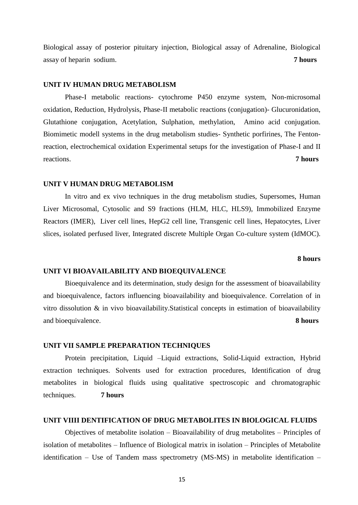Biological assay of posterior pituitary injection, Biological assay of Adrenaline, Biological assay of heparin sodium. **7 hours**

#### **UNIT IV HUMAN DRUG METABOLISM**

Phase-I metabolic reactions- cytochrome P450 enzyme system, Non-microsomal oxidation, Reduction, Hydrolysis, Phase-II metabolic reactions (conjugation)- Glucuronidation, Glutathione conjugation, Acetylation, Sulphation, methylation, Amino acid conjugation. Biomimetic modell systems in the drug metabolism studies- Synthetic porfirines, The Fentonreaction, electrochemical oxidation Experimental setups for the investigation of Phase-I and II reactions. **7 hours**

#### **UNIT V HUMAN DRUG METABOLISM**

In vitro and ex vivo techniques in the drug metabolism studies, Supersomes, Human Liver Microsomal, Cytosolic and S9 fractions (HLM, HLC, HLS9), Immobilized Enzyme Reactors (IMER), Liver cell lines, HepG2 cell line, Transgenic cell lines, Hepatocytes, Liver slices, isolated perfused liver, Integrated discrete Multiple Organ Co-culture system (IdMOC).

#### **8 hours**

#### **UNIT VI BIOAVAILABILITY AND BIOEQUIVALENCE**

Bioequivalence and its determination, study design for the assessment of bioavailability and bioequivalence, factors influencing bioavailability and bioequivalence. Correlation of in vitro dissolution & in vivo bioavailability.Statistical concepts in estimation of bioavailability and bioequivalence. **8 hours**

#### **UNIT VII SAMPLE PREPARATION TECHNIQUES**

Protein precipitation, Liquid –Liquid extractions, Solid-Liquid extraction, Hybrid extraction techniques. Solvents used for extraction procedures, Identification of drug metabolites in biological fluids using qualitative spectroscopic and chromatographic techniques. **7 hours**

#### **UNIT VIIII DENTIFICATION OF DRUG METABOLITES IN BIOLOGICAL FLUIDS**

Objectives of metabolite isolation – Bioavailability of drug metabolites – Principles of isolation of metabolites – Influence of Biological matrix in isolation – Principles of Metabolite identification – Use of Tandem mass spectrometry (MS-MS) in metabolite identification –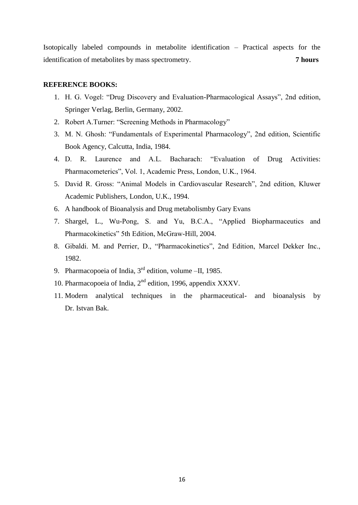Isotopically labeled compounds in metabolite identification – Practical aspects for the identification of metabolites by mass spectrometry. **7 hours**

#### **REFERENCE BOOKS:**

- 1. H. G. Vogel: "Drug Discovery and Evaluation-Pharmacological Assays", 2nd edition, Springer Verlag, Berlin, Germany, 2002.
- 2. Robert A.Turner: "Screening Methods in Pharmacology"
- 3. M. N. Ghosh: "Fundamentals of Experimental Pharmacology", 2nd edition, Scientific Book Agency, Calcutta, India, 1984.
- 4. D. R. Laurence and A.L. Bacharach: "Evaluation of Drug Activities: Pharmacometerics", Vol. 1, Academic Press, London, U.K., 1964.
- 5. David R. Gross: "Animal Models in Cardiovascular Research", 2nd edition, Kluwer Academic Publishers, London, U.K., 1994.
- 6. A handbook of Bioanalysis and Drug metabolismby Gary Evans
- 7. Shargel, L., Wu-Pong, S. and Yu, B.C.A., "Applied Biopharmaceutics and Pharmacokinetics" 5th Edition, McGraw-Hill, 2004.
- 8. Gibaldi. M. and Perrier, D., "Pharmacokinetics", 2nd Edition, Marcel Dekker Inc., 1982.
- 9. Pharmacopoeia of India,  $3<sup>rd</sup>$  edition, volume –II, 1985.
- 10. Pharmacopoeia of India, 2<sup>nd</sup> edition, 1996, appendix XXXV.
- 11. Modern analytical techniques in the pharmaceutical- and bioanalysis by Dr. Istvan Bak.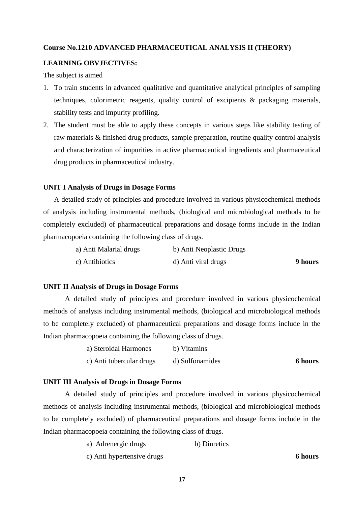#### **Course No.1210 ADVANCED PHARMACEUTICAL ANALYSIS II (THEORY)**

#### **LEARNING OBVJECTIVES:**

The subject is aimed

- 1. To train students in advanced qualitative and quantitative analytical principles of sampling techniques, colorimetric reagents, quality control of excipients & packaging materials, stability tests and impurity profiling.
- 2. The student must be able to apply these concepts in various steps like stability testing of raw materials & finished drug products, sample preparation, routine quality control analysis and characterization of impurities in active pharmaceutical ingredients and pharmaceutical drug products in pharmaceutical industry.

#### **UNIT I Analysis of Drugs in Dosage Forms**

A detailed study of principles and procedure involved in various physicochemical methods of analysis including instrumental methods, (biological and microbiological methods to be completely excluded) of pharmaceutical preparations and dosage forms include in the Indian pharmacopoeia containing the following class of drugs.

| a) Anti Malarial drugs | b) Anti Neoplastic Drugs |         |
|------------------------|--------------------------|---------|
| c) Antibiotics         | d) Anti viral drugs      | 9 hours |

#### **UNIT II Analysis of Drugs in Dosage Forms**

A detailed study of principles and procedure involved in various physicochemical methods of analysis including instrumental methods, (biological and microbiological methods to be completely excluded) of pharmaceutical preparations and dosage forms include in the Indian pharmacopoeia containing the following class of drugs.

| a) Steroidal Harmones    | b) Vitamins     |                |
|--------------------------|-----------------|----------------|
| c) Anti tubercular drugs | d) Sulfonamides | <b>6 hours</b> |

#### **UNIT III Analysis of Drugs in Dosage Forms**

A detailed study of principles and procedure involved in various physicochemical methods of analysis including instrumental methods, (biological and microbiological methods to be completely excluded) of pharmaceutical preparations and dosage forms include in the Indian pharmacopoeia containing the following class of drugs.

| a) Adrenergic drugs | b) Diuretics |
|---------------------|--------------|
|---------------------|--------------|

c) Anti hypertensive drugs **6 hours**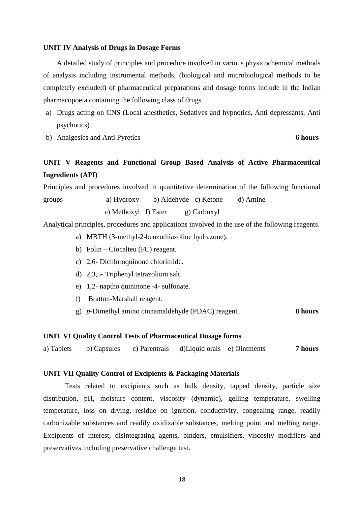#### **UNIT IV Analysis of Drugs in Dosage Forms**

A detailed study of principles and procedure involved in various physicochemical methods of analysis including instrumental methods, (biological and microbiological methods to be completely excluded) of pharmaceutical preparations and dosage forms include in the Indian pharmacopoeia containing the following class of drugs.

- a) Drugs acting on CNS (Local anesthetics, Sedatives and hypnotics, Anti depressants, Anti psychotics)
- b) Analgesics and Anti Pyretics **6 hours**

## **UNIT V Reagents and Functional Group Based Analysis of Active Pharmaceutical Ingredients (API)**

Principles and procedures involved in quantitative determination of the following functional

groups a) Hydroxy b) Aldehyde c) Ketone d) Amine e) Methoxyl f) Ester g) Carboxyl

Analytical principles, procedures and applications involved in the use of the following reagents.

- a) MBTH (3-methyl-2-benzothiazoline hydrazone).
- b) Folin Ciocalteu (FC) reagent.
- c) 2,6- Dichloroquinone chlorimide.
- d) 2,3,5- Triphenyl tetrazolium salt.
- e) 1,2- naptho quininone -4- sulfonate.
- f) Bratton-Marshall reagent.
- g) *p*-Dimethyl amino cinnamaldehyde (PDAC) reagent. **8 hours**

#### **UNIT VI Quality Control Tests of Pharmaceutical Dosage forms**

a) Tablets b) Capsules c) Parentrals d)Liquid orals e) Ointments **7 hours**

#### **UNIT VII Quality Control of Excipients & Packaging Materials**

Tests related to excipients such as bulk density, tapped density, particle size distribution, pH, moisture content, viscosity (dynamic), gelling temperature, swelling temperature, loss on drying, residue on ignition, conductivity, congealing range, readily carbonizable substances and readily oxidizable substances, melting point and melting range. Excipients of interest, disintegrating agents, binders, emulsifiers, viscosity modifiers and preservatives including preservative challenge test.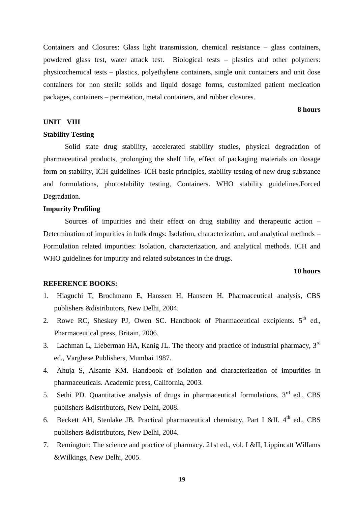Containers and Closures: Glass light transmission, chemical resistance – glass containers, powdered glass test, water attack test. Biological tests – plastics and other polymers: physicochemical tests – plastics, polyethylene containers, single unit containers and unit dose containers for non sterile solids and liquid dosage forms, customized patient medication packages, containers – permeation, metal containers, and rubber closures.

#### **8 hours**

#### **UNIT VIII**

#### **Stability Testing**

Solid state drug stability, accelerated stability studies, physical degradation of pharmaceutical products, prolonging the shelf life, effect of packaging materials on dosage form on stability, ICH guidelines- ICH basic principles, stability testing of new drug substance and formulations, photostability testing, Containers. WHO stability guidelines.Forced Degradation.

#### **Impurity Profiling**

Sources of impurities and their effect on drug stability and therapeutic action – Determination of impurities in bulk drugs: Isolation, characterization, and analytical methods – Formulation related impurities: Isolation, characterization, and analytical methods. ICH and WHO guidelines for impurity and related substances in the drugs.

#### **10 hours**

#### **REFERENCE BOOKS:**

- 1. Hiaguchi T, Brochmann E, Hanssen H, Hanseen H. Pharmaceutical analysis, CBS publishers &distributors, New Delhi, 2004.
- 2. Rowe RC, Sheskey PJ, Owen SC. Handbook of Pharmaceutical excipients.  $5<sup>th</sup>$  ed., Pharmaceutical press, Britain, 2006.
- 3. Lachman L, Lieberman HA, Kanig JL. The theory and practice of industrial pharmacy, 3<sup>rd</sup> ed., Varghese Publishers, Mumbai 1987.
- 4. Ahuja S, Alsante KM. Handbook of isolation and characterization of impurities in pharmaceuticals. Academic press, California, 2003.
- 5. Sethi PD. Quantitative analysis of drugs in pharmaceutical formulations, 3<sup>rd</sup> ed., CBS publishers &distributors, New Delhi, 2008.
- 6. Beckett AH, Stenlake JB. Practical pharmaceutical chemistry, Part I &II.  $4<sup>th</sup>$  ed., CBS publishers &distributors, New Delhi, 2004.
- 7. Remington: The science and practice of pharmacy. 21st ed., vol. I &II, Lippincatt WilIams &Wilkings, New Delhi, 2005.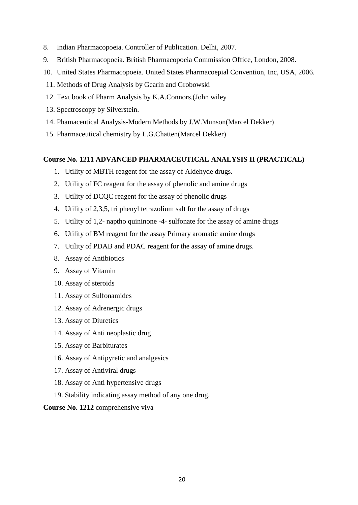- 8. Indian Pharmacopoeia. Controller of Publication. Delhi, 2007.
- 9. British Pharmacopoeia. British Pharmacopoeia Commission Office, London, 2008.
- 10. United States Pharmacopoeia. United States Pharmacoepial Convention, Inc, USA, 2006.
- 11. Methods of Drug Analysis by Gearin and Grobowski
- 12. Text book of Pharm Analysis by K.A.Connors.(John wiley
- 13. Spectroscopy by Silverstein.
- 14. Phamaceutical Analysis-Modern Methods by J.W.Munson(Marcel Dekker)
- 15. Pharmaceutical chemistry by L.G.Chatten(Marcel Dekker)

#### **Course No. 1211 ADVANCED PHARMACEUTICAL ANALYSIS II (PRACTICAL)**

- 1. Utility of MBTH reagent for the assay of Aldehyde drugs.
- 2. Utility of FC reagent for the assay of phenolic and amine drugs
- 3. Utility of DCQC reagent for the assay of phenolic drugs
- 4. Utility of 2,3,5, tri phenyl tetrazolium salt for the assay of drugs
- 5. Utility of 1,2- naptho quininone -4- sulfonate for the assay of amine drugs
- 6. Utility of BM reagent for the assay Primary aromatic amine drugs
- 7. Utility of PDAB and PDAC reagent for the assay of amine drugs.
- 8. Assay of Antibiotics
- 9. Assay of Vitamin
- 10. Assay of steroids
- 11. Assay of Sulfonamides
- 12. Assay of Adrenergic drugs
- 13. Assay of Diuretics
- 14. Assay of Anti neoplastic drug
- 15. Assay of Barbiturates
- 16. Assay of Antipyretic and analgesics
- 17. Assay of Antiviral drugs
- 18. Assay of Anti hypertensive drugs
- 19. Stability indicating assay method of any one drug.

#### **Course No. 1212** comprehensive viva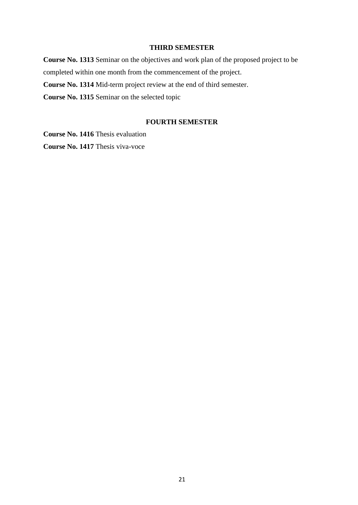#### **THIRD SEMESTER**

**Course No. 1313** Seminar on the objectives and work plan of the proposed project to be completed within one month from the commencement of the project. **Course No. 1314** Mid-term project review at the end of third semester. **Course No. 1315** Seminar on the selected topic

#### **FOURTH SEMESTER**

**Course No. 1416** Thesis evaluation **Course No. 1417** Thesis viva-voce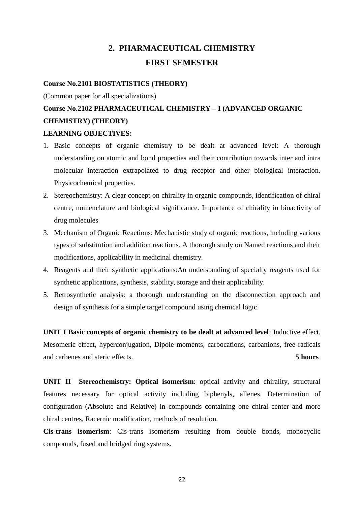# **2. PHARMACEUTICAL CHEMISTRY FIRST SEMESTER**

#### **Course No.2101 BIOSTATISTICS (THEORY)**

(Common paper for all specializations)

# **Course No.2102 PHARMACEUTICAL CHEMISTRY – I (ADVANCED ORGANIC CHEMISTRY) (THEORY)**

#### **LEARNING OBJECTIVES:**

- 1. Basic concepts of organic chemistry to be dealt at advanced level: A thorough understanding on atomic and bond properties and their contribution towards inter and intra molecular interaction extrapolated to drug receptor and other biological interaction. Physicochemical properties.
- 2. Stereochemistry: A clear concept on chirality in organic compounds, identification of chiral centre, nomenclature and biological significance. Importance of chirality in bioactivity of drug molecules
- 3. Mechanism of Organic Reactions: Mechanistic study of organic reactions, including various types of substitution and addition reactions. A thorough study on Named reactions and their modifications, applicability in medicinal chemistry.
- 4. Reagents and their synthetic applications:An understanding of specialty reagents used for synthetic applications, synthesis, stability, storage and their applicability.
- 5. Retrosynthetic analysis: a thorough understanding on the disconnection approach and design of synthesis for a simple target compound using chemical logic.

**UNIT I Basic concepts of organic chemistry to be dealt at advanced level**: Inductive effect, Mesomeric effect, hyperconjugation, Dipole moments, carbocations, carbanions, free radicals and carbenes and steric effects. **5 hours**

**UNIT II Stereochemistry: Optical isomerism**: optical activity and chirality, structural features necessary for optical activity including biphenyls, allenes. Determination of configuration (Absolute and Relative) in compounds containing one chiral center and more chiral centres, Racernic modification, methods of resolution.

**Cis-trans isomerism**: Cis-trans isomerism resulting from double bonds, monocyclic compounds, fused and bridged ring systems.

22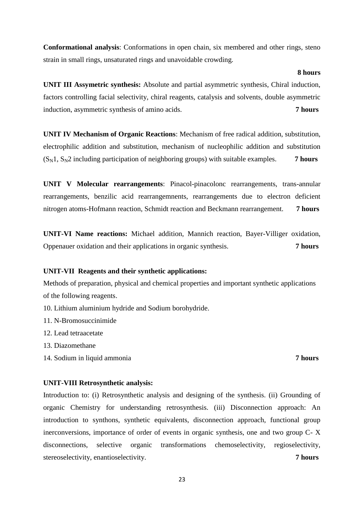**Conformational analysis**: Conformations in open chain, six membered and other rings, steno strain in small rings, unsaturated rings and unavoidable crowding.

**UNIT III Assymetric synthesis:** Absolute and partial asymmetric synthesis, Chiral induction, factors controlling facial selectivity, chiral reagents, catalysis and solvents, double asymmetric induction, asymmetric synthesis of amino acids. **7 hours**

**UNIT IV Mechanism of Organic Reactions**: Mechanism of free radical addition, substitution, electrophilic addition and substitution, mechanism of nucleophilic addition and substitution  $(S_N1, S_N2$  including participation of neighboring groups) with suitable examples. **7 hours** 

**UNIT V Molecular rearrangements**: Pinacol-pinacolonc rearrangements, trans-annular rearrangements, benzilic acid rearrangemnents, rearrangements due to electron deficient nitrogen atoms-Hofmann reaction, Schmidt reaction and Beckmann rearrangement. **7 hours**

**UNIT-VI Name reactions:** Michael addition, Mannich reaction, Bayer-Villiger oxidation, Oppenauer oxidation and their applications in organic synthesis. **7 hours**

#### **UNIT-VII Reagents and their synthetic applications:**

Methods of preparation, physical and chemical properties and important synthetic applications of the following reagents.

- 10. Lithium aluminium hydride and Sodium borohydride.
- 11. N-Bromosuccinimide
- 12. Lead tetraacetate
- 13. Diazomethane
- 14. Sodium in liquid ammonia **7 hours**

#### **UNIT-VIII Retrosynthetic analysis:**

Introduction to: (i) Retrosynthetic analysis and designing of the synthesis. (ii) Grounding of organic Chemistry for understanding retrosynthesis. (iii) Disconnection approach: An introduction to synthons, synthetic equivalents, disconnection approach, functional group inerconversions, importance of order of events in organic synthesis, one and two group C- X disconnections, selective organic transformations chemoselectivity, regioselectivity, stereoselectivity, enantioselectivity. **7 hours**

#### **8 hours**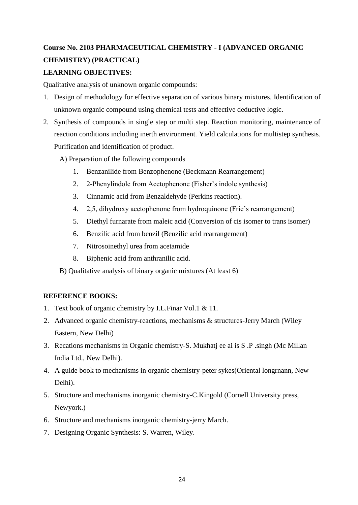# **Course No. 2103 PHARMACEUTICAL CHEMISTRY - I (ADVANCED ORGANIC CHEMISTRY) (PRACTICAL)**

## **LEARNING OBJECTIVES:**

Qualitative analysis of unknown organic compounds:

- 1. Design of methodology for effective separation of various binary mixtures. Identification of unknown organic compound using chemical tests and effective deductive logic.
- 2. Synthesis of compounds in single step or multi step. Reaction monitoring, maintenance of reaction conditions including inerth environment. Yield calculations for multistep synthesis. Purification and identification of product.
	- A) Preparation of the following compounds
		- 1. Benzanilide from Benzophenone (Beckmann Rearrangement)
		- 2. 2-Phenylindole from Acetophenone (Fisher's indole synthesis)
		- 3. Cinnamic acid from Benzaldehyde (Perkins reaction).
		- 4. 2,5, dihydroxy acetophenone from hydroquinone (Frie's rearrangement)
		- 5. Diethyl furnarate from maleic acid (Conversion of cis isomer to trans isomer)
		- 6. Benzilic acid from benzil (Benzilic acid rearrangement)
		- 7. Nitrosoinethyl urea from acetamide
		- 8. Biphenic acid from anthranilic acid.
	- B) Qualitative analysis of binary organic mixtures (At least 6)

## **REFERENCE BOOKS:**

- 1. Text book of organic chemistry by I.L.Finar Vol.1 & 11.
- 2. Advanced organic chemistry-reactions, mechanisms & structures-Jerry March (Wiley Eastern, New Delhi)
- 3. Recations mechanisms in Organic chemistry-S. Mukhatj ee ai is S .P .singh (Mc Millan India Ltd., New Delhi).
- 4. A guide book to mechanisms in organic chemistry-peter sykes(Oriental longrnann, New Delhi).
- 5. Structure and mechanisms inorganic chemistry-C.Kingold (Cornell University press, Newyork.)
- 6. Structure and mechanisms inorganic chemistry-jerry March.
- 7. Designing Organic Synthesis: S. Warren, Wiley.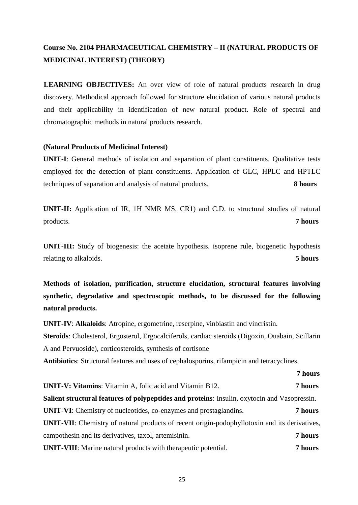# **Course No. 2104 PHARMACEUTICAL CHEMISTRY – II (NATURAL PRODUCTS OF MEDICINAL INTEREST) (THEORY)**

**LEARNING OBJECTIVES:** An over view of role of natural products research in drug discovery. Methodical approach followed for structure elucidation of various natural products and their applicability in identification of new natural product. Role of spectral and chromatographic methods in natural products research.

#### **(Natural Products of Medicinal Interest)**

**UNIT-I**: General methods of isolation and separation of plant constituents. Qualitative tests employed for the detection of plant constituents. Application of GLC, HPLC and HPTLC techniques of separation and analysis of natural products. **8 hours**

**UNIT-II:** Application of IR, 1H NMR MS, CR1) and C.D. to structural studies of natural products. **7 hours**

**UNIT-III:** Study of biogenesis: the acetate hypothesis. isoprene rule, biogenetic hypothesis relating to alkaloids. **5 hours**

**Methods of isolation, purification, structure elucidation, structural features involving synthetic, degradative and spectroscopic methods, to be discussed for the following natural products.**

**UNIT-IV**: **Alkaloids**: Atropine, ergometrine, reserpine, vinbiastin and vincristin. **Steroids**: Cholesterol, Ergosterol, Ergocalciferols, cardiac steroids (Digoxin, Ouabain, Scillarin A and Pervuoside), corticosteroids, synthesis of cortisone

 **7 hours**

**Antibiotics**: Structural features and uses of cephalosporins, rifampicin and tetracyclines.

**UNIT-V: Vitamins**: Vitamin A, folic acid and Vitamin B12. **7 hours Salient structural features of polypeptides and proteins**: Insulin, oxytocin and Vasopressin. **UNIT-VI**: Chemistry of nucleotides, co-enzymes and prostaglandins. **7 hours UNIT-VII**: Chemistry of natural products of recent origin-podophyllotoxin and its derivatives, campothesin and its derivatives, taxol, artemisinin. **7 hours UNIT-VIII**: Marine natural products with therapeutic potential. **7 hours**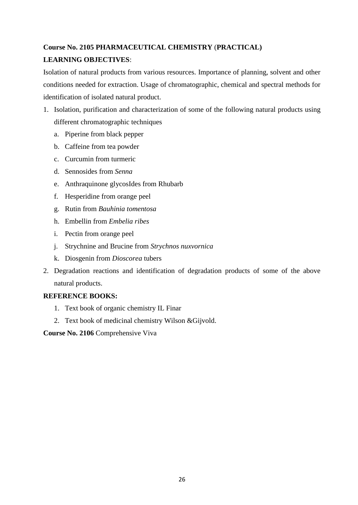# **Course No. 2105 PHARMACEUTICAL CHEMISTRY** (**PRACTICAL) LEARNING OBJECTIVES**:

Isolation of natural products from various resources. Importance of planning, solvent and other conditions needed for extraction. Usage of chromatographic, chemical and spectral methods for identification of isolated natural product.

- 1. Isolation, purification and characterization of some of the following natural products using different chromatographic techniques
	- a. Piperine from black pepper
	- b. Caffeine from tea powder
	- c. Curcumin from turmeric
	- d. Sennosides from *Senna*
	- e. Anthraquinone glycosIdes from Rhubarb
	- f. Hesperidine from orange peel
	- g. Rutin from *Bauhinia tomentosa*
	- h. Embellin from *Embelia ribes*
	- i. Pectin from orange peel
	- j. Strychnine and Brucine from *Strychnos nuxvornica*
	- k. Diosgenin from *Dioscorea* tubers
- 2. Degradation reactions and identification of degradation products of some of the above natural products.

#### **REFERENCE BOOKS:**

- 1. Text book of organic chemistry IL Finar
- 2. Text book of medicinal chemistry Wilson &Gijvold.

**Course No. 2106** Comprehensive Viva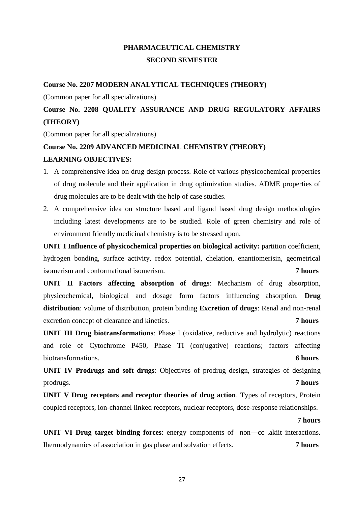# **PHARMACEUTICAL CHEMISTRY SECOND SEMESTER**

#### **Course No. 2207 MODERN ANALYTICAL TECHNIQUES (THEORY)**

(Common paper for all specializations)

# **Course No. 2208 QUALITY ASSURANCE AND DRUG REGULATORY AFFAIRS (THEORY)**

(Common paper for all specializations)

#### **Course No. 2209 ADVANCED MEDICINAL CHEMISTRY (THEORY)**

#### **LEARNING OBJECTIVES:**

- 1. A comprehensive idea on drug design process. Role of various physicochemical properties of drug molecule and their application in drug optimization studies. ADME properties of drug molecules are to be dealt with the help of case studies.
- 2. A comprehensive idea on structure based and ligand based drug design methodologies including latest developments are to be studied. Role of green chemistry and role of environment friendly medicinal chemistry is to be stressed upon.

**UNIT I Influence of physicochemical properties on biological activity:** partition coefficient, hydrogen bonding, surface activity, redox potential, chelation, enantiomerisin, geometrical isomerism and conformational isomerism. **7 hours**

**UNIT II Factors affecting absorption of drugs**: Mechanism of drug absorption, physicochemical, biological and dosage form factors influencing absorption. **Drug distribution**: volume of distribution, protein binding **Excretion of drugs**: Renal and non-renal excretion concept of clearance and kinetics. **7 hours**

**UNIT III Drug biotransformations**: Phase I (oxidative, reductive and hydrolytic) reactions and role of Cytochrome P450, Phase TI (conjugative) reactions; factors affecting biotransformations. **6 hours**

**UNIT IV Prodrugs and soft drugs**: Objectives of prodrug design, strategies of designing prodrugs. **7 hours**

**UNIT V Drug receptors and receptor theories of drug action**. Types of receptors, Protein coupled receptors, ion-channel linked receptors, nuclear receptors, dose-response relationships.

**7 hours**

**UNIT VI Drug target binding forces**: energy components of non—cc .akiit interactions. Ihermodynamics of association in gas phase and solvation effects. **7 hours**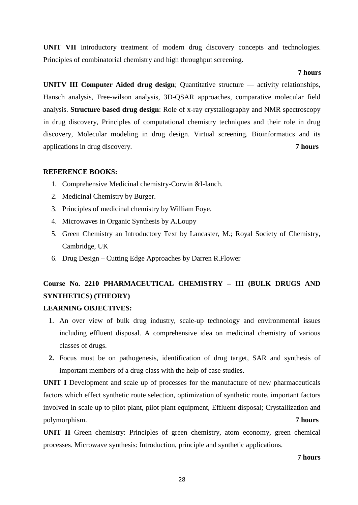**UNIT VII** Introductory treatment of modern drug discovery concepts and technologies. Principles of combinatorial chemistry and high throughput screening.

#### **7 hours**

**UNITV III Computer Aided drug design**; Quantitative structure — activity relationships, Hansch analysis, Free-wilson analysis, 3D-QSAR approaches, comparative molecular field analysis. **Structure based drug design**: Role of x-ray crystallography and NMR spectroscopy in drug discovery, Principles of computational chemistry techniques and their role in drug discovery, Molecular modeling in drug design. Virtual screening. Bioinformatics and its applications in drug discovery. **7 hours**

#### **REFERENCE BOOKS:**

- 1. Comprehensive Medicinal chemistry-Corwin &I-Ianch.
- 2. Medicinal Chemistry by Burger.
- 3. Principles of medicinal chemistry by William Foye.
- 4. Microwaves in Organic Synthesis by A.Loupy
- 5. Green Chemistry an Introductory Text by Lancaster, M.; Royal Society of Chemistry, Cambridge, UK
- 6. Drug Design Cutting Edge Approaches by Darren R.Flower

# **Course No. 2210 PHARMACEUTICAL CHEMISTRY – III (BULK DRUGS AND SYNTHETICS) (THEORY)**

#### **LEARNING OBJECTIVES:**

- 1. An over view of bulk drug industry, scale-up technology and environmental issues including effluent disposal. A comprehensive idea on medicinal chemistry of various classes of drugs.
- **2.** Focus must be on pathogenesis, identification of drug target, SAR and synthesis of important members of a drug class with the help of case studies.

**UNIT I** Development and scale up of processes for the manufacture of new pharmaceuticals factors which effect synthetic route selection, optimization of synthetic route, important factors involved in scale up to pilot plant, pilot plant equipment, Effluent disposal; Crystallization and polymorphism. **7 hours**

**UNIT II** Green chemistry: Principles of green chemistry, atom economy, green chemical processes. Microwave synthesis: Introduction, principle and synthetic applications.

**7 hours**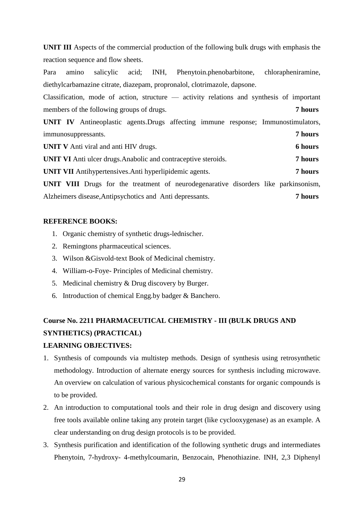**UNIT III** Aspects of the commercial production of the following bulk drugs with emphasis the reaction sequence and flow sheets.

Para amino salicylic acid; INH, Phenytoin.phenobarbitone, chlorapheniramine, diethylcarbamazine citrate, diazepam, propronalol, clotrimazole, dapsone.

Classification, mode of action, structure — activity relations and synthesis of important members of the following groups of drugs. **7 hours**

**UNIT IV** Antineoplastic agents.Drugs affecting immune response; Immunostimulators, immunosuppressants. **7 hours**

**UNIT V** Anti viral and anti HIV drugs. **6 hours**

**UNIT VI** Anti ulcer drugs.Anabolic and contraceptive steroids. **7 hours**

**UNIT VII** Antihypertensives.Anti hyperlipidemic agents. **7 hours**

**UNIT VIII** Drugs for the treatment of neurodegenarative disorders like parkinsonism, Alzheimers disease,Antipsychotics and Anti depressants. **7 hours**

#### **REFERENCE BOOKS:**

- 1. Organic chemistry of synthetic drugs-lednischer.
- 2. Remingtons pharmaceutical sciences.
- 3. Wilson &Gisvold-text Book of Medicinal chemistry.
- 4. William-o-Foye- Principles of Medicinal chemistry.
- 5. Medicinal chemistry & Drug discovery by Burger.
- 6. Introduction of chemical Engg.by badger & Banchero.

# **Course No. 2211 PHARMACEUTICAL CHEMISTRY - III (BULK DRUGS AND SYNTHETICS) (PRACTICAL)**

#### **LEARNING OBJECTIVES:**

- 1. Synthesis of compounds via multistep methods. Design of synthesis using retrosynthetic methodology. Introduction of alternate energy sources for synthesis including microwave. An overview on calculation of various physicochemical constants for organic compounds is to be provided.
- 2. An introduction to computational tools and their role in drug design and discovery using free tools available online taking any protein target (like cyclooxygenase) as an example. A clear understanding on drug design protocols is to be provided.
- 3. Synthesis purification and identification of the following synthetic drugs and intermediates Phenytoin, 7-hydroxy- 4-methylcoumarin, Benzocain, Phenothiazine. INH, 2,3 Diphenyl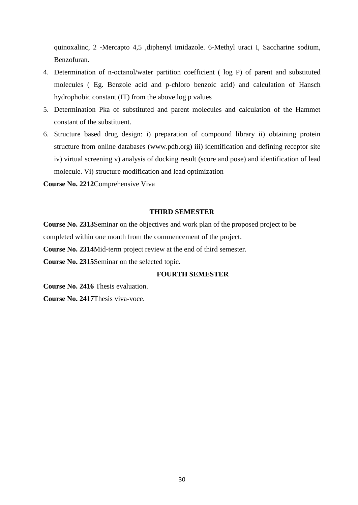quinoxalinc, 2 -Mercapto 4,5 ,diphenyl imidazole. 6-Methyl uraci I, Saccharine sodium, Benzofuran.

- 4. Determination of n-octanol/water partition coefficient ( log P) of parent and substituted molecules ( Eg. Benzoie acid and p-chloro benzoic acid) and calculation of Hansch hydrophobic constant (IT) from the above log p values
- 5. Determination Pka of substituted and parent molecules and calculation of the Hammet constant of the substituent.
- 6. Structure based drug design: i) preparation of compound library ii) obtaining protein structure from online databases [\(www.pdb.org\)](http://www.pdb.org/) iii) identification and defining receptor site iv) virtual screening v) analysis of docking result (score and pose) and identification of lead molecule. Vi) structure modification and lead optimization

**Course No. 2212**Comprehensive Viva

#### **THIRD SEMESTER**

**Course No. 2313**Seminar on the objectives and work plan of the proposed project to be completed within one month from the commencement of the project.

**Course No. 2314**Mid-term project review at the end of third semester.

**Course No. 2315**Seminar on the selected topic.

#### **FOURTH SEMESTER**

**Course No. 2416** Thesis evaluation.

**Course No. 2417**Thesis viva-voce.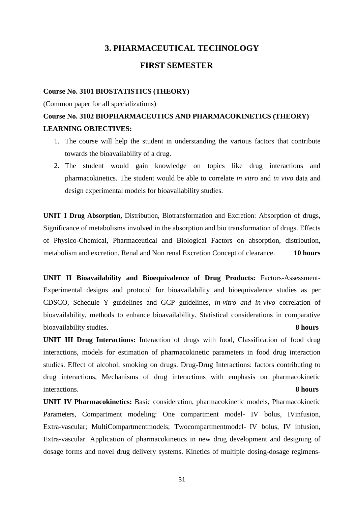### **3. PHARMACEUTICAL TECHNOLOGY**

### **FIRST SEMESTER**

#### **Course No. 3101 BIOSTATISTICS (THEORY)**

(Common paper for all specializations)

# **Course No. 3102 BIOPHARMACEUTICS AND PHARMACOKINETICS (THEORY) LEARNING OBJECTIVES:**

- 1. The course will help the student in understanding the various factors that contribute towards the bioavailability of a drug.
- 2. The student would gain knowledge on topics like drug interactions and pharmacokinetics. The student would be able to correlate *in vitro* and *in vivo* data and design experimental models for bioavailability studies.

**UNIT I Drug Absorption,** Distribution, Biotransformation and Excretion: Absorption of drugs, Significance of metabolisms involved in the absorption and bio transformation of drugs. Effects of Physico-Chemical, Pharmaceutical and Biological Factors on absorption, distribution, metabolism and excretion. Renal and Non renal Excretion Concept of clearance. **10 hours**

**UNIT II Bioavailability and Bioequivalence of Drug Products:** Factors-Assessment-Experimental designs and protocol for bioavailability and bioequivalence studies as per CDSCO, Schedule Y guidelines and GCP guidelines, *in-vitro and in-vivo* correlation of bioavailability, methods to enhance bioavailability. Statistical considerations in comparative bioavailability studies. **8 hours**

**UNIT III Drug Interactions:** Interaction of drugs with food, Classification of food drug interactions, models for estimation of pharmacokinetic parameters in food drug interaction studies. Effect of alcohol, smoking on drugs. Drug-Drug Interactions: factors contributing to drug interactions, Mechanisms of drug interactions with emphasis on pharmacokinetic interactions. **8 hours**

**UNIT IV Pharmacokinetics:** Basic consideration, pharmacokinetic models, Pharmacokinetic Parameters, Compartment modeling: One compartment model- IV bolus, IVinfusion, Extra-vascular; MultiCompartmentmodels; Twocompartmentmodel- IV bolus, IV infusion, Extra-vascular. Application of pharmacokinetics in new drug development and designing of dosage forms and novel drug delivery systems. Kinetics of multiple dosing-dosage regimens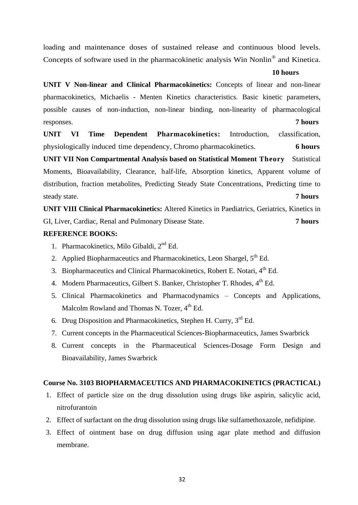loading and maintenance doses of sustained release and continuous blood levels. Concepts of software used in the pharmacokinetic analysis Win Nonlin® and Kinetica.

#### **10 hours**

**UNIT V Non-linear and Clinical Pharmacokinetics:** Concepts of linear and non-linear pharmacokinetics, Michaelis - Menten Kinetics characteristics. Basic kinetic parameters, possible causes of non-induction, non-linear binding, non-linearity of pharmacological responses. **7 hours**

**UNIT VI Time Dependent Pharmacokinetics:** Introduction, classification, physiologically induced time dependency, Chromo pharmacokinetics. **6 hours**

**UNIT VII Non Compartmental Analysis based on Statistical Moment Theory** Statistical Moments, Bioavailability, Clearance, half-life, Absorption kinetics, Apparent volume of distribution, fraction metabolites, Predicting Steady State Concentrations, Predicting time to steady state. **7 hours**

**UNIT VIII Clinical Pharmacokinetics:** Altered Kinetics in Paediatrics, Geriatrics, Kinetics in GI, Liver, Cardiac, Renal and Pulmonary Disease State. **7 hours**

#### **REFERENCE BOOKS:**

- 1. Pharmacokinetics, Milo Gibaldi. 2<sup>nd</sup> Ed.
- 2. Applied Biopharmaceutics and Pharmacokinetics, Leon Shargel,  $5<sup>th</sup>$  Ed.
- 3. Biopharmaceutics and Clinical Pharmacokinetics, Robert E. Notari, 4<sup>th</sup> Ed.
- 4. Modern Pharmaceutics, Gilbert S. Banker, Christopher T. Rhodes, 4<sup>th</sup> Ed.
- 5. Clinical Pharmacokinetics and Pharmacodynamics Concepts and Applications, Malcolm Rowland and Thomas N. Tozer,  $4<sup>th</sup>$  Ed.
- 6. Drug Disposition and Pharmacokinetics, Stephen H. Curry, 3<sup>rd</sup> Ed.
- 7. Current concepts in the Pharmaceutical Sciences-Biopharmaceutics, James Swarbrick
- 8. Current concepts in the Pharmaceutical Sciences-Dosage Form Design and Bioavailability, James Swarbrick

#### **Course No. 3103 BIOPHARMACEUTICS AND PHARMACOKINETICS (PRACTICAL)**

- 1. Effect of particle size on the drug dissolution using drugs like aspirin, salicylic acid, nitrofurantoin
- 2. Effect of surfactant on the drug dissolution using drugs like sulfamethoxazole, nefidipine.
- 3. Effect of ointment base on drug diffusion using agar plate method and diffusion membrane.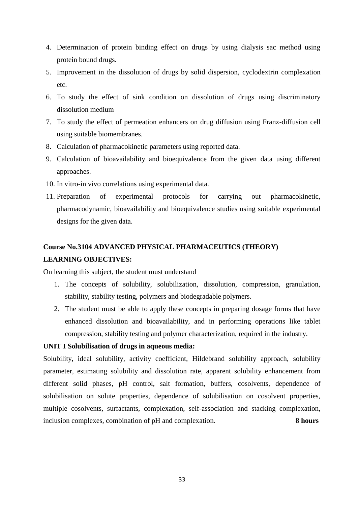- 4. Determination of protein binding effect on drugs by using dialysis sac method using protein bound drugs.
- 5. Improvement in the dissolution of drugs by solid dispersion, cyclodextrin complexation etc.
- 6. To study the effect of sink condition on dissolution of drugs using discriminatory dissolution medium
- 7. To study the effect of permeation enhancers on drug diffusion using Franz-diffusion cell using suitable biomembranes.
- 8. Calculation of pharmacokinetic parameters using reported data.
- 9. Calculation of bioavailability and bioequivalence from the given data using different approaches.
- 10. In vitro-in vivo correlations using experimental data.
- 11. Preparation of experimental protocols for carrying out pharmacokinetic, pharmacodynamic, bioavailability and bioequivalence studies using suitable experimental designs for the given data.

# **Course No.3104 ADVANCED PHYSICAL PHARMACEUTICS (THEORY) LEARNING OBJECTIVES:**

On learning this subject, the student must understand

- 1. The concepts of solubility, solubilization, dissolution, compression, granulation, stability, stability testing, polymers and biodegradable polymers.
- 2. The student must be able to apply these concepts in preparing dosage forms that have enhanced dissolution and bioavailability, and in performing operations like tablet compression, stability testing and polymer characterization, required in the industry.

#### **UNIT I Solubilisation of drugs in aqueous media:**

Solubility, ideal solubility, activity coefficient, Hildebrand solubility approach, solubility parameter, estimating solubility and dissolution rate, apparent solubility enhancement from different solid phases, pH control, salt formation, buffers, cosolvents, dependence of solubilisation on solute properties, dependence of solubilisation on cosolvent properties, multiple cosolvents, surfactants, complexation, self-association and stacking complexation, inclusion complexes, combination of pH and complexation. **8 hours**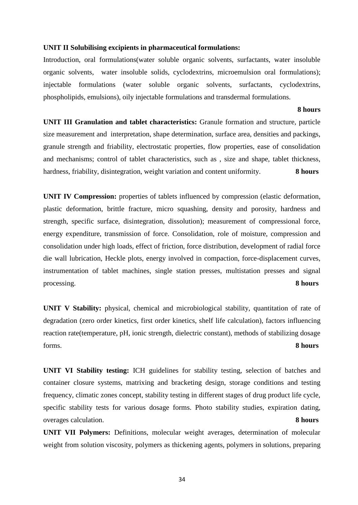#### **UNIT II Solubilising excipients in pharmaceutical formulations:**

Introduction, oral formulations(water soluble organic solvents, surfactants, water insoluble organic solvents, water insoluble solids, cyclodextrins, microemulsion oral formulations); injectable formulations (water soluble organic solvents, surfactants, cyclodextrins, phospholipids, emulsions), oily injectable formulations and transdermal formulations.

**8 hours**

**UNIT III Granulation and tablet characteristics:** Granule formation and structure, particle size measurement and interpretation, shape determination, surface area, densities and packings, granule strength and friability, electrostatic properties, flow properties, ease of consolidation and mechanisms; control of tablet characteristics, such as , size and shape, tablet thickness, hardness, friability, disintegration, weight variation and content uniformity. **8 hours**

**UNIT IV Compression:** properties of tablets influenced by compression (elastic deformation, plastic deformation, brittle fracture, micro squashing, density and porosity, hardness and strength, specific surface, disintegration, dissolution); measurement of compressional force, energy expenditure, transmission of force. Consolidation, role of moisture, compression and consolidation under high loads, effect of friction, force distribution, development of radial force die wall lubrication, Heckle plots, energy involved in compaction, force-displacement curves, instrumentation of tablet machines, single station presses, multistation presses and signal processing. **8 hours**

**UNIT V Stability:** physical, chemical and microbiological stability, quantitation of rate of degradation (zero order kinetics, first order kinetics, shelf life calculation), factors influencing reaction rate(temperature, pH, ionic strength, dielectric constant), methods of stabilizing dosage forms. **8 hours**

**UNIT VI Stability testing:** ICH guidelines for stability testing, selection of batches and container closure systems, matrixing and bracketing design, storage conditions and testing frequency, climatic zones concept, stability testing in different stages of drug product life cycle, specific stability tests for various dosage forms. Photo stability studies, expiration dating, overages calculation. **8 hours**

**UNIT VII Polymers:** Definitions, molecular weight averages, determination of molecular weight from solution viscosity, polymers as thickening agents, polymers in solutions, preparing

34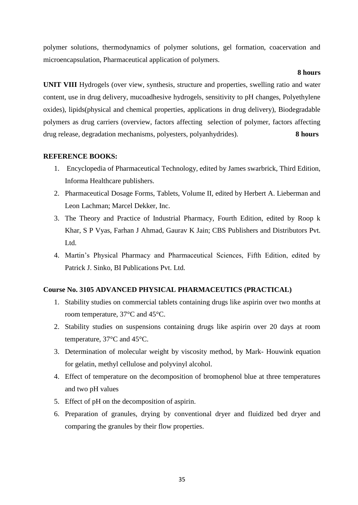polymer solutions, thermodynamics of polymer solutions, gel formation, coacervation and microencapsulation, Pharmaceutical application of polymers.

#### **8 hours**

**UNIT VIII** Hydrogels (over view, synthesis, structure and properties, swelling ratio and water content, use in drug delivery, mucoadhesive hydrogels, sensitivity to pH changes, Polyethylene oxides), lipids(physical and chemical properties, applications in drug delivery), Biodegradable polymers as drug carriers (overview, factors affecting selection of polymer, factors affecting drug release, degradation mechanisms, polyesters, polyanhydrides). **8 hours**

#### **REFERENCE BOOKS:**

- 1. Encyclopedia of Pharmaceutical Technology, edited by James swarbrick, Third Edition, Informa Healthcare publishers.
- 2. Pharmaceutical Dosage Forms, Tablets, Volume II, edited by Herbert A. Lieberman and Leon Lachman; Marcel Dekker, Inc.
- 3. The Theory and Practice of Industrial Pharmacy, Fourth Edition, edited by Roop k Khar, S P Vyas, Farhan J Ahmad, Gaurav K Jain; CBS Publishers and Distributors Pvt. Ltd.
- 4. Martin's Physical Pharmacy and Pharmaceutical Sciences, Fifth Edition, edited by Patrick J. Sinko, BI Publications Pvt. Ltd.

### **Course No. 3105 ADVANCED PHYSICAL PHARMACEUTICS (PRACTICAL)**

- 1. Stability studies on commercial tablets containing drugs like aspirin over two months at room temperature, 37°C and 45°C.
- 2. Stability studies on suspensions containing drugs like aspirin over 20 days at room temperature, 37°C and 45°C.
- 3. Determination of molecular weight by viscosity method, by Mark- Houwink equation for gelatin, methyl cellulose and polyvinyl alcohol.
- 4. Effect of temperature on the decomposition of bromophenol blue at three temperatures and two pH values
- 5. Effect of pH on the decomposition of aspirin.
- 6. Preparation of granules, drying by conventional dryer and fluidized bed dryer and comparing the granules by their flow properties.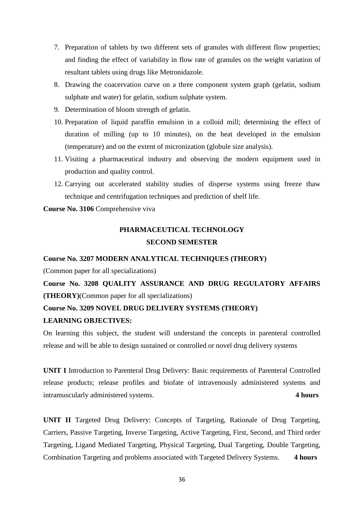- 7. Preparation of tablets by two different sets of granules with different flow properties; and finding the effect of variability in flow rate of granules on the weight variation of resultant tablets using drugs like Metronidazole.
- 8. Drawing the coacervation curve on a three component system graph (gelatin, sodium sulphate and water) for gelatin, sodium sulphate system.
- 9. Determination of bloom strength of gelatin.
- 10. Preparation of liquid paraffin emulsion in a colloid mill; determining the effect of duration of milling (up to 10 minutes), on the heat developed in the emulsion (temperature) and on the extent of micronization (globule size analysis).
- 11. Visiting a pharmaceutical industry and observing the modern equipment used in production and quality control.
- 12. Carrying out accelerated stability studies of disperse systems using freeze thaw technique and centrifugation techniques and prediction of shelf life.

**Course No. 3106** Comprehensive viva

## **PHARMACEUTICAL TECHNOLOGY SECOND SEMESTER**

#### **Course No. 3207 MODERN ANALYTICAL TECHNIQUES (THEORY)**

(Common paper for all specializations)

**Course No. 3208 QUALITY ASSURANCE AND DRUG REGULATORY AFFAIRS (THEORY)**(Common paper for all specializations)

## **Course No. 3209 NOVEL DRUG DELIVERY SYSTEMS (THEORY)**

#### **LEARNING OBJECTIVES:**

On learning this subject, the student will understand the concepts in parenteral controlled release and will be able to design sustained or controlled or novel drug delivery systems

**UNIT I** Introduction to Parenteral Drug Delivery: Basic requirements of Parenteral Controlled release products; release profiles and biofate of intravenously administered systems and intramuscularly administered systems. **4 hours**

**UNIT II** Targeted Drug Delivery: Concepts of Targeting, Rationale of Drug Targeting, Carriers, Passive Targeting, Inverse Targeting, Active Targeting, First, Second, and Third order Targeting, Ligand Mediated Targeting, Physical Targeting, Dual Targeting, Double Targeting, Combination Targeting and problems associated with Targeted Delivery Systems. **4 hours**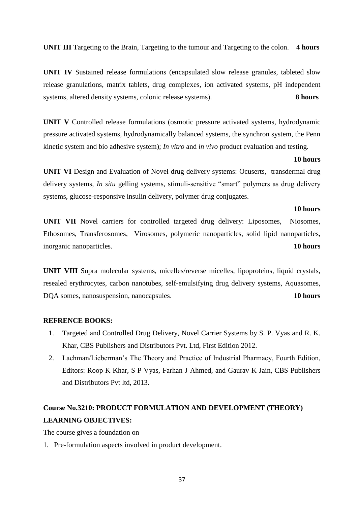**UNIT III** Targeting to the Brain, Targeting to the tumour and Targeting to the colon. **4 hours**

**UNIT IV** Sustained release formulations (encapsulated slow release granules, tableted slow release granulations, matrix tablets, drug complexes, ion activated systems, pH independent systems, altered density systems, colonic release systems). **8 hours**

**UNIT V** Controlled release formulations (osmotic pressure activated systems, hydrodynamic pressure activated systems, hydrodynamically balanced systems, the synchron system, the Penn kinetic system and bio adhesive system); *In vitro* and *in vivo* product evaluation and testing.

#### **10 hours**

**UNIT VI** Design and Evaluation of Novel drug delivery systems: Ocuserts, transdermal drug delivery systems, *In situ* gelling systems, stimuli-sensitive "smart" polymers as drug delivery systems, glucose-responsive insulin delivery, polymer drug conjugates.

#### **10 hours**

**UNIT VII** Novel carriers for controlled targeted drug delivery: Liposomes, Niosomes, Ethosomes, Transferosomes, Virosomes, polymeric nanoparticles, solid lipid nanoparticles, inorganic nanoparticles. **10 hours**

**UNIT VIII** Supra molecular systems, micelles/reverse micelles, lipoproteins, liquid crystals, resealed erythrocytes, carbon nanotubes, self-emulsifying drug delivery systems, Aquasomes, DQA somes, nanosuspension, nanocapsules. **10 hours**

#### **REFRENCE BOOKS:**

- 1. Targeted and Controlled Drug Delivery, Novel Carrier Systems by S. P. Vyas and R. K. Khar, CBS Publishers and Distributors Pvt. Ltd, First Edition 2012.
- 2. Lachman/Lieberman's The Theory and Practice of Industrial Pharmacy, Fourth Edition, Editors: Roop K Khar, S P Vyas, Farhan J Ahmed, and Gaurav K Jain, CBS Publishers and Distributors Pvt ltd, 2013.

## **Course No.3210: PRODUCT FORMULATION AND DEVELOPMENT (THEORY) LEARNING OBJECTIVES:**

The course gives a foundation on

1. Pre-formulation aspects involved in product development.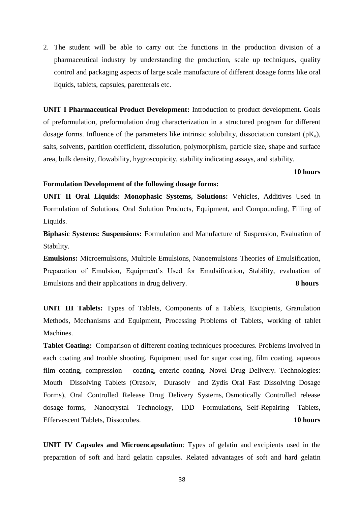2. The student will be able to carry out the functions in the production division of a pharmaceutical industry by understanding the production, scale up techniques, quality control and packaging aspects of large scale manufacture of different dosage forms like oral liquids, tablets, capsules, parenterals etc.

**UNIT I Pharmaceutical Product Development:** Introduction to product development. Goals of preformulation, preformulation drug characterization in a structured program for different dosage forms. Influence of the parameters like intrinsic solubility, dissociation constant  $(pK_a)$ , salts, solvents, partition coefficient, dissolution, polymorphism, particle size, shape and surface area, bulk density, flowability, hygroscopicity, stability indicating assays, and stability.

#### **10 hours**

#### **Formulation Development of the following dosage forms:**

**UNIT II Oral Liquids: Monophasic Systems, Solutions:** Vehicles, Additives Used in Formulation of Solutions, Oral Solution Products, Equipment, and Compounding, Filling of Liquids.

**Biphasic Systems: Suspensions:** Formulation and Manufacture of Suspension, Evaluation of Stability.

**Emulsions:** Microemulsions, Multiple Emulsions, Nanoemulsions Theories of Emulsification, Preparation of Emulsion, Equipment's Used for Emulsification, Stability, evaluation of Emulsions and their applications in drug delivery. **8 hours**

**UNIT III Tablets:** Types of Tablets, Components of a Tablets, Excipients, Granulation Methods, Mechanisms and Equipment, Processing Problems of Tablets, working of tablet Machines.

**Tablet Coating:** Comparison of different coating techniques procedures. Problems involved in each coating and trouble shooting. Equipment used for sugar coating, film coating, aqueous film coating, compression coating, enteric coating. Novel Drug Delivery. Technologies: Mouth Dissolving Tablets (Orasolv, Durasolv and Zydis Oral Fast Dissolving Dosage Forms), Oral Controlled Release Drug Delivery Systems, Osmotically Controlled release dosage forms, Nanocrystal Technology, IDD Formulations, Self-Repairing Tablets, Effervescent Tablets, Dissocubes. **10 hours**

**UNIT IV Capsules and Microencapsulation**: Types of gelatin and excipients used in the preparation of soft and hard gelatin capsules. Related advantages of soft and hard gelatin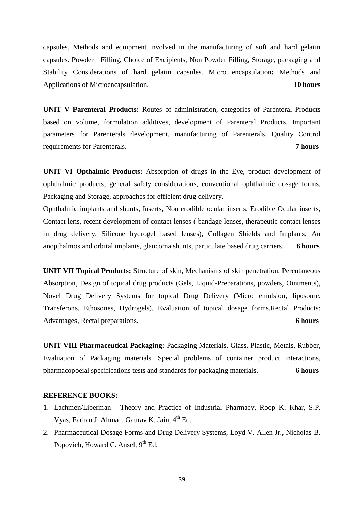capsules. Methods and equipment involved in the manufacturing of soft and hard gelatin capsules. Powder Filling, Choice of Excipients, Non Powder Filling, Storage, packaging and Stability Considerations of hard gelatin capsules. Micro encapsulation**:** Methods and Applications of Microencapsulation. **10 hours**

**UNIT V Parenteral Products:** Routes of administration, categories of Parenteral Products based on volume, formulation additives, development of Parenteral Products, Important parameters for Parenterals development, manufacturing of Parenterals, Quality Control requirements for Parenterals. **7 hours**

**UNIT VI Opthalmic Products:** Absorption of drugs in the Eye, product development of ophthalmic products, general safety considerations, conventional ophthalmic dosage forms, Packaging and Storage, approaches for efficient drug delivery.

Ophthalmic implants and shunts, Inserts, Non erodible ocular inserts, Erodible Ocular inserts, Contact lens, recent development of contact lenses ( bandage lenses, therapeutic contact lenses in drug delivery, Silicone hydrogel based lenses), Collagen Shields and Implants, An anopthalmos and orbital implants, glaucoma shunts, particulate based drug carriers. **6 hours**

**UNIT VII Topical Products:** Structure of skin, Mechanisms of skin penetration, Percutaneous Absorption, Design of topical drug products (Gels, Liquid-Preparations, powders, Ointments), Novel Drug Delivery Systems for topical Drug Delivery (Micro emulsion, liposome, Transferons, Ethosones, Hydrogels), Evaluation of topical dosage forms.Rectal Products: Advantages, Rectal preparations. **6 hours**

**UNIT VIII Pharmaceutical Packaging:** Packaging Materials, Glass, Plastic, Metals, Rubber, Evaluation of Packaging materials. Special problems of container product interactions, pharmacopoeial specifications tests and standards for packaging materials. **6 hours**

#### **REFERENCE BOOKS:**

- 1. Lachmen/Liberman Theory and Practice of Industrial Pharmacy, Roop K. Khar, S.P. Vyas, Farhan J. Ahmad, Gaurav K. Jain, 4<sup>th</sup> Ed.
- 2. Pharmaceutical Dosage Forms and Drug Delivery Systems, Loyd V. Allen Jr., Nicholas B. Popovich, Howard C. Ansel, 9<sup>th</sup> Ed.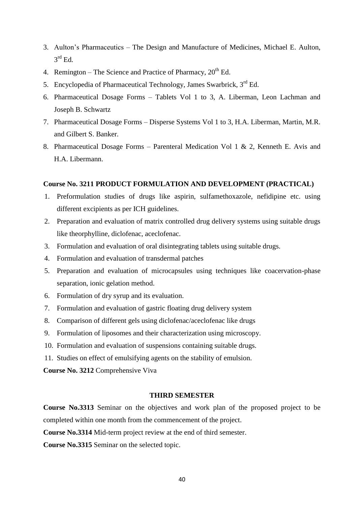- 3. Aulton's Pharmaceutics The Design and Manufacture of Medicines, Michael E. Aulton,  $3<sup>rd</sup>$  Ed.
- 4. Remington The Science and Practice of Pharmacy,  $20<sup>th</sup>$  Ed.
- 5. Encyclopedia of Pharmaceutical Technology, James Swarbrick, 3rd Ed.
- 6. Pharmaceutical Dosage Forms Tablets Vol 1 to 3, A. Liberman, Leon Lachman and Joseph B. Schwartz
- 7. Pharmaceutical Dosage Forms Disperse Systems Vol 1 to 3, H.A. Liberman, Martin, M.R. and Gilbert S. Banker.
- 8. Pharmaceutical Dosage Forms Parenteral Medication Vol 1 & 2, Kenneth E. Avis and H.A. Libermann.

#### **Course No. 3211 PRODUCT FORMULATION AND DEVELOPMENT (PRACTICAL)**

- 1. Preformulation studies of drugs like aspirin, sulfamethoxazole, nefidipine etc. using different excipients as per ICH guidelines.
- 2. Preparation and evaluation of matrix controlled drug delivery systems using suitable drugs like theorphylline, diclofenac, aceclofenac.
- 3. Formulation and evaluation of oral disintegrating tablets using suitable drugs.
- 4. Formulation and evaluation of transdermal patches
- 5. Preparation and evaluation of microcapsules using techniques like coacervation-phase separation, ionic gelation method.
- 6. Formulation of dry syrup and its evaluation.
- 7. Formulation and evaluation of gastric floating drug delivery system
- 8. Comparison of different gels using diclofenac/aceclofenac like drugs
- 9. Formulation of liposomes and their characterization using microscopy.
- 10. Formulation and evaluation of suspensions containing suitable drugs.
- 11. Studies on effect of emulsifying agents on the stability of emulsion.

**Course No. 3212** Comprehensive Viva

#### **THIRD SEMESTER**

**Course No.3313** Seminar on the objectives and work plan of the proposed project to be completed within one month from the commencement of the project.

**Course No.3314** Mid-term project review at the end of third semester.

**Course No.3315** Seminar on the selected topic.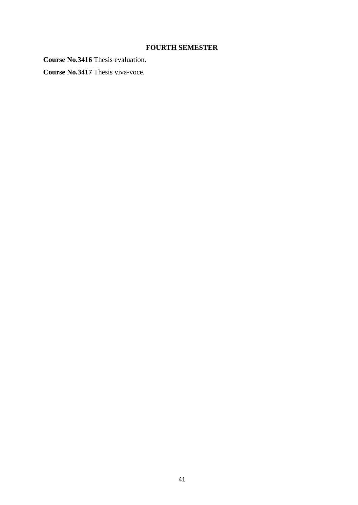# **FOURTH SEMESTER**

**Course No.3416** Thesis evaluation.

**Course No.3417** Thesis viva-voce.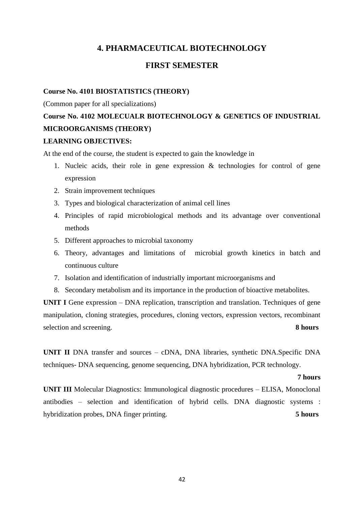## **4. PHARMACEUTICAL BIOTECHNOLOGY**

## **FIRST SEMESTER**

#### **Course No. 4101 BIOSTATISTICS (THEORY)**

(Common paper for all specializations)

# **Course No. 4102 MOLECUALR BIOTECHNOLOGY & GENETICS OF INDUSTRIAL MICROORGANISMS (THEORY)**

### **LEARNING OBJECTIVES:**

At the end of the course, the student is expected to gain the knowledge in

- 1. Nucleic acids, their role in gene expression & technologies for control of gene expression
- 2. Strain improvement techniques
- 3. Types and biological characterization of animal cell lines
- 4. Principles of rapid microbiological methods and its advantage over conventional methods
- 5. Different approaches to microbial taxonomy
- 6. Theory, advantages and limitations of microbial growth kinetics in batch and continuous culture
- 7. Isolation and identification of industrially important microorganisms and
- 8. Secondary metabolism and its importance in the production of bioactive metabolites.

**UNIT I** Gene expression – DNA replication, transcription and translation. Techniques of gene manipulation, cloning strategies, procedures, cloning vectors, expression vectors, recombinant selection and screening. **8 hours** 

**UNIT II** DNA transfer and sources – cDNA, DNA libraries, synthetic DNA.Specific DNA techniques- DNA sequencing, genome sequencing, DNA hybridization, PCR technology.

#### **7 hours**

**UNIT III** Molecular Diagnostics: Immunological diagnostic procedures – ELISA, Monoclonal antibodies – selection and identification of hybrid cells. DNA diagnostic systems : hybridization probes, DNA finger printing. **5 hours**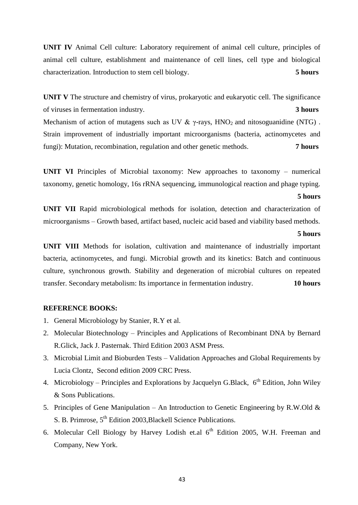**UNIT IV** Animal Cell culture: Laboratory requirement of animal cell culture, principles of animal cell culture, establishment and maintenance of cell lines, cell type and biological characterization. Introduction to stem cell biology. **5 hours**

**UNIT V** The structure and chemistry of virus, prokaryotic and eukaryotic cell. The significance of viruses in fermentation industry. **3 hours**

Mechanism of action of mutagens such as UV  $\& \gamma$ -rays, HNO<sub>2</sub> and nitosoguanidine (NTG). Strain improvement of industrially important microorganisms (bacteria, actinomycetes and fungi): Mutation, recombination, regulation and other genetic methods. **7 hours**

**UNIT VI** Principles of Microbial taxonomy: New approaches to taxonomy – numerical taxonomy, genetic homology, 16s rRNA sequencing, immunological reaction and phage typing.

#### **5 hours**

**UNIT VII** Rapid microbiological methods for isolation, detection and characterization of microorganisms – Growth based, artifact based, nucleic acid based and viability based methods.

#### **5 hours**

**UNIT VIII** Methods for isolation, cultivation and maintenance of industrially important bacteria, actinomycetes, and fungi. Microbial growth and its kinetics: Batch and continuous culture, synchronous growth. Stability and degeneration of microbial cultures on repeated transfer. Secondary metabolism: Its importance in fermentation industry. **10 hours**

#### **REFERENCE BOOKS:**

- 1. General Microbiology by Stanier, R.Y et al.
- 2. Molecular Biotechnology Principles and Applications of Recombinant DNA by Bernard R.Glick, Jack J. Pasternak. Third Edition 2003 ASM Press.
- 3. Microbial Limit and Bioburden Tests Validation Approaches and Global Requirements by Lucia Clontz, Second edition 2009 CRC Press.
- 4. Microbiology Principles and Explorations by Jacquelyn G.Black,  $6^{th}$  Edition, John Wiley & Sons Publications.
- 5. Principles of Gene Manipulation An Introduction to Genetic Engineering by R.W.Old & S. B. Primrose,  $5<sup>th</sup>$  Edition 2003, Blackell Science Publications.
- 6. Molecular Cell Biology by Harvey Lodish et.al  $6<sup>th</sup>$  Edition 2005, W.H. Freeman and Company, New York.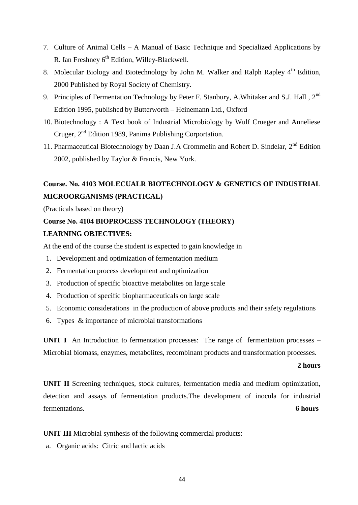- 7. Culture of Animal Cells A Manual of Basic Technique and Specialized Applications by R. Ian Freshney 6<sup>th</sup> Edition, Willey-Blackwell.
- 8. Molecular Biology and Biotechnology by John M. Walker and Ralph Rapley  $4<sup>th</sup>$  Edition, 2000 Published by Royal Society of Chemistry.
- 9. Principles of Fermentation Technology by Peter F. Stanbury, A.Whitaker and S.J. Hall, 2<sup>nd</sup> Edition 1995, published by Butterworth – Heinemann Ltd., Oxford
- 10. Biotechnology : A Text book of Industrial Microbiology by Wulf Crueger and Anneliese Cruger,  $2<sup>nd</sup>$  Edition 1989, Panima Publishing Corportation.
- 11. Pharmaceutical Biotechnology by Daan J.A Crommelin and Robert D. Sindelar, 2<sup>nd</sup> Edition 2002, published by Taylor & Francis, New York.

## **Course. No. 4103 MOLECUALR BIOTECHNOLOGY & GENETICS OF INDUSTRIAL MICROORGANISMS (PRACTICAL)**

(Practicals based on theory)

# **Course No. 4104 BIOPROCESS TECHNOLOGY (THEORY)**

## **LEARNING OBJECTIVES:**

At the end of the course the student is expected to gain knowledge in

- 1. Development and optimization of fermentation medium
- 2. Fermentation process development and optimization
- 3. Production of specific bioactive metabolites on large scale
- 4. Production of specific biopharmaceuticals on large scale
- 5. Economic considerations in the production of above products and their safety regulations
- 6. Types & importance of microbial transformations

**UNIT I** An Introduction to fermentation processes: The range of fermentation processes – Microbial biomass, enzymes, metabolites, recombinant products and transformation processes.

#### **2 hours**

**UNIT II** Screening techniques, stock cultures, fermentation media and medium optimization, detection and assays of fermentation products.The development of inocula for industrial fermentations. **6 hours**

**UNIT III** Microbial synthesis of the following commercial products:

a. Organic acids: Citric and lactic acids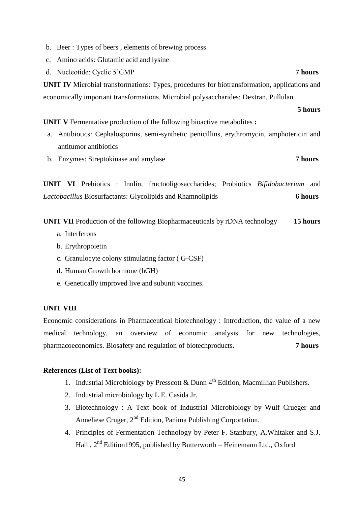- b. Beer : Types of beers , elements of brewing process.
- c. Amino acids: Glutamic acid and lysine
- d. Nucleotide: Cyclic 5'GMP **7 hours**

**UNIT IV** Microbial transformations: Types, procedures for biotransformation, applications and economically important transformations. Microbial polysaccharides: Dextran, Pullulan

**5 hours**

**UNIT V** Fermentative production of the following bioactive metabolites **:**

- a. Antibiotics: Cephalosporins, semi-synthetic penicillins, erythromycin, amphotericin and antitumor antibiotics
- b. Enzymes: Streptokinase and amylase **7 hours**

**UNIT VI** Prebiotics : Inulin, fructooligosaccharides; Probiotics *Bifidobacterium* and *Lactobacillus* Biosurfactants: Glycolipids and Rhamnolipids **6 hours**

**UNIT VII** Production of the following Biopharmaceuticals by rDNA technology **15 hours**

- a. Interferons
- b. Erythropoietin
- c. Granulocyte colony stimulating factor ( G-CSF)
- d. Human Growth hormone (hGH)
- e. Genetically improved live and subunit vaccines.

#### **UNIT VIII**

Economic considerations in Pharmaceutical biotechnology : Introduction, the value of a new medical technology, an overview of economic analysis for new technologies, pharmacoeconomics. Biosafety and regulation of biotechproducts**. 7 hours**

### **References (List of Text books):**

- 1. Industrial Microbiology by Presscott & Dunn  $4^{th}$  Edition, Macmillian Publishers.
- 2. Industrial microbiology by L.E. Casida Jr.
- 3. Biotechnology : A Text book of Industrial Microbiology by Wulf Crueger and Anneliese Cruger, 2<sup>nd</sup> Edition, Panima Publishing Corportation.
- 4. Principles of Fermentation Technology by Peter F. Stanbury, A.Whitaker and S.J. Hall,  $2<sup>nd</sup> Edition1995$ , published by Butterworth – Heinemann Ltd., Oxford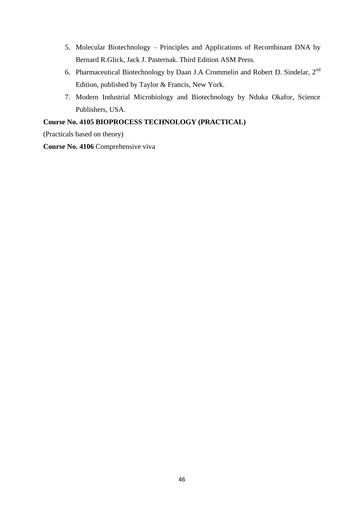- 5. Molecular Biotechnology Principles and Applications of Recombinant DNA by Bernard R.Glick, Jack J. Pasternak. Third Edition ASM Press.
- 6. Pharmaceutical Biotechnology by Daan J.A Crommelin and Robert D. Sindelar, 2nd Edition, published by Taylor & Francis, New York.
- 7. Modern Industrial Microbiology and Biotechnology by Nduka Okafor, Science Publishers, USA.

## **Course No. 4105 BIOPROCESS TECHNOLOGY (PRACTICAL)**

(Practicals based on theory)

**Course No. 4106** Comprehensive viva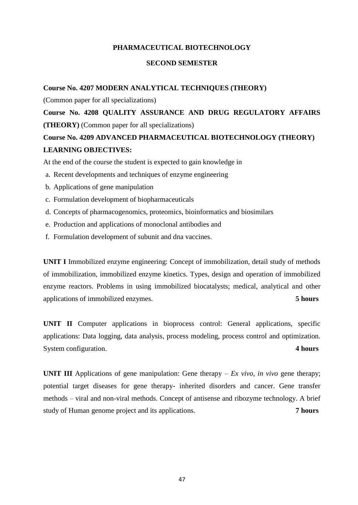#### **PHARMACEUTICAL BIOTECHNOLOGY**

#### **SECOND SEMESTER**

**Course No. 4207 MODERN ANALYTICAL TECHNIQUES (THEORY)**

(Common paper for all specializations)

**Course No. 4208 QUALITY ASSURANCE AND DRUG REGULATORY AFFAIRS (THEORY)** (Common paper for all specializations)

## **Course No. 4209 ADVANCED PHARMACEUTICAL BIOTECHNOLOGY (THEORY) LEARNING OBJECTIVES:**

At the end of the course the student is expected to gain knowledge in

- a. Recent developments and techniques of enzyme engineering
- b. Applications of gene manipulation
- c. Formulation development of biopharmaceuticals
- d. Concepts of pharmacogenomics, proteomics, bioinformatics and biosimilars
- e. Production and applications of monoclonal antibodies and
- f. Formulation development of subunit and dna vaccines.

**UNIT I** Immobilized enzyme engineering: Concept of immobilization, detail study of methods of immobilization, immobilized enzyme kinetics. Types, design and operation of immobilized enzyme reactors. Problems in using immobilized biocatalysts; medical, analytical and other applications of immobilized enzymes. **5 hours**

**UNIT II** Computer applications in bioprocess control: General applications, specific applications: Data logging, data analysis, process modeling, process control and optimization. System configuration. **4 hours** 

**UNIT III** Applications of gene manipulation: Gene therapy –  $Ex$  vivo, in vivo gene therapy; potential target diseases for gene therapy- inherited disorders and cancer. Gene transfer methods – viral and non-viral methods. Concept of antisense and ribozyme technology. A brief study of Human genome project and its applications. **7 hours**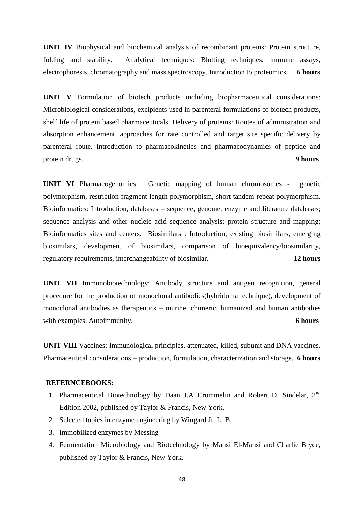**UNIT IV** Biophysical and biochemical analysis of recombinant proteins: Protein structure, folding and stability. Analytical techniques: Blotting techniques, immune assays, electrophoresis, chromatography and mass spectroscopy. Introduction to proteomics. **6 hours**

**UNIT V** Formulation of biotech products including biopharmaceutical considerations: Microbiological considerations, excipients used in parenteral formulations of biotech products, shelf life of protein based pharmaceuticals. Delivery of proteins: Routes of administration and absorption enhancement, approaches for rate controlled and target site specific delivery by parenteral route. Introduction to pharmacokinetics and pharmacodynamics of peptide and protein drugs. **9 hours**

**UNIT VI** Pharmacogenomics : Genetic mapping of human chromosomes - genetic polymorphism, restriction fragment length polymorphism, short tandem repeat polymorphism. Bioinformatics: Introduction, databases – sequence, genome, enzyme and literature databases; sequence analysis and other nucleic acid sequence analysis; protein structure and mapping; Bioinformatics sites and centers. Biosimilars : Introduction, existing biosimilars, emerging biosimilars, development of biosimilars, comparison of bioequivalency/biosimilarity, regulatory requirements, interchangeability of biosimilar. **12 hours**

**UNIT VII** Immunobiotechnology: Antibody structure and antigen recognition, general procedure for the production of monoclonal antibodies(hybridoma technique), development of monoclonal antibodies as therapeutics – murine, chimeric, humanized and human antibodies with examples. Autoimmunity. **6 hours** 6 **hours** 

**UNIT VIII** Vaccines: Immunological principles, attenuated, killed, subunit and DNA vaccines. Pharmaceutical considerations – production, formulation, characterization and storage. **6 hours**

#### **REFERNCEBOOKS:**

- 1. Pharmaceutical Biotechnology by Daan J.A Crommelin and Robert D. Sindelar, 2<sup>nd</sup> Edition 2002, published by Taylor & Francis, New York.
- 2. Selected topics in enzyme engineering by Wingard Jr. L. B.
- 3. Immobilized enzymes by Messing
- 4. Fermentation Microbiology and Biotechnology by Mansi El-Mansi and Charlie Bryce, published by Taylor & Francis, New York.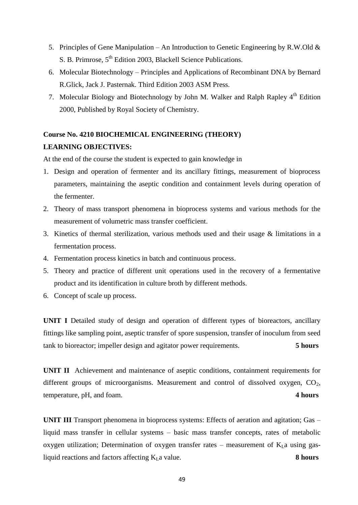- 5. Principles of Gene Manipulation An Introduction to Genetic Engineering by R.W.Old  $\&$ S. B. Primrose,  $5<sup>th</sup>$  Edition 2003, Blackell Science Publications.
- 6. Molecular Biotechnology Principles and Applications of Recombinant DNA by Bernard R.Glick, Jack J. Pasternak. Third Edition 2003 ASM Press.
- 7. Molecular Biology and Biotechnology by John M. Walker and Ralph Rapley 4<sup>th</sup> Edition 2000, Published by Royal Society of Chemistry.

# **Course No. 4210 BIOCHEMICAL ENGINEERING (THEORY) LEARNING OBJECTIVES:**

At the end of the course the student is expected to gain knowledge in

- 1. Design and operation of fermenter and its ancillary fittings, measurement of bioprocess parameters, maintaining the aseptic condition and containment levels during operation of the fermenter.
- 2. Theory of mass transport phenomena in bioprocess systems and various methods for the measurement of volumetric mass transfer coefficient.
- 3. Kinetics of thermal sterilization, various methods used and their usage & limitations in a fermentation process.
- 4. Fermentation process kinetics in batch and continuous process.
- 5. Theory and practice of different unit operations used in the recovery of a fermentative product and its identification in culture broth by different methods.
- 6. Concept of scale up process.

**UNIT I** Detailed study of design and operation of different types of bioreactors, ancillary fittings like sampling point, aseptic transfer of spore suspension, transfer of inoculum from seed tank to bioreactor; impeller design and agitator power requirements. **5 hours**

**UNIT II** Achievement and maintenance of aseptic conditions, containment requirements for different groups of microorganisms. Measurement and control of dissolved oxygen, CO<sub>2</sub>, temperature, pH, and foam. **4 hours**

**UNIT III** Transport phenomena in bioprocess systems: Effects of aeration and agitation; Gas – liquid mass transfer in cellular systems – basic mass transfer concepts, rates of metabolic oxygen utilization; Determination of oxygen transfer rates – measurement of  $K<sub>L</sub>a$  using gasliquid reactions and factors affecting  $K<sub>L</sub>$  a value. **8 hours**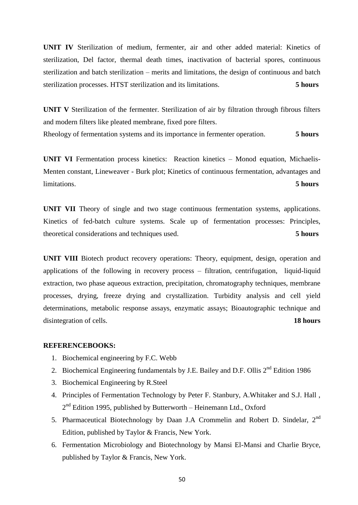**UNIT IV** Sterilization of medium, fermenter, air and other added material: Kinetics of sterilization, Del factor, thermal death times, inactivation of bacterial spores, continuous sterilization and batch sterilization – merits and limitations, the design of continuous and batch sterilization processes. HTST sterilization and its limitations. **5 hours**

**UNIT V** Sterilization of the fermenter. Sterilization of air by filtration through fibrous filters and modern filters like pleated membrane, fixed pore filters.

Rheology of fermentation systems and its importance in fermenter operation. **5 hours**

**UNIT VI** Fermentation process kinetics: Reaction kinetics – Monod equation, Michaelis-Menten constant, Lineweaver - Burk plot; Kinetics of continuous fermentation, advantages and limitations. **5 hours**

**UNIT VII** Theory of single and two stage continuous fermentation systems, applications. Kinetics of fed-batch culture systems. Scale up of fermentation processes: Principles, theoretical considerations and techniques used. **5 hours**

**UNIT VIII** Biotech product recovery operations: Theory, equipment, design, operation and applications of the following in recovery process – filtration, centrifugation, liquid-liquid extraction, two phase aqueous extraction, precipitation, chromatography techniques, membrane processes, drying, freeze drying and crystallization. Turbidity analysis and cell yield determinations, metabolic response assays, enzymatic assays; Bioautographic technique and disintegration of cells. **18 hours**

#### **REFERENCEBOOKS:**

- 1. Biochemical engineering by F.C. Webb
- 2. Biochemical Engineering fundamentals by J.E. Bailey and D.F. Ollis  $2<sup>nd</sup>$  Edition 1986
- 3. Biochemical Engineering by R.Steel
- 4. Principles of Fermentation Technology by Peter F. Stanbury, A.Whitaker and S.J. Hall , 2<sup>nd</sup> Edition 1995, published by Butterworth – Heinemann Ltd., Oxford
- 5. Pharmaceutical Biotechnology by Daan J.A Crommelin and Robert D. Sindelar, 2<sup>nd</sup> Edition, published by Taylor & Francis, New York.
- 6. Fermentation Microbiology and Biotechnology by Mansi El-Mansi and Charlie Bryce, published by Taylor & Francis, New York.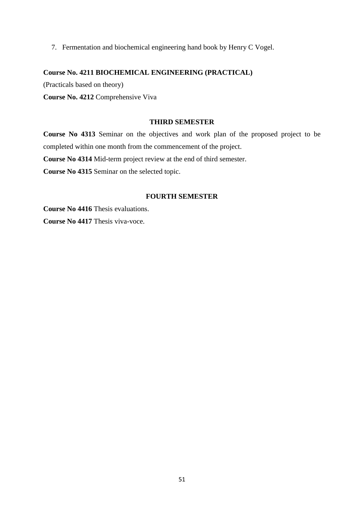7. Fermentation and biochemical engineering hand book by Henry C Vogel.

#### **Course No. 4211 BIOCHEMICAL ENGINEERING (PRACTICAL)**

(Practicals based on theory)

**Course No. 4212** Comprehensive Viva

#### **THIRD SEMESTER**

**Course No 4313** Seminar on the objectives and work plan of the proposed project to be completed within one month from the commencement of the project.

**Course No 4314** Mid-term project review at the end of third semester.

**Course No 4315** Seminar on the selected topic.

#### **FOURTH SEMESTER**

**Course No 4416** Thesis evaluations. **Course No 4417** Thesis viva-voce.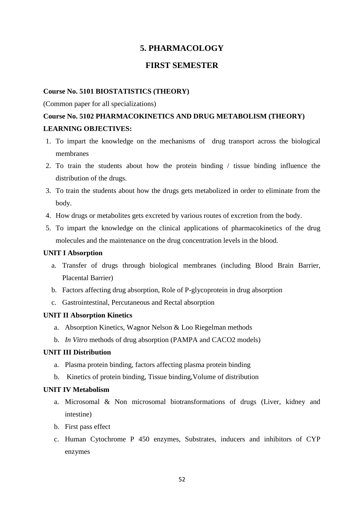## **5. PHARMACOLOGY**

## **FIRST SEMESTER**

#### **Course No. 5101 BIOSTATISTICS (THEORY)**

#### (Common paper for all specializations)

## **Course No. 5102 PHARMACOKINETICS AND DRUG METABOLISM (THEORY) LEARNING OBJECTIVES:**

- 1. To impart the knowledge on the mechanisms of drug transport across the biological membranes
- 2. To train the students about how the protein binding / tissue binding influence the distribution of the drugs.
- 3. To train the students about how the drugs gets metabolized in order to eliminate from the body.
- 4. How drugs or metabolites gets excreted by various routes of excretion from the body.
- 5. To impart the knowledge on the clinical applications of pharmacokinetics of the drug molecules and the maintenance on the drug concentration levels in the blood.

#### **UNIT I Absorption**

- a. Transfer of drugs through biological membranes (including Blood Brain Barrier, Placental Barrier)
- b. Factors affecting drug absorption, Role of P-glycoprotein in drug absorption
- c. Gastrointestinal, Percutaneous and Rectal absorption

#### **UNIT II Absorption Kinetics**

- a. Absorption Kinetics, Wagnor Nelson & Loo Riegelman methods
- b. *In Vitro* methods of drug absorption (PAMPA and CACO2 models)

#### **UNIT III Distribution**

- a. Plasma protein binding, factors affecting plasma protein binding
- b. Kinetics of protein binding, Tissue binding,Volume of distribution

#### **UNIT IV Metabolism**

- a. Microsomal & Non microsomal biotransformations of drugs (Liver, kidney and intestine)
- b. First pass effect
- c. Human Cytochrome P 450 enzymes, Substrates, inducers and inhibitors of CYP enzymes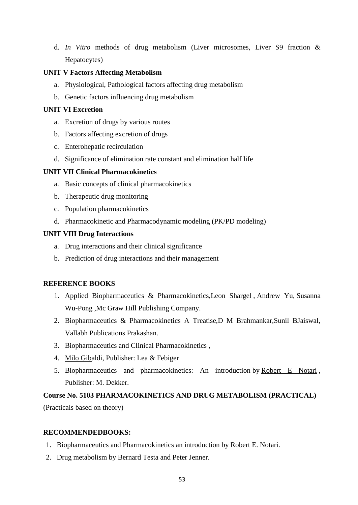d. *In Vitro* methods of drug metabolism (Liver microsomes, Liver S9 fraction & Hepatocytes)

### **UNIT V Factors Affecting Metabolism**

- a. Physiological, Pathological factors affecting drug metabolism
- b. Genetic factors influencing drug metabolism

### **UNIT VI Excretion**

- a. Excretion of drugs by various routes
- b. Factors affecting excretion of drugs
- c. Enterohepatic recirculation
- d. Significance of elimination rate constant and elimination half life

## **UNIT VII Clinical Pharmacokinetics**

- a. Basic concepts of clinical pharmacokinetics
- b. Therapeutic drug monitoring
- c. Population pharmacokinetics
- d. Pharmacokinetic and Pharmacodynamic modeling (PK/PD modeling)

### **UNIT VIII Drug Interactions**

- a. Drug interactions and their clinical significance
- b. Prediction of drug interactions and their management

## **REFERENCE BOOKS**

- 1. Applied Biopharmaceutics & Pharmacokinetics,Leon Shargel , Andrew Yu, Susanna Wu-Pong ,Mc Graw Hill Publishing Company.
- 2. Biopharmaceutics & Pharmacokinetics A Treatise,D M Brahmankar,Sunil BJaiswal, Vallabh Publications Prakashan.
- 3. Biopharmaceutics and Clinical Pharmacokinetics ,
- 4. [Milo Giba](http://www.amazon.com/Milo-Gibaldi/e/B001HCY2B8/ref=ntt_athr_dp_pel_1)ldi, Publisher: Lea & Febiger
- 5. Biopharmaceutics and pharmacokinetics: An introduction by [Robert E Notari](http://www.amazon.com/Robert-E-Notari/e/B001KI5GI2/ref=ntt_athr_dp_pel_1), Publisher: M. Dekker.

# **Course No. 5103 PHARMACOKINETICS AND DRUG METABOLISM (PRACTICAL)**

(Practicals based on theory)

#### **RECOMMENDEDBOOKS:**

- 1. Biopharmaceutics and Pharmacokinetics an introduction by Robert E. Notari.
- 2. Drug metabolism by Bernard Testa and Peter Jenner.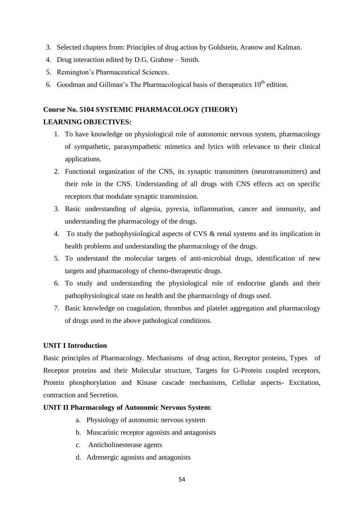- 3. Selected chapters from: Principles of drug action by Goldstein, Aranow and Kalman.
- 4. Drug interaction edited by D.G. Grahme Smith.
- 5. Remington's Pharmaceutical Sciences.
- 6. Goodman and Gillman's The Pharmacological basis of the rapeutics  $10<sup>th</sup>$  edition.

### **Course No. 5104 SYSTEMIC PHARMACOLOGY (THEORY)**

#### **LEARNING OBJECTIVES:**

- 1. To have knowledge on physiological role of autonomic nervous system, pharmacology of sympathetic, parasympathetic mimetics and lytics with relevance to their clinical applications.
- 2. Functional organization of the CNS, its synaptic transmitters (neurotransmitters) and their role in the CNS. Understanding of all drugs with CNS effects act on specific receptors that modulate synaptic transmission.
- 3. Basic understanding of algesia, pyrexia, inflammation, cancer and immunity, and understanding the pharmacology of the drugs.
- 4. To study the pathophysiological aspects of CVS & renal systems and its implication in health problems and understanding the pharmacology of the drugs.
- 5. To understand the molecular targets of anti-microbial drugs, identification of new targets and pharmacology of chemo-therapeutic drugs.
- 6. To study and understanding the physiological role of endocrine glands and their pathophysiological state on health and the pharmacology of drugs used.
- 7. Basic knowledge on coagulation, thrombus and platelet aggregation and pharmacology of drugs used in the above pathological conditions.

### **UNIT I Introduction**

Basic principles of Pharmacology. Mechanisms of drug action, Receptor proteins, Types of Receptor proteins and their Molecular structure, Targets for G-Protein coupled receptors, Protein phosphorylation and Kinase cascade mechanisms, Cellular aspects- Excitation, contraction and Secretion.

#### **UNIT II Pharmacology of Autonomic Nervous System**:

- a. Physiology of autonomic nervous system
- b. Muscarinic receptor agonists and antagonists
- c. Anticholinesterase agents
- d. Adrenergic agonists and antagonists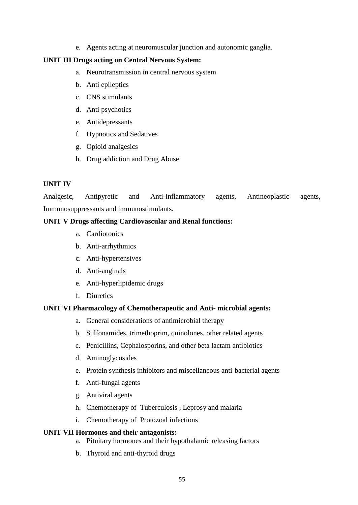e. Agents acting at neuromuscular junction and autonomic ganglia.

#### **UNIT III Drugs acting on Central Nervous System:**

- a. Neurotransmission in central nervous system
- b. Anti epileptics
- c. CNS stimulants
- d. Anti psychotics
- e. Antidepressants
- f. Hypnotics and Sedatives
- g. Opioid analgesics
- h. Drug addiction and Drug Abuse

#### **UNIT IV**

Analgesic, Antipyretic and Anti-inflammatory agents, Antineoplastic agents, Immunosuppressants and immunostimulants.

#### **UNIT V Drugs affecting Cardiovascular and Renal functions:**

- a. Cardiotonics
- b. Anti-arrhythmics
- c. Anti-hypertensives
- d. Anti-anginals
- e. Anti-hyperlipidemic drugs
- f. Diuretics

#### **UNIT VI Pharmacology of Chemotherapeutic and Anti- microbial agents:**

- a. General considerations of antimicrobial therapy
- b. Sulfonamides, trimethoprim, quinolones, other related agents
- c. Penicillins, Cephalosporins, and other beta lactam antibiotics
- d. Aminoglycosides
- e. Protein synthesis inhibitors and miscellaneous anti-bacterial agents
- f. Anti-fungal agents
- g. Antiviral agents
- h. Chemotherapy of Tuberculosis , Leprosy and malaria
- i. Chemotherapy of Protozoal infections

#### **UNIT VII Hormones and their antagonists:**

- a. Pituitary hormones and their hypothalamic releasing factors
- b. Thyroid and anti-thyroid drugs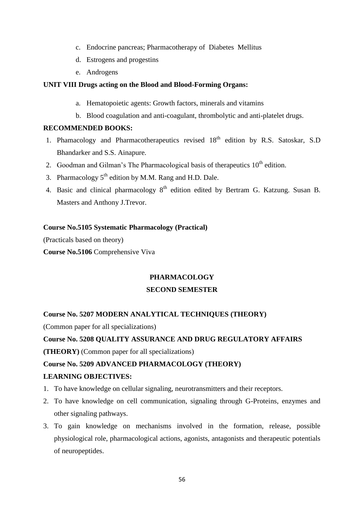- c. Endocrine pancreas; Pharmacotherapy of Diabetes Mellitus
- d. Estrogens and progestins
- e. Androgens

## **UNIT VIII Drugs acting on the Blood and Blood-Forming Organs:**

- a. Hematopoietic agents: Growth factors, minerals and vitamins
- b. Blood coagulation and anti-coagulant, thrombolytic and anti-platelet drugs.

#### **RECOMMENDED BOOKS:**

- 1. Phamacology and Pharmacotherapeutics revised  $18<sup>th</sup>$  edition by R.S. Satoskar, S.D Bhandarker and S.S. Ainapure.
- 2. Goodman and Gilman's The Pharmacological basis of therapeutics  $10<sup>th</sup>$  edition.
- 3. Pharmacology  $5<sup>th</sup>$  edition by M.M. Rang and H.D. Dale.
- 4. Basic and clinical pharmacology 8<sup>th</sup> edition edited by Bertram G. Katzung. Susan B. Masters and Anthony J.Trevor.

### **Course No.5105 Systematic Pharmacology (Practical)**

(Practicals based on theory)

**Course No.5106** Comprehensive Viva

## **PHARMACOLOGY**

## **SECOND SEMESTER**

## **Course No. 5207 MODERN ANALYTICAL TECHNIQUES (THEORY)**

(Common paper for all specializations)

## **Course No. 5208 QUALITY ASSURANCE AND DRUG REGULATORY AFFAIRS**

**(THEORY)** (Common paper for all specializations)

## **Course No. 5209 ADVANCED PHARMACOLOGY (THEORY)**

#### **LEARNING OBJECTIVES:**

- 1. To have knowledge on cellular signaling, neurotransmitters and their receptors.
- 2. To have knowledge on cell communication, signaling through G-Proteins, enzymes and other signaling pathways.
- 3. To gain knowledge on mechanisms involved in the formation, release, possible physiological role, pharmacological actions, agonists, antagonists and therapeutic potentials of neuropeptides.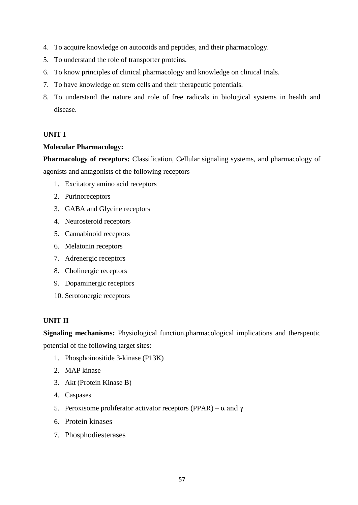- 4. To acquire knowledge on autocoids and peptides, and their pharmacology.
- 5. To understand the role of transporter proteins.
- 6. To know principles of clinical pharmacology and knowledge on clinical trials.
- 7. To have knowledge on stem cells and their therapeutic potentials.
- 8. To understand the nature and role of free radicals in biological systems in health and disease.

### **UNIT I**

#### **Molecular Pharmacology:**

Pharmacology of receptors: Classification, Cellular signaling systems, and pharmacology of agonists and antagonists of the following receptors

- 1. Excitatory amino acid receptors
- 2. Purinoreceptors
- 3. GABA and Glycine receptors
- 4. Neurosteroid receptors
- 5. Cannabinoid receptors
- 6. Melatonin receptors
- 7. Adrenergic receptors
- 8. Cholinergic receptors
- 9. Dopaminergic receptors
- 10. Serotonergic receptors

## **UNIT II**

**Signaling mechanisms:** Physiological function,pharmacological implications and therapeutic potential of the following target sites:

- 1. Phosphoinositide 3-kinase (P13K)
- 2. MAP kinase
- 3. Akt (Protein Kinase B)
- 4. Caspases
- 5. Peroxisome proliferator activator receptors (PPAR) α and γ
- 6. Protein kinases
- 7. Phosphodiesterases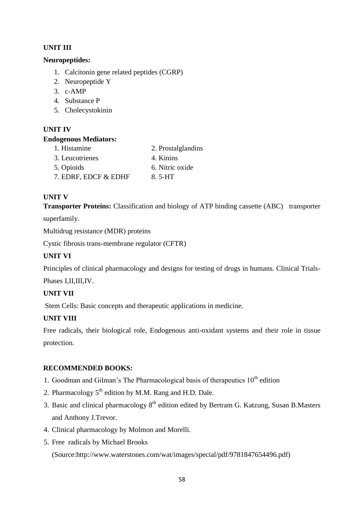## **UNIT III**

## **Neuropeptides:**

- 1. Calcitonin gene related peptides (CGRP)
- 2. Neuropeptide Y
- 3. c-AMP
- 4. Substance P
- 5. Cholecystokinin

## **UNIT IV**

## **Endogenous Mediators:**

- 1. Histamine 2. Prostalglandins 3. Leucotrienes 4. Kinins 5. Opioids 6. Nitric oxide
- 7. EDRF, EDCF  $&$  EDHF 8. 5-HT

## **UNIT V**

**Transporter Proteins:** Classification and biology of ATP binding cassette (ABC) transporter

superfamily.

Multidrug resistance (MDR) proteins

Cystic fibrosis trans-membrane regulator (CFTR)

## **UNIT VI**

Principles of clinical pharmacology and designs for testing of drugs in humans. Clinical Trials-

Phases I,II,III,IV.

## **UNIT VII**

Stem Cells: Basic concepts and therapeutic applications in medicine.

## **UNIT VIII**

Free radicals, their biological role, Endogenous anti-oxidant systems and their role in tissue protection.

## **RECOMMENDED BOOKS:**

- 1. Goodman and Gilman's The Pharmacological basis of the rapeutics  $10<sup>th</sup>$  edition
- 2. Pharmacology  $5<sup>th</sup>$  edition by M.M. Rang and H.D. Dale.
- 3. Basic and clinical pharmacology  $8<sup>th</sup>$  edition edited by Bertram G. Katzung, Susan B.Masters and Anthony J.Trevor.
- 4. Clinical pharmacology by Molmon and Morelli.
- 5. Free radicals by Michael Brooks

(Source:http://www.waterstones.com/wat/images/special/pdf/9781847654496.pdf)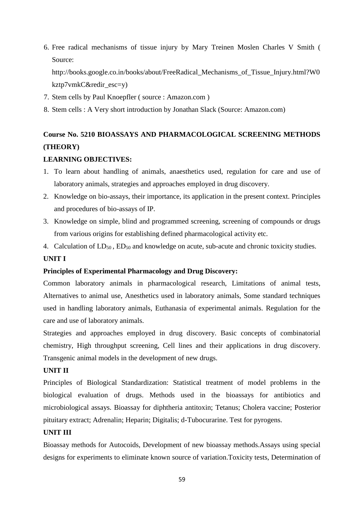6. Free radical mechanisms of tissue injury by Mary Treinen Moslen Charles V Smith ( Source:

http://books.google.co.in/books/about/FreeRadical\_Mechanisms\_of\_Tissue\_Injury.html?W0 kztp7vmkC&redir\_esc=y)

- 7. Stem cells by Paul Knoepfler ( source : Amazon.com )
- 8. Stem cells : A Very short introduction by Jonathan Slack (Source: Amazon.com)

# **Course No. 5210 BIOASSAYS AND PHARMACOLOGICAL SCREENING METHODS (THEORY)**

#### **LEARNING OBJECTIVES:**

- 1. To learn about handling of animals, anaesthetics used, regulation for care and use of laboratory animals, strategies and approaches employed in drug discovery.
- 2. Knowledge on bio-assays, their importance, its application in the present context. Principles and procedures of bio-assays of IP.
- 3. Knowledge on simple, blind and programmed screening, screening of compounds or drugs from various origins for establishing defined pharmacological activity etc.
- 4. Calculation of  $LD_{50}$ ,  $ED_{50}$  and knowledge on acute, sub-acute and chronic toxicity studies.

#### **UNIT I**

#### **Principles of Experimental Pharmacology and Drug Discovery:**

Common laboratory animals in pharmacological research, Limitations of animal tests, Alternatives to animal use, Anesthetics used in laboratory animals, Some standard techniques used in handling laboratory animals, Euthanasia of experimental animals. Regulation for the care and use of laboratory animals.

Strategies and approaches employed in drug discovery. Basic concepts of combinatorial chemistry, High throughput screening, Cell lines and their applications in drug discovery. Transgenic animal models in the development of new drugs.

### **UNIT II**

Principles of Biological Standardization: Statistical treatment of model problems in the biological evaluation of drugs. Methods used in the bioassays for antibiotics and microbiological assays. Bioassay for diphtheria antitoxin; Tetanus; Cholera vaccine; Posterior pituitary extract; Adrenalin; Heparin; Digitalis; d-Tubocurarine. Test for pyrogens.

#### **UNIT III**

Bioassay methods for Autocoids, Development of new bioassay methods.Assays using special designs for experiments to eliminate known source of variation.Toxicity tests, Determination of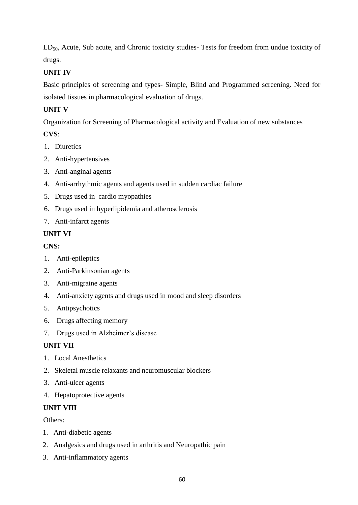LD<sub>50</sub>, Acute, Sub acute, and Chronic toxicity studies- Tests for freedom from undue toxicity of drugs.

## **UNIT IV**

Basic principles of screening and types- Simple, Blind and Programmed screening. Need for isolated tissues in pharmacological evaluation of drugs.

## **UNIT V**

Organization for Screening of Pharmacological activity and Evaluation of new substances

## **CVS**:

- 1. Diuretics
- 2. Anti-hypertensives
- 3. Anti-anginal agents
- 4. Anti-arrhythmic agents and agents used in sudden cardiac failure
- 5. Drugs used in cardio myopathies
- 6. Drugs used in hyperlipidemia and atherosclerosis
- 7. Anti-infarct agents

## **UNIT VI**

## **CNS:**

- 1. Anti-epileptics
- 2. Anti-Parkinsonian agents
- 3. Anti-migraine agents
- 4. Anti-anxiety agents and drugs used in mood and sleep disorders
- 5. Antipsychotics
- 6. Drugs affecting memory
- 7. Drugs used in Alzheimer's disease

## **UNIT VII**

- 1. Local Anesthetics
- 2. Skeletal muscle relaxants and neuromuscular blockers
- 3. Anti-ulcer agents
- 4. Hepatoprotective agents

## **UNIT VIII**

Others:

- 1. Anti-diabetic agents
- 2. Analgesics and drugs used in arthritis and Neuropathic pain
- 3. Anti-inflammatory agents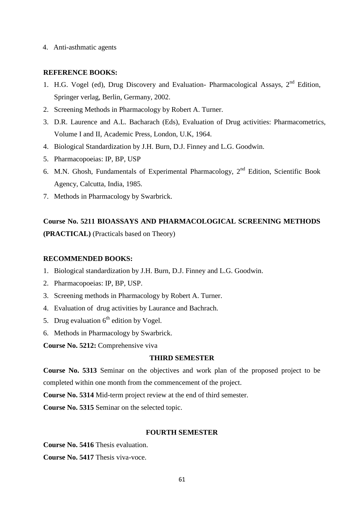4. Anti-asthmatic agents

#### **REFERENCE BOOKS:**

- 1. H.G. Vogel (ed), Drug Discovery and Evaluation- Pharmacological Assays,  $2<sup>nd</sup>$  Edition, Springer verlag, Berlin, Germany, 2002.
- 2. Screening Methods in Pharmacology by Robert A. Turner.
- 3. D.R. Laurence and A.L. Bacharach (Eds), Evaluation of Drug activities: Pharmacometrics, Volume I and II, Academic Press, London, U.K, 1964.
- 4. Biological Standardization by J.H. Burn, D.J. Finney and L.G. Goodwin.
- 5. Pharmacopoeias: IP, BP, USP
- 6. M.N. Ghosh, Fundamentals of Experimental Pharmacology, 2nd Edition, Scientific Book Agency, Calcutta, India, 1985.
- 7. Methods in Pharmacology by Swarbrick.

## **Course No. 5211 BIOASSAYS AND PHARMACOLOGICAL SCREENING METHODS (PRACTICAL)** (Practicals based on Theory)

#### **RECOMMENDED BOOKS:**

- 1. Biological standardization by J.H. Burn, D.J. Finney and L.G. Goodwin.
- 2. Pharmacopoeias: IP, BP, USP.
- 3. Screening methods in Pharmacology by Robert A. Turner.
- 4. Evaluation of drug activities by Laurance and Bachrach.
- 5. Drug evaluation  $6<sup>th</sup>$  edition by Vogel.
- 6. Methods in Pharmacology by Swarbrick.

**Course No. 5212:** Comprehensive viva

#### **THIRD SEMESTER**

**Course No. 5313** Seminar on the objectives and work plan of the proposed project to be completed within one month from the commencement of the project.

**Course No. 5314** Mid-term project review at the end of third semester.

**Course No. 5315** Seminar on the selected topic.

#### **FOURTH SEMESTER**

**Course No. 5416** Thesis evaluation.

**Course No. 5417** Thesis viva-voce.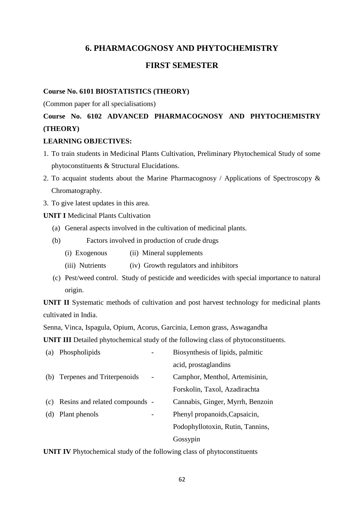## **6. PHARMACOGNOSY AND PHYTOCHEMISTRY**

## **FIRST SEMESTER**

#### **Course No. 6101 BIOSTATISTICS (THEORY)**

(Common paper for all specialisations)

## **Course No. 6102 ADVANCED PHARMACOGNOSY AND PHYTOCHEMISTRY (THEORY)**

#### **LEARNING OBJECTIVES:**

- 1. To train students in Medicinal Plants Cultivation, Preliminary Phytochemical Study of some phytoconstituents & Structural Elucidations.
- 2. To acquaint students about the Marine Pharmacognosy / Applications of Spectroscopy & Chromatography.
- 3. To give latest updates in this area.

**UNIT I Medicinal Plants Cultivation** 

- (a) General aspects involved in the cultivation of medicinal plants.
- (b) Factors involved in production of crude drugs
	- (i) Exogenous (ii) Mineral supplements
	- (iii) Nutrients (iv) Growth regulators and inhibitors
- (c) Pest/weed control. Study of pesticide and weedicides with special importance to natural origin.

**UNIT II** Systematic methods of cultivation and post harvest technology for medicinal plants cultivated in India.

Senna, Vinca, Ispagula, Opium, Acorus, Garcinia, Lemon grass, Aswagandha

**UNIT III** Detailed phytochemical study of the following class of phytoconstituents.

| (a) | Phospholipids                  | Biosynthesis of lipids, palmitic |
|-----|--------------------------------|----------------------------------|
|     |                                | acid, prostaglandins             |
| (b) | Terpenes and Triterpenoids     | Camphor, Menthol, Artemisinin,   |
|     |                                | Forskolin, Taxol, Azadirachta    |
| (c) | Resins and related compounds - | Cannabis, Ginger, Myrrh, Benzoin |
| (d) | Plant phenols                  | Phenyl propanoids, Capsaicin,    |
|     |                                | Podophyllotoxin, Rutin, Tannins, |
|     |                                | Gossypin                         |

**UNIT IV** Phytochemical study of the following class of phytoconstituents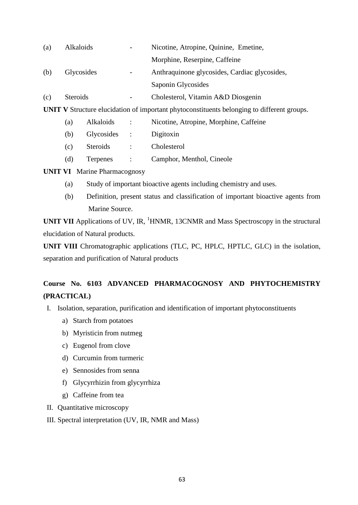| (a)               | Alkaloids |                 |                                               | Nicotine, Atropine, Quinine, Emetine,                                                             |
|-------------------|-----------|-----------------|-----------------------------------------------|---------------------------------------------------------------------------------------------------|
|                   |           |                 |                                               | Morphine, Reserpine, Caffeine                                                                     |
| (b)<br>Glycosides |           |                 | Anthraquinone glycosides, Cardiac glycosides, |                                                                                                   |
|                   |           |                 |                                               | Saponin Glycosides                                                                                |
| (c)               | Steroids  |                 |                                               | Cholesterol, Vitamin A&D Diosgenin                                                                |
|                   |           |                 |                                               | <b>UNIT V</b> Structure elucidation of important phytoconstituents belonging to different groups. |
|                   | (a)       | Alkaloids       | $\ddot{\cdot}$                                | Nicotine, Atropine, Morphine, Caffeine                                                            |
|                   | (b)       | Glycosides :    |                                               | Digitoxin                                                                                         |
|                   | (c)       | <b>Steroids</b> | $\ddot{\cdot}$                                | Cholesterol                                                                                       |
|                   | (d)       | Terpenes        | $\ddot{\cdot}$                                | Camphor, Menthol, Cineole                                                                         |
|                   |           |                 |                                               |                                                                                                   |

**UNIT VI** Marine Pharmacognosy

- (a) Study of important bioactive agents including chemistry and uses.
- (b) Definition, present status and classification of important bioactive agents from Marine Source.

**UNIT VII** Applications of UV, IR, <sup>1</sup>HNMR, 13CNMR and Mass Spectroscopy in the structural elucidation of Natural products.

**UNIT VIII** Chromatographic applications (TLC, PC, HPLC, HPTLC, GLC) in the isolation, separation and purification of Natural products

## **Course No. 6103 ADVANCED PHARMACOGNOSY AND PHYTOCHEMISTRY (PRACTICAL)**

- I. Isolation, separation, purification and identification of important phytoconstituents
	- a) Starch from potatoes
	- b) Myristicin from nutmeg
	- c) Eugenol from clove
	- d) Curcumin from turmeric
	- e) Sennosides from senna
	- f) Glycyrrhizin from glycyrrhiza
	- g) Caffeine from tea
- II. Quantitative microscopy
- III. Spectral interpretation (UV, IR, NMR and Mass)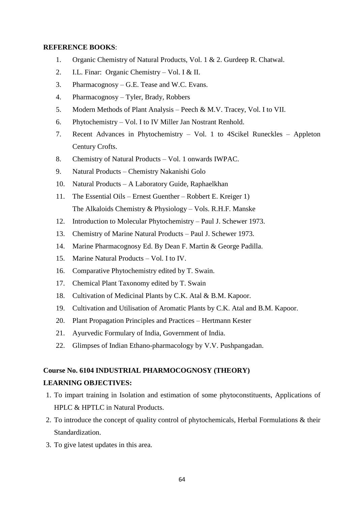#### **REFERENCE BOOKS**:

- 1. Organic Chemistry of Natural Products, Vol. 1 & 2. Gurdeep R. Chatwal.
- 2. I.L. Finar: Organic Chemistry Vol. I & II.
- 3. Pharmacognosy G.E. Tease and W.C. Evans.
- 4. Pharmacognosy Tyler, Brady, Robbers
- 5. Modern Methods of Plant Analysis Peech & M.V. Tracey, Vol. I to VII.
- 6. Phytochemistry Vol. I to IV Miller Jan Nostrant Renhold.
- 7. Recent Advances in Phytochemistry Vol. 1 to 4Scikel Runeckles Appleton Century Crofts.
- 8. Chemistry of Natural Products Vol. 1 onwards IWPAC.
- 9. Natural Products Chemistry Nakanishi Golo
- 10. Natural Products A Laboratory Guide, Raphaelkhan
- 11. The Essential Oils Ernest Guenther Robbert E. Kreiger 1) The Alkaloids Chemistry & Physiology – Vols. R.H.F. Manske
- 12. Introduction to Molecular Phytochemistry Paul J. Schewer 1973.
- 13. Chemistry of Marine Natural Products Paul J. Schewer 1973.
- 14. Marine Pharmacognosy Ed. By Dean F. Martin & George Padilla.
- 15. Marine Natural Products Vol. I to IV.
- 16. Comparative Phytochemistry edited by T. Swain.
- 17. Chemical Plant Taxonomy edited by T. Swain
- 18. Cultivation of Medicinal Plants by C.K. Atal & B.M. Kapoor.
- 19. Cultivation and Utilisation of Aromatic Plants by C.K. Atal and B.M. Kapoor.
- 20. Plant Propagation Principles and Practices Hertmann Kester
- 21. Ayurvedic Formulary of India, Government of India.
- 22. Glimpses of Indian Ethano-pharmacology by V.V. Pushpangadan.

## **Course No. 6104 INDUSTRIAL PHARMOCOGNOSY (THEORY)**

#### **LEARNING OBJECTIVES:**

- 1. To impart training in Isolation and estimation of some phytoconstituents, Applications of HPLC & HPTLC in Natural Products.
- 2. To introduce the concept of quality control of phytochemicals, Herbal Formulations & their Standardization.
- 3. To give latest updates in this area.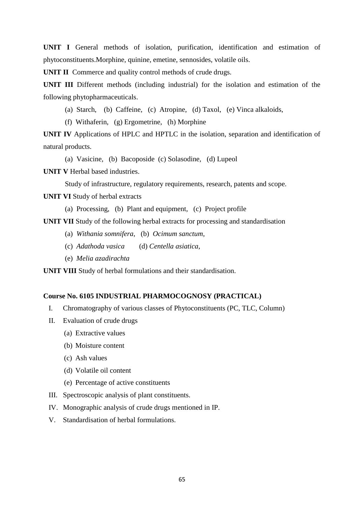**UNIT I** General methods of isolation, purification, identification and estimation of phytoconstituents.Morphine, quinine, emetine, sennosides, volatile oils.

**UNIT II** Commerce and quality control methods of crude drugs.

**UNIT III** Different methods (including industrial) for the isolation and estimation of the following phytopharmaceuticals.

(a) Starch, (b) Caffeine, (c) Atropine, (d) Taxol, (e) Vinca alkaloids,

(f) Withaferin, (g) Ergometrine, (h) Morphine

**UNIT IV** Applications of HPLC and HPTLC in the isolation, separation and identification of natural products.

(a) Vasicine, (b) Bacoposide (c) Solasodine, (d) Lupeol

**UNIT V** Herbal based industries.

Study of infrastructure, regulatory requirements, research, patents and scope.

**UNIT VI** Study of herbal extracts

(a) Processing, (b) Plant and equipment, (c) Project profile

**UNIT VII** Study of the following herbal extracts for processing and standardisation

- (a) *Withania somnifera*, (b) *Ocimum sanctum*,
- (c) *Adathoda vasica* (d) *Centella asiatica*,
- (e) *Melia azadirachta*

**UNIT VIII** Study of herbal formulations and their standardisation.

#### **Course No. 6105 INDUSTRIAL PHARMOCOGNOSY (PRACTICAL)**

- I. Chromatography of various classes of Phytoconstituents (PC, TLC, Column)
- II. Evaluation of crude drugs
	- (a) Extractive values
	- (b) Moisture content
	- (c) Ash values
	- (d) Volatile oil content
	- (e) Percentage of active constituents
- III. Spectroscopic analysis of plant constituents.
- IV. Monographic analysis of crude drugs mentioned in IP.
- V. Standardisation of herbal formulations.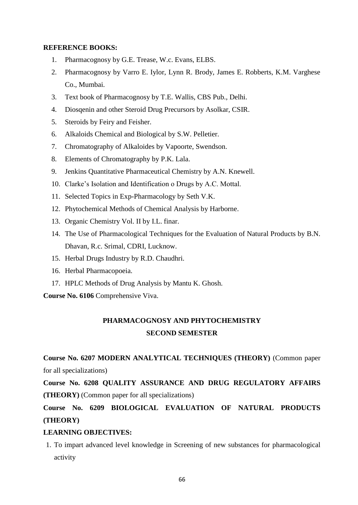#### **REFERENCE BOOKS:**

- 1. Pharmacognosy by G.E. Trease, W.c. Evans, ELBS.
- 2. Pharmacognosy by Varro E. Iylor, Lynn R. Brody, James E. Robberts, K.M. Varghese Co., Mumbai.
- 3. Text book of Pharmacognosy by T.E. Wallis, CBS Pub., Delhi.
- 4. Diosqenin and other Steroid Drug Precursors by Asolkar, CSIR.
- 5. Steroids by Feiry and Feisher.
- 6. Alkaloids Chemical and Biological by S.W. Pelletier.
- 7. Chromatography of Alkaloides by Vapoorte, Swendson.
- 8. Elements of Chromatography by P.K. Lala.
- 9. Jenkins Quantitative Pharmaceutical Chemistry by A.N. Knewell.
- 10. Clarke's Isolation and Identification o Drugs by A.C. Mottal.
- 11. Selected Topics in Exp-Pharmacology by Seth V.K.
- 12. Phytochemical Methods of Chemical Analysis by Harborne.
- 13. Organic Chemistry Vol. II by I.L. finar.
- 14. The Use of Pharmacological Techniques for the Evaluation of Natural Products by B.N. Dhavan, R.c. Srimal, CDRI, Lucknow.
- 15. Herbal Drugs Industry by R.D. Chaudhri.
- 16. Herbal Pharmacopoeia.
- 17. HPLC Methods of Drug Analysis by Mantu K. Ghosh.

**Course No. 6106** Comprehensive Viva.

## **PHARMACOGNOSY AND PHYTOCHEMISTRY SECOND SEMESTER**

**Course No. 6207 MODERN ANALYTICAL TECHNIQUES (THEORY)** (Common paper for all specializations)

**Course No. 6208 QUALITY ASSURANCE AND DRUG REGULATORY AFFAIRS (THEORY)** (Common paper for all specializations)

## **Course No. 6209 BIOLOGICAL EVALUATION OF NATURAL PRODUCTS (THEORY)**

#### **LEARNING OBJECTIVES:**

1. To impart advanced level knowledge in Screening of new substances for pharmacological activity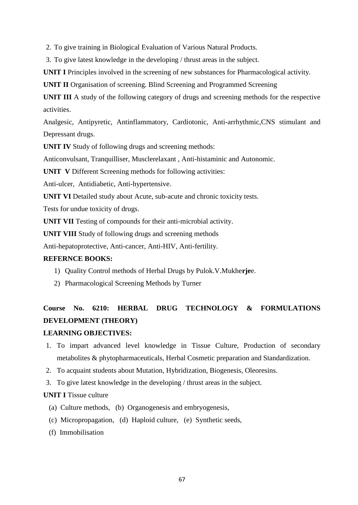2. To give training in Biological Evaluation of Various Natural Products.

3. To give latest knowledge in the developing / thrust areas in the subject.

**UNIT I** Principles involved in the screening of new substances for Pharmacological activity.

**UNIT II** Organisation of screening. Blind Screening and Programmed Screening

**UNIT III** A study of the following category of drugs and screening methods for the respective activities.

Analgesic, Antipyretic, Antinflammatory, Cardiotonic, Anti-arrhythmic,CNS stimulant and Depressant drugs.

**UNIT IV** Study of following drugs and screening methods:

Anticonvulsant, Tranquilliser, Musclerelaxant , Anti-histaminic and Autonomic.

**UNIT V** Different Screening methods for following activities:

Anti-ulcer, Antidiabetic, Anti-hypertensive.

**UNIT VI** Detailed study about Acute, sub-acute and chronic toxicity tests.

Tests for undue toxicity of drugs.

**UNIT VII** Testing of compounds for their anti-microbial activity.

**UNIT VIII** Study of following drugs and screening methods

Anti-hepatoprotective, Anti-cancer, Anti-HIV, Anti-fertility.

#### **REFERNCE BOOKS:**

- 1) Quality Control methods of Herbal Drugs by Pulok.V.Mukhe**rje**e.
- 2) Pharmacological Screening Methods by Turner

# **Course No. 6210: HERBAL DRUG TECHNOLOGY & FORMULATIONS DEVELOPMENT (THEORY)**

#### **LEARNING OBJECTIVES:**

1. To impart advanced level knowledge in Tissue Culture, Production of secondary metabolites & phytopharmaceuticals, Herbal Cosmetic preparation and Standardization.

2. To acquaint students about Mutation, Hybridization, Biogenesis, Oleoresins.

3. To give latest knowledge in the developing / thrust areas in the subject.

#### **UNIT I Tissue culture**

- (a) Culture methods, (b) Organogenesis and embryogenesis,
- (c) Micropropagation, (d) Haploid culture, (e) Synthetic seeds,
- (f) Immobilisation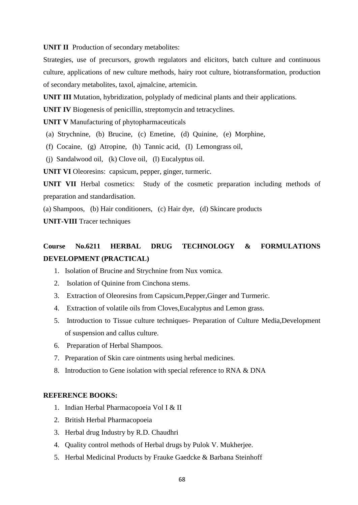**UNIT II** Production of secondary metabolites:

Strategies, use of precursors, growth regulators and elicitors, batch culture and continuous culture, applications of new culture methods, hairy root culture, biotransformation, production of secondary metabolites, taxol, ajmalcine, artemicin.

**UNIT III** Mutation, hybridization, polyplady of medicinal plants and their applications.

**UNIT IV** Biogenesis of penicillin, streptomycin and tetracyclines.

**UNIT V** Manufacturing of phytopharmaceuticals

- (a) Strychnine, (b) Brucine, (c) Emetine, (d) Quinine, (e) Morphine,
- (f) Cocaine, (g) Atropine, (h) Tannic acid, (I) Lemongrass oil,

(j) Sandalwood oil, (k) Clove oil, (l) Eucalyptus oil.

**UNIT VI** Oleoresins: capsicum, pepper, ginger, turmeric.

**UNIT VII** Herbal cosmetics: Study of the cosmetic preparation including methods of preparation and standardisation.

(a) Shampoos, (b) Hair conditioners, (c) Hair dye, (d) Skincare products

**UNIT-VIII** Tracer techniques

## **Course No.6211 HERBAL DRUG TECHNOLOGY & FORMULATIONS DEVELOPMENT (PRACTICAL)**

- 1. Isolation of Brucine and Strychnine from Nux vomica.
- 2. Isolation of Quinine from Cinchona stems.
- 3. Extraction of Oleoresins from Capsicum,Pepper,Ginger and Turmeric.
- 4. Extraction of volatile oils from Cloves,Eucalyptus and Lemon grass.
- 5. Introduction to Tissue culture techniques- Preparation of Culture Media,Development of suspension and callus culture.
- 6. Preparation of Herbal Shampoos.
- 7. Preparation of Skin care ointments using herbal medicines.
- 8. Introduction to Gene isolation with special reference to RNA & DNA

#### **REFERENCE BOOKS:**

- 1. Indian Herbal Pharmacopoeia Vol I & II
- 2. British Herbal Pharmacopoeia
- 3. Herbal drug Industry by R.D. Chaudhri
- 4. Quality control methods of Herbal drugs by Pulok V. Mukherjee.
- 5. Herbal Medicinal Products by Frauke Gaedcke & Barbana Steinhoff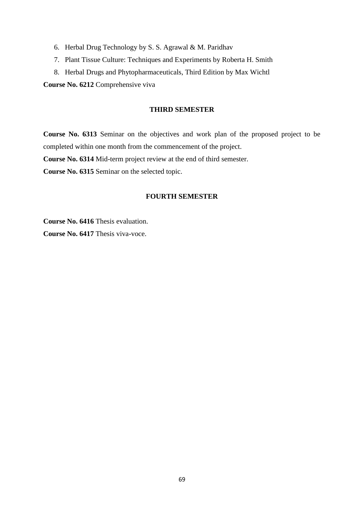- 6. Herbal Drug Technology by [S. S. Agrawal & M. Paridhav](http://www.amazon.com/s/ref=ntt_athr_dp_sr_1?ie=UTF8&field-author=S.+S.+Agrawal+%26+M.+Paridhavi&search-alias=books&text=S.+S.+Agrawal+%26+M.+Paridhavi&sort=relevancerank)
- 7. Plant Tissue Culture: Techniques and Experiments by Roberta H. Smith
- 8. Herbal Drugs and Phytopharmaceuticals, Third Edition by [Max Wichtl](http://www.amazon.in/s/ref=rdr_ext_aut?_encoding=UTF8&index=books&field-author=Max%20Wichtl)

**Course No. 6212** Comprehensive viva

#### **THIRD SEMESTER**

**Course No. 6313** Seminar on the objectives and work plan of the proposed project to be completed within one month from the commencement of the project.

**Course No. 6314** Mid-term project review at the end of third semester.

**Course No. 6315** Seminar on the selected topic.

#### **FOURTH SEMESTER**

**Course No. 6416** Thesis evaluation.

**Course No. 6417** Thesis viva-voce.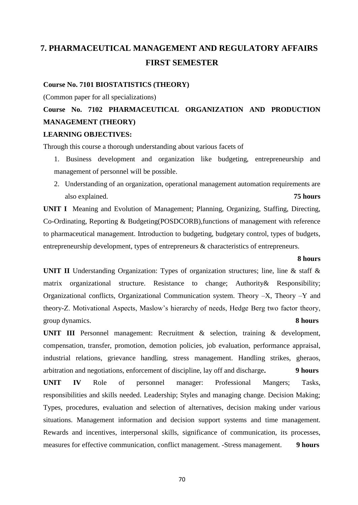# **7. PHARMACEUTICAL MANAGEMENT AND REGULATORY AFFAIRS FIRST SEMESTER**

#### **Course No. 7101 BIOSTATISTICS (THEORY)**

(Common paper for all specializations)

# **Course No. 7102 PHARMACEUTICAL ORGANIZATION AND PRODUCTION MANAGEMENT (THEORY)**

#### **LEARNING OBJECTIVES:**

Through this course a thorough understanding about various facets of

- 1. Business development and organization like budgeting, entrepreneurship and management of personnel will be possible.
- 2. Understanding of an organization, operational management automation requirements are also explained. **75 hours**

**UNIT I** Meaning and Evolution of Management; Planning, Organizing, Staffing, Directing, Co-Ordinating, Reporting & Budgeting(POSDCORB),functions of management with reference to pharmaceutical management. Introduction to budgeting, budgetary control, types of budgets, entrepreneurship development, types of entrepreneurs & characteristics of entrepreneurs.

#### **8 hours**

**UNIT II** Understanding Organization: Types of organization structures; line, line & staff & matrix organizational structure. Resistance to change; Authority& Responsibility; Organizational conflicts, Organizational Communication system. Theory –X, Theory –Y and theory-Z. Motivational Aspects, Maslow's hierarchy of needs, Hedge Berg two factor theory, group dynamics. **8 hours**

**UNIT III** Personnel management: Recruitment & selection, training & development, compensation, transfer, promotion, demotion policies, job evaluation, performance appraisal, industrial relations, grievance handling, stress management. Handling strikes, gheraos, arbitration and negotiations, enforcement of discipline, lay off and discharge**. 9 hours**

**UNIT IV** Role of personnel manager: Professional Mangers; Tasks, responsibilities and skills needed. Leadership; Styles and managing change. Decision Making; Types, procedures, evaluation and selection of alternatives, decision making under various situations. Management information and decision support systems and time management. Rewards and incentives, interpersonal skills, significance of communication, its processes, measures for effective communication, conflict management. -Stress management. **9 hours**

70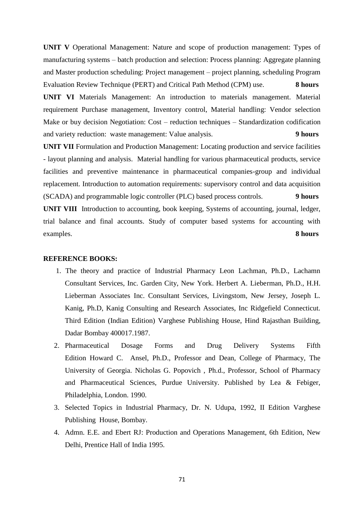**UNIT V** Operational Management: Nature and scope of production management: Types of manufacturing systems – batch production and selection: Process planning: Aggregate planning and Master production scheduling: Project management – project planning, scheduling Program Evaluation Review Technique (PERT) and Critical Path Method (CPM) use. **8 hours**

**UNIT VI** Materials Management: An introduction to materials management. Material requirement Purchase management, Inventory control, Material handling: Vendor selection Make or buy decision Negotiation: Cost – reduction techniques – Standardization codification and variety reduction: waste management: Value analysis. **9 hours**

**UNIT VII** Formulation and Production Management: Locating production and service facilities - layout planning and analysis. Material handling for various pharmaceutical products, service facilities and preventive maintenance in pharmaceutical companies-group and individual replacement. Introduction to automation requirements: supervisory control and data acquisition (SCADA) and programmable logic controller (PLC) based process controls. **9 hours UNIT VIII** Introduction to accounting, book keeping, Systems of accounting, journal, ledger, trial balance and final accounts. Study of computer based systems for accounting with examples. **8 hours**

#### **REFERENCE BOOKS:**

- 1. The theory and practice of Industrial Pharmacy Leon Lachman, Ph.D., Lachamn Consultant Services, Inc. Garden City, New York. Herbert A. Lieberman, Ph.D., H.H. Lieberman Associates Inc. Consultant Services, Livingstom, New Jersey, Joseph L. Kanig, Ph.D, Kanig Consulting and Research Associates, Inc Ridgefield Connecticut. Third Edition (Indian Edition) Varghese Publishing House, Hind Rajasthan Building, Dadar Bombay 400017.1987.
- 2. Pharmaceutical Dosage Forms and Drug Delivery Systems Fifth Edition Howard C. Ansel, Ph.D., Professor and Dean, College of Pharmacy, The University of Georgia. Nicholas G. Popovich , Ph.d., Professor, School of Pharmacy and Pharmaceutical Sciences, Purdue University. Published by Lea & Febiger, Philadelphia, London. 1990.
- 3. Selected Topics in Industrial Pharmacy, Dr. N. Udupa, 1992, II Edition Varghese Publishing House, Bombay.
- 4. Admn. E.E. and Ebert RJ: Production and Operations Management, 6th Edition, New Delhi, Prentice Hall of India 1995.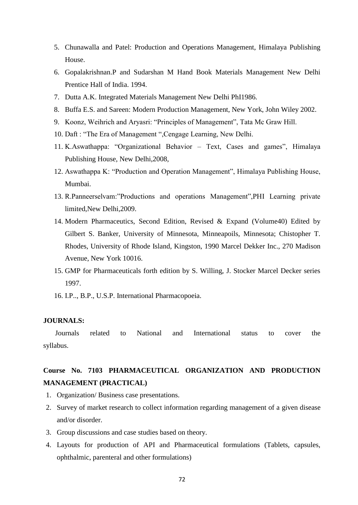- 5. Chunawalla and Patel: Production and Operations Management, Himalaya Publishing House.
- 6. Gopalakrishnan.P and Sudarshan M Hand Book Materials Management New Delhi Prentice Hall of India. 1994.
- 7. Dutta A.K. Integrated Materials Management New Delhi PhI1986.
- 8. Buffa E.S. and Sareen: Modern Production Management, New York, John Wiley 2002.
- 9. Koonz, Weihrich and Aryasri: "Principles of Management", Tata Mc Graw Hill.
- 10. Daft : "The Era of Management ",Cengage Learning, New Delhi.
- 11. K.Aswathappa: "Organizational Behavior Text, Cases and games", Himalaya Publishing House, New Delhi,2008,
- 12. Aswathappa K: "Production and Operation Management", Himalaya Publishing House, Mumbai.
- 13. R.Panneerselvam:"Productions and operations Management",PHI Learning private limited,New Delhi,2009.
- 14. Modern Pharmaceutics, Second Edition, Revised & Expand (Volume40) Edited by Gilbert S. Banker, University of Minnesota, Minneapoils, Minnesota; Chistopher T. Rhodes, University of Rhode Island, Kingston, 1990 Marcel Dekker Inc., 270 Madison Avenue, New York 10016.
- 15. GMP for Pharmaceuticals forth edition by S. Willing, J. Stocker Marcel Decker series 1997.
- 16. I.P.., B.P., U.S.P. International Pharmacopoeia.

#### **JOURNALS:**

Journals related to National and International status to cover the syllabus.

## **Course No. 7103 PHARMACEUTICAL ORGANIZATION AND PRODUCTION MANAGEMENT (PRACTICAL)**

- 1. Organization/ Business case presentations.
- 2. Survey of market research to collect information regarding management of a given disease and/or disorder.
- 3. Group discussions and case studies based on theory.
- 4. Layouts for production of API and Pharmaceutical formulations (Tablets, capsules, ophthalmic, parenteral and other formulations)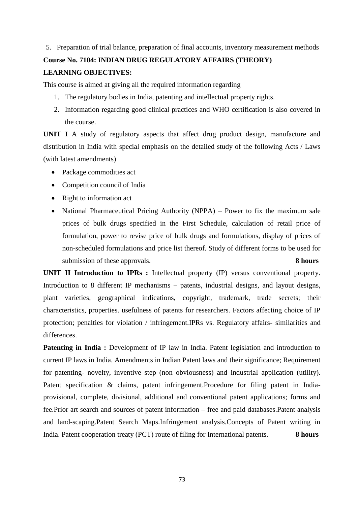5. Preparation of trial balance, preparation of final accounts, inventory measurement methods

#### **Course No. 7104: INDIAN DRUG REGULATORY AFFAIRS (THEORY)**

#### **LEARNING OBJECTIVES:**

This course is aimed at giving all the required information regarding

- 1. The regulatory bodies in India, patenting and intellectual property rights.
- 2. Information regarding good clinical practices and WHO certification is also covered in the course.

**UNIT I** A study of regulatory aspects that affect drug product design, manufacture and distribution in India with special emphasis on the detailed study of the following Acts / Laws (with latest amendments)

- Package commodities act
- Competition council of India
- Right to information act
- National Pharmaceutical Pricing Authority (NPPA) Power to fix the maximum sale prices of bulk drugs specified in the First Schedule, calculation of retail price of formulation, power to revise price of bulk drugs and formulations, display of prices of non-scheduled formulations and price list thereof. Study of different forms to be used for submission of these approvals. **8 hours 8 hours**

**UNIT II Introduction to IPRs :** Intellectual property (IP) versus conventional property. Introduction to 8 different IP mechanisms – patents, industrial designs, and layout designs, plant varieties, geographical indications, copyright, trademark, trade secrets; their characteristics, properties. usefulness of patents for researchers. Factors affecting choice of IP protection; penalties for violation / infringement.IPRs vs. Regulatory affairs- similarities and differences.

**Patenting in India :** Development of IP law in India. Patent legislation and introduction to current IP laws in India. Amendments in Indian Patent laws and their significance; Requirement for patenting- novelty, inventive step (non obviousness) and industrial application (utility). Patent specification & claims, patent infringement.Procedure for filing patent in Indiaprovisional, complete, divisional, additional and conventional patent applications; forms and fee.Prior art search and sources of patent information – free and paid databases.Patent analysis and land-scaping.Patent Search Maps.Infringement analysis.Concepts of Patent writing in India. Patent cooperation treaty (PCT) route of filing for International patents. **8 hours**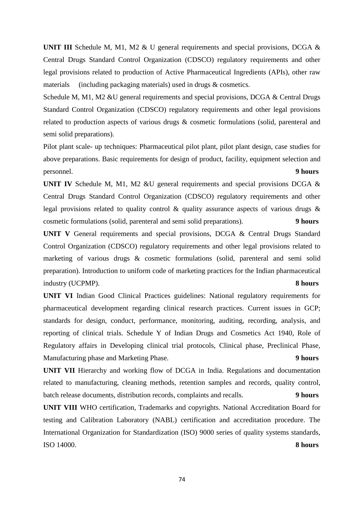**UNIT III** Schedule M, M1, M2 & U general requirements and special provisions, DCGA & Central Drugs Standard Control Organization (CDSCO) regulatory requirements and other legal provisions related to production of Active Pharmaceutical Ingredients (APIs), other raw materials (including packaging materials) used in drugs & cosmetics.

Schedule M, M1, M2 &U general requirements and special provisions, DCGA & Central Drugs Standard Control Organization (CDSCO) regulatory requirements and other legal provisions related to production aspects of various drugs & cosmetic formulations (solid, parenteral and semi solid preparations).

Pilot plant scale- up techniques: Pharmaceutical pilot plant, pilot plant design, case studies for above preparations. Basic requirements for design of product, facility, equipment selection and personnel. **9 hours**

**UNIT IV** Schedule M, M1, M2 &U general requirements and special provisions DCGA & Central Drugs Standard Control Organization (CDSCO) regulatory requirements and other legal provisions related to quality control & quality assurance aspects of various drugs & cosmetic formulations (solid, parenteral and semi solid preparations). **9 hours**

**UNIT V** General requirements and special provisions, DCGA & Central Drugs Standard Control Organization (CDSCO) regulatory requirements and other legal provisions related to marketing of various drugs & cosmetic formulations (solid, parenteral and semi solid preparation). Introduction to uniform code of marketing practices for the Indian pharmaceutical industry (UCPMP). **8 hours**

**UNIT VI** Indian Good Clinical Practices guidelines: National regulatory requirements for pharmaceutical development regarding clinical research practices. Current issues in GCP; standards for design, conduct, performance, monitoring, auditing, recording, analysis, and reporting of clinical trials. Schedule Y of Indian Drugs and Cosmetics Act 1940, Role of Regulatory affairs in Developing clinical trial protocols, Clinical phase, Preclinical Phase, Manufacturing phase and Marketing Phase. **9 hours**

**UNIT VII** Hierarchy and working flow of DCGA in India. Regulations and documentation related to manufacturing, cleaning methods, retention samples and records, quality control, batch release documents, distribution records, complaints and recalls. **9 hours**

**UNIT VIII** WHO certification, Trademarks and copyrights. National Accreditation Board for testing and Calibration Laboratory (NABL) certification and accreditation procedure. The International Organization for Standardization (ISO) 9000 series of quality systems standards, ISO 14000. **8 hours**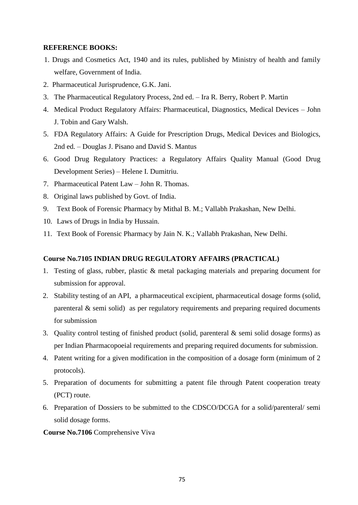#### **REFERENCE BOOKS:**

- 1. Drugs and Cosmetics Act, 1940 and its rules, published by Ministry of health and family welfare, Government of India.
- 2. Pharmaceutical Jurisprudence, G.K. Jani.
- 3. The Pharmaceutical Regulatory Process, 2nd ed. Ira R. Berry, Robert P. Martin
- 4. Medical Product Regulatory Affairs: Pharmaceutical, Diagnostics, Medical Devices John J. Tobin and Gary Walsh.
- 5. FDA Regulatory Affairs: A Guide for Prescription Drugs, Medical Devices and Biologics, 2nd ed. – Douglas J. Pisano and David S. Mantus
- 6. Good Drug Regulatory Practices: a Regulatory Affairs Quality Manual (Good Drug Development Series) – Helene I. Dumitriu.
- 7. Pharmaceutical Patent Law John R. Thomas.
- 8. Original laws published by Govt. of India.
- 9. Text Book of Forensic Pharmacy by Mithal B. M.; Vallabh Prakashan, New Delhi.
- 10. Laws of Drugs in India by Hussain.
- 11. Text Book of Forensic Pharmacy by Jain N. K.; Vallabh Prakashan, New Delhi.

#### **Course No.7105 INDIAN DRUG REGULATORY AFFAIRS (PRACTICAL)**

- 1. Testing of glass, rubber, plastic & metal packaging materials and preparing document for submission for approval.
- 2. Stability testing of an API, a pharmaceutical excipient, pharmaceutical dosage forms (solid, parenteral & semi solid) as per regulatory requirements and preparing required documents for submission
- 3. Quality control testing of finished product (solid, parenteral & semi solid dosage forms) as per Indian Pharmacopoeial requirements and preparing required documents for submission.
- 4. Patent writing for a given modification in the composition of a dosage form (minimum of 2 protocols).
- 5. Preparation of documents for submitting a patent file through Patent cooperation treaty (PCT) route.
- 6. Preparation of Dossiers to be submitted to the CDSCO/DCGA for a solid/parenteral/ semi solid dosage forms.

#### **Course No.7106** Comprehensive Viva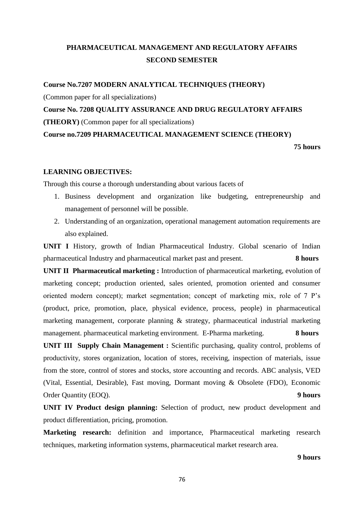# **PHARMACEUTICAL MANAGEMENT AND REGULATORY AFFAIRS SECOND SEMESTER**

**Course No.7207 MODERN ANALYTICAL TECHNIQUES (THEORY)**

(Common paper for all specializations)

**Course No. 7208 QUALITY ASSURANCE AND DRUG REGULATORY AFFAIRS (THEORY)** (Common paper for all specializations)

**Course no.7209 PHARMACEUTICAL MANAGEMENT SCIENCE (THEORY)**

**75 hours**

#### **LEARNING OBJECTIVES:**

Through this course a thorough understanding about various facets of

- 1. Business development and organization like budgeting, entrepreneurship and management of personnel will be possible.
- 2. Understanding of an organization, operational management automation requirements are also explained.

**UNIT I** History, growth of Indian Pharmaceutical Industry. Global scenario of Indian pharmaceutical Industry and pharmaceutical market past and present. **8 hours**

**UNIT II Pharmaceutical marketing :** Introduction of pharmaceutical marketing, evolution of marketing concept; production oriented, sales oriented, promotion oriented and consumer oriented modern concept); market segmentation; concept of marketing mix, role of 7 P's (product, price, promotion, place, physical evidence, process, people) in pharmaceutical marketing management, corporate planning & strategy, pharmaceutical industrial marketing management. pharmaceutical marketing environment. E-Pharma marketing. **8 hours**

**UNIT III Supply Chain Management :** Scientific purchasing, quality control, problems of productivity, stores organization, location of stores, receiving, inspection of materials, issue from the store, control of stores and stocks, store accounting and records. ABC analysis, VED (Vital, Essential, Desirable), Fast moving, Dormant moving & Obsolete (FDO), Economic Order Quantity (EOQ). **9 hours**

**UNIT IV Product design planning:** Selection of product, new product development and product differentiation, pricing, promotion.

**Marketing research:** definition and importance, Pharmaceutical marketing research techniques, marketing information systems, pharmaceutical market research area.

#### **9 hours**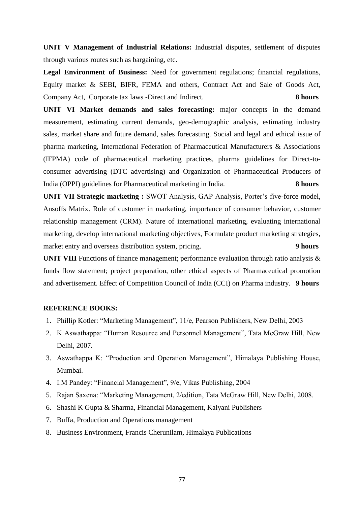**UNIT V Management of Industrial Relations:** Industrial disputes, settlement of disputes through various routes such as bargaining, etc.

**Legal Environment of Business:** Need for government regulations; financial regulations, Equity market & SEBI, BIFR, FEMA and others, Contract Act and Sale of Goods Act, Company Act, Corporate tax laws -Direct and Indirect. **8 hours**

**UNIT VI Market demands and sales forecasting:** major concepts in the demand measurement, estimating current demands, geo-demographic analysis, estimating industry sales, market share and future demand, sales forecasting. Social and legal and ethical issue of pharma marketing, International Federation of Pharmaceutical Manufacturers & Associations (IFPMA) code of pharmaceutical marketing practices, pharma guidelines for Direct-toconsumer advertising (DTC advertising) and Organization of Pharmaceutical Producers of India (OPPI) guidelines for Pharmaceutical marketing in India. **8 hours**

**UNIT VII Strategic marketing :** SWOT Analysis, GAP Analysis, Porter's five-force model, Ansoffs Matrix. Role of customer in marketing, importance of consumer behavior, customer relationship management (CRM). Nature of international marketing, evaluating international marketing, develop international marketing objectives, Formulate product marketing strategies, market entry and overseas distribution system, pricing. **9 hours**

**UNIT VIII** Functions of finance management; performance evaluation through ratio analysis & funds flow statement; project preparation, other ethical aspects of Pharmaceutical promotion and advertisement. Effect of Competition Council of India (CCI) on Pharma industry. **9 hours**

#### **REFERENCE BOOKS:**

- 1. Phillip Kotler: "Marketing Management", 11/e, Pearson Publishers, New Delhi, 2003
- 2. K Aswathappa: "Human Resource and Personnel Management", Tata McGraw Hill, New Delhi, 2007.
- 3. Aswathappa K: "Production and Operation Management", Himalaya Publishing House, Mumbai.
- 4. I.M Pandey: "Financial Management", 9/e, Vikas Publishing, 2004
- 5. Rajan Saxena: "Marketing Management, 2/edition, Tata McGraw Hill, New Delhi, 2008.
- 6. Shashi K Gupta & Sharma, Financial Management, Kalyani Publishers
- 7. Buffa, Production and Operations management
- 8. Business Environment, Francis Cherunilam, Himalaya Publications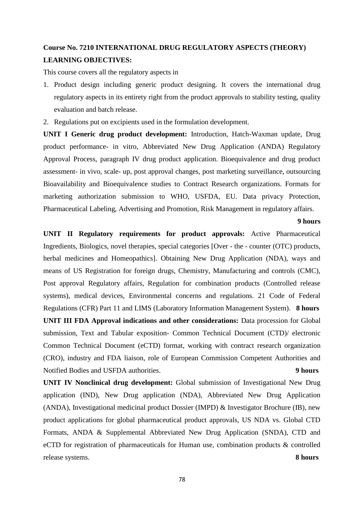# **Course No. 7210 INTERNATIONAL DRUG REGULATORY ASPECTS (THEORY) LEARNING OBJECTIVES:**

This course covers all the regulatory aspects in

- 1. Product design including generic product designing. It covers the international drug regulatory aspects in its entirety right from the product approvals to stability testing, quality evaluation and batch release.
- 2. Regulations put on excipients used in the formulation development.

**UNIT I Generic drug product development:** Introduction, Hatch-Waxman update, Drug product performance- in vitro, Abbreviated New Drug Application (ANDA) Regulatory Approval Process, paragraph IV drug product application. Bioequivalence and drug product assessment- in vivo, scale- up, post approval changes, post marketing surveillance, outsourcing Bioavailability and Bioequivalence studies to Contract Research organizations. Formats for marketing authorization submission to WHO, USFDA, EU. Data privacy Protection, Pharmaceutical Labeling, Advertising and Promotion, Risk Management in regulatory affairs.

#### **9 hours**

**UNIT II Regulatory requirements for product approvals:** Active Pharmaceutical Ingredients, Biologics, novel therapies, special categories [Over - the - counter (OTC) products, herbal medicines and Homeopathics]. Obtaining New Drug Application (NDA), ways and means of US Registration for foreign drugs, Chemistry, Manufacturing and controls (CMC), Post approval Regulatory affairs, Regulation for combination products (Controlled release systems), medical devices, Environmental concerns and regulations. 21 Code of Federal Regulations (CFR) Part 11 and LIMS (Laboratory Information Management System). **8 hours UNIT III FDA Approval indications and other considerations:** Data procession for Global submission, Text and Tabular exposition- Common Technical Document (CTD)/ electronic Common Technical Document (eCTD) format, working with contract research organization (CRO), industry and FDA liaison, role of European Commission Competent Authorities and Notified Bodies and USFDA authorities. **9 hours**

**UNIT IV Nonclinical drug development:** Global submission of Investigational New Drug application (IND), New Drug application (NDA), Abbreviated New Drug Application (ANDA), Investigational medicinal product Dossier (IMPD) & Investigator Brochure (IB), new product applications for global pharmaceutical product approvals, US NDA vs. Global CTD Formats, ANDA & Supplemental Abbreviated New Drug Application (SNDA), CTD and eCTD for registration of pharmaceuticals for Human use, combination products & controlled release systems. **8 hours**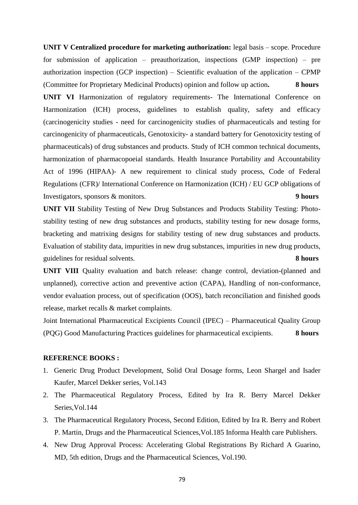**UNIT V Centralized procedure for marketing authorization:** legal basis – scope. Procedure for submission of application – preauthorization, inspections (GMP inspection) – pre authorization inspection (GCP inspection) – Scientific evaluation of the application – CPMP (Committee for Proprietary Medicinal Products) opinion and follow up action**. 8 hours UNIT VI** Harmonization of regulatory requirements- The International Conference on Harmonization (ICH) process, guidelines to establish quality, safety and efficacy (carcinogenicity studies - need for carcinogenicity studies of pharmaceuticals and testing for carcinogenicity of pharmaceuticals, Genotoxicity- a standard battery for Genotoxicity testing of pharmaceuticals) of drug substances and products. Study of ICH common technical documents, harmonization of pharmacopoeial standards. Health Insurance Portability and Accountability Act of 1996 (HIPAA)- A new requirement to clinical study process, Code of Federal Regulations (CFR)/ International Conference on Harmonization (ICH) / EU GCP obligations of Investigators, sponsors & monitors. **9 hours**

**UNIT VII** Stability Testing of New Drug Substances and Products Stability Testing: Photostability testing of new drug substances and products, stability testing for new dosage forms, bracketing and matrixing designs for stability testing of new drug substances and products. Evaluation of stability data, impurities in new drug substances, impurities in new drug products, guidelines for residual solvents. **8 hours**

**UNIT VIII** Quality evaluation and batch release: change control, deviation-(planned and unplanned), corrective action and preventive action (CAPA), Handling of non-conformance, vendor evaluation process, out of specification (OOS), batch reconciliation and finished goods release, market recalls & market complaints.

Joint International Pharmaceutical Excipients Council (IPEC) – Pharmaceutical Quality Group (PQG) Good Manufacturing Practices guidelines for pharmaceutical excipients. **8 hours**

#### **REFERENCE BOOKS :**

- 1. Generic Drug Product Development, Solid Oral Dosage forms, Leon Shargel and Isader Kaufer, Marcel Dekker series, Vol.143
- 2. The Pharmaceutical Regulatory Process, Edited by Ira R. Berry Marcel Dekker Series,Vol.144
- 3. The Pharmaceutical Regulatory Process, Second Edition, Edited by Ira R. Berry and Robert P. Martin, Drugs and the Pharmaceutical Sciences,Vol.185 Informa Health care Publishers.
- 4. New Drug Approval Process: Accelerating Global Registrations By Richard A Guarino, MD, 5th edition, Drugs and the Pharmaceutical Sciences, Vol.190.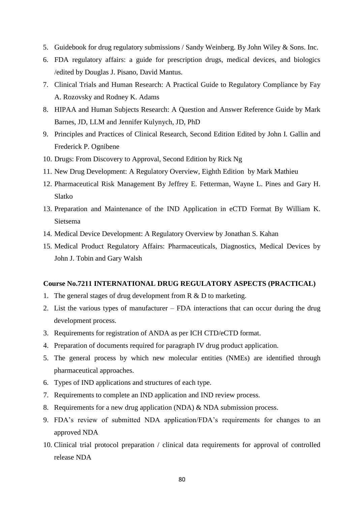- 5. Guidebook for drug regulatory submissions / Sandy Weinberg. By John Wiley & Sons. Inc.
- 6. FDA regulatory affairs: a guide for prescription drugs, medical devices, and biologics /edited by Douglas J. Pisano, David Mantus.
- 7. Clinical Trials and Human Research: A Practical Guide to Regulatory Compliance by Fay A. Rozovsky and Rodney K. Adams
- 8. HIPAA and Human Subjects Research: A Question and Answer Reference Guide by Mark Barnes, JD, LLM and Jennifer Kulynych, JD, PhD
- 9. Principles and Practices of Clinical Research, Second Edition Edited by John I. Gallin and Frederick P. Ognibene
- 10. Drugs: From Discovery to Approval, Second Edition by Rick Ng
- 11. New Drug Development: A Regulatory Overview, Eighth Edition by Mark Mathieu
- 12. Pharmaceutical Risk Management By Jeffrey E. Fetterman, Wayne L. Pines and Gary H. Slatko
- 13. Preparation and Maintenance of the IND Application in eCTD Format By William K. Sietsema
- 14. Medical Device Development: A Regulatory Overview by Jonathan S. Kahan
- 15. Medical Product Regulatory Affairs: Pharmaceuticals, Diagnostics, Medical Devices by John J. Tobin and Gary Walsh

#### **Course No.7211 INTERNATIONAL DRUG REGULATORY ASPECTS (PRACTICAL)**

- 1. The general stages of drug development from R & D to marketing.
- 2. List the various types of manufacturer FDA interactions that can occur during the drug development process.
- 3. Requirements for registration of ANDA as per ICH CTD/eCTD format.
- 4. Preparation of documents required for paragraph IV drug product application.
- 5. The general process by which new molecular entities (NMEs) are identified through pharmaceutical approaches.
- 6. Types of IND applications and structures of each type.
- 7. Requirements to complete an IND application and IND review process.
- 8. Requirements for a new drug application (NDA) & NDA submission process.
- 9. FDA's review of submitted NDA application/FDA's requirements for changes to an approved NDA
- 10. Clinical trial protocol preparation / clinical data requirements for approval of controlled release NDA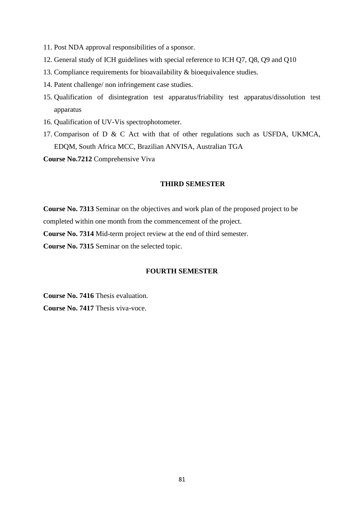- 11. Post NDA approval responsibilities of a sponsor.
- 12. General study of ICH guidelines with special reference to ICH Q7, Q8, Q9 and Q10
- 13. Compliance requirements for bioavailability & bioequivalence studies.
- 14. Patent challenge/ non infringement case studies.
- 15. Qualification of disintegration test apparatus/friability test apparatus/dissolution test apparatus
- 16. Qualification of UV-Vis spectrophotometer.
- 17. Comparison of D & C Act with that of other regulations such as USFDA, UKMCA, EDQM, South Africa MCC, Brazilian ANVISA, Australian TGA

**Course No.7212** Comprehensive Viva

#### **THIRD SEMESTER**

**Course No. 7313** Seminar on the objectives and work plan of the proposed project to be completed within one month from the commencement of the project.

**Course No. 7314** Mid-term project review at the end of third semester.

**Course No. 7315** Seminar on the selected topic.

#### **FOURTH SEMESTER**

**Course No. 7416** Thesis evaluation.

**Course No. 7417** Thesis viva-voce.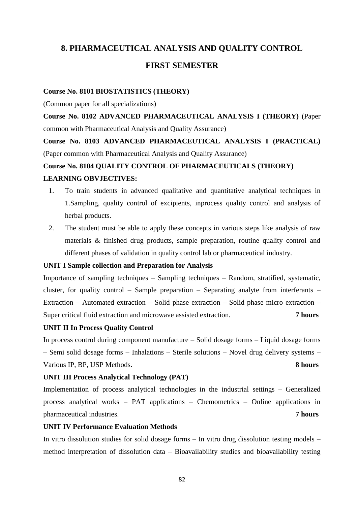### **8. PHARMACEUTICAL ANALYSIS AND QUALITY CONTROL**

#### **FIRST SEMESTER**

#### **Course No. 8101 BIOSTATISTICS (THEORY)**

(Common paper for all specializations)

**Course No. 8102 ADVANCED PHARMACEUTICAL ANALYSIS I (THEORY)** (Paper common with Pharmaceutical Analysis and Quality Assurance)

**Course No. 8103 ADVANCED PHARMACEUTICAL ANALYSIS I (PRACTICAL)**  (Paper common with Pharmaceutical Analysis and Quality Assurance)

# **Course No. 8104 QUALITY CONTROL OF PHARMACEUTICALS (THEORY) LEARNING OBVJECTIVES:**

- 1. To train students in advanced qualitative and quantitative analytical techniques in 1.Sampling, quality control of excipients, inprocess quality control and analysis of herbal products.
- 2. The student must be able to apply these concepts in various steps like analysis of raw materials & finished drug products, sample preparation, routine quality control and different phases of validation in quality control lab or pharmaceutical industry.

#### **UNIT I Sample collection and Preparation for Analysis**

Importance of sampling techniques – Sampling techniques – Random, stratified, systematic, cluster, for quality control – Sample preparation – Separating analyte from interferants – Extraction – Automated extraction – Solid phase extraction – Solid phase micro extraction – Super critical fluid extraction and microwave assisted extraction. **7 hours**

#### **UNIT II In Process Quality Control**

In process control during component manufacture – Solid dosage forms – Liquid dosage forms – Semi solid dosage forms – Inhalations – Sterile solutions – Novel drug delivery systems – Various IP, BP, USP Methods. **8 hours**

#### **UNIT III Process Analytical Technology (PAT)**

Implementation of process analytical technologies in the industrial settings – Generalized process analytical works – PAT applications – Chemometrics – Online applications in pharmaceutical industries. **7 hours**

#### **UNIT IV Performance Evaluation Methods**

In vitro dissolution studies for solid dosage forms – In vitro drug dissolution testing models – method interpretation of dissolution data – Bioavailability studies and bioavailability testing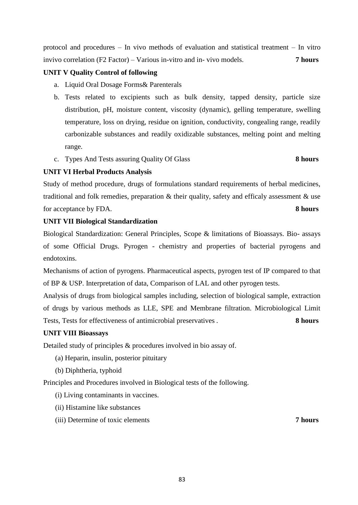invivo correlation (F2 Factor) – Various in-vitro and in- vivo models. **7 hours**

protocol and procedures – In vivo methods of evaluation and statistical treatment – In vitro

#### **UNIT V Quality Control of following**

- a. Liquid Oral Dosage Forms& Parenterals
- b. Tests related to excipients such as bulk density, tapped density, particle size distribution, pH, moisture content, viscosity (dynamic), gelling temperature, swelling temperature, loss on drying, residue on ignition, conductivity, congealing range, readily carbonizable substances and readily oxidizable substances, melting point and melting range.
- c. Types And Tests assuring Quality Of Glass **8 hours**

#### **UNIT VI Herbal Products Analysis**

Study of method procedure, drugs of formulations standard requirements of herbal medicines, traditional and folk remedies, preparation & their quality, safety and efficaly assessment & use for acceptance by FDA. **8 hours**

#### **UNIT VII Biological Standardization**

Biological Standardization: General Principles, Scope & limitations of Bioassays. Bio- assays of some Official Drugs. Pyrogen - chemistry and properties of bacterial pyrogens and endotoxins.

Mechanisms of action of pyrogens. Pharmaceutical aspects, pyrogen test of IP compared to that of BP & USP. Interpretation of data, Comparison of LAL and other pyrogen tests.

Analysis of drugs from biological samples including, selection of biological sample, extraction of drugs by various methods as LLE, SPE and Membrane filtration. Microbiological Limit Tests, Tests for effectiveness of antimicrobial preservatives . **8 hours**

#### **UNIT VIII Bioassays**

Detailed study of principles & procedures involved in bio assay of.

- (a) Heparin, insulin, posterior pituitary
- (b) Diphtheria, typhoid

Principles and Procedures involved in Biological tests of the following.

(i) Living contaminants in vaccines.

- (ii) Histamine like substances
- (iii) Determine of toxic elements **7 hours**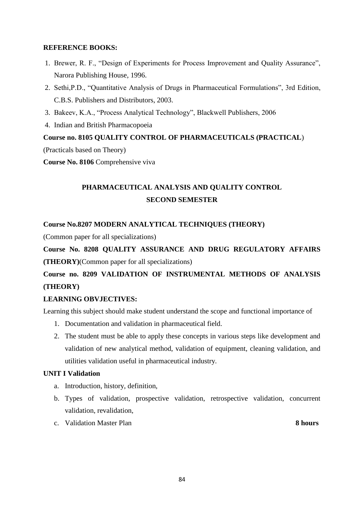#### **REFERENCE BOOKS:**

- 1. Brewer, R. F., "Design of Experiments for Process Improvement and Quality Assurance", Narora Publishing House, 1996.
- 2. Sethi,P.D., "Quantitative Analysis of Drugs in Pharmaceutical Formulations", 3rd Edition, C.B.S. Publishers and Distributors, 2003.
- 3. Bakeev, K.A., "Process Analytical Technology", Blackwell Publishers, 2006
- 4. Indian and British Pharmacopoeia

#### **Course no. 8105 QUALITY CONTROL OF PHARMACEUTICALS (PRACTICAL**)

(Practicals based on Theory)

**Course No. 8106** Comprehensive viva

# **PHARMACEUTICAL ANALYSIS AND QUALITY CONTROL SECOND SEMESTER**

#### **Course No.8207 MODERN ANALYTICAL TECHNIQUES (THEORY)**

(Common paper for all specializations)

**Course No. 8208 QUALITY ASSURANCE AND DRUG REGULATORY AFFAIRS (THEORY)**(Common paper for all specializations)

# **Course no. 8209 VALIDATION OF INSTRUMENTAL METHODS OF ANALYSIS (THEORY)**

#### **LEARNING OBVJECTIVES:**

Learning this subject should make student understand the scope and functional importance of

- 1. Documentation and validation in pharmaceutical field.
- 2. The student must be able to apply these concepts in various steps like development and validation of new analytical method, validation of equipment, cleaning validation, and utilities validation useful in pharmaceutical industry.

#### **UNIT I Validation**

- a. Introduction, history, definition,
- b. Types of validation, prospective validation, retrospective validation, concurrent validation, revalidation,
- c. Validation Master Plan **8 hours**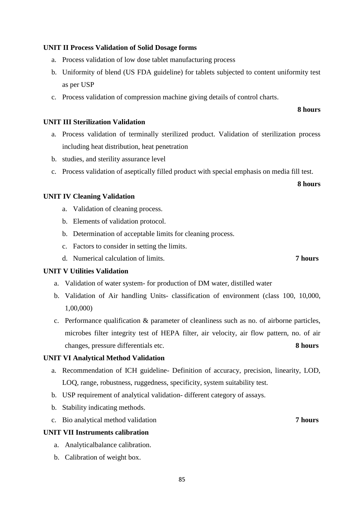#### **UNIT II Process Validation of Solid Dosage forms**

- a. Process validation of low dose tablet manufacturing process
- b. Uniformity of blend (US FDA guideline) for tablets subjected to content uniformity test as per USP
- c. Process validation of compression machine giving details of control charts.

#### **UNIT III Sterilization Validation**

- a. Process validation of terminally sterilized product. Validation of sterilization process including heat distribution, heat penetration
- b. studies, and sterility assurance level
- c. Process validation of aseptically filled product with special emphasis on media fill test.

#### **UNIT IV Cleaning Validation**

- a. Validation of cleaning process.
- b. Elements of validation protocol.
- b. Determination of acceptable limits for cleaning process.
- c. Factors to consider in setting the limits.
- d. Numerical calculation of limits. **7 hours**

#### **UNIT V Utilities Validation**

- a. Validation of water system- for production of DM water, distilled water
- b. Validation of Air handling Units- classification of environment (class 100, 10,000, 1,00,000)
- c. Performance qualification & parameter of cleanliness such as no. of airborne particles, microbes filter integrity test of HEPA filter, air velocity, air flow pattern, no. of air changes, pressure differentials etc. **8 hours**

#### **UNIT VI Analytical Method Validation**

- a. Recommendation of ICH guideline- Definition of accuracy, precision, linearity, LOD, LOQ, range, robustness, ruggedness, specificity, system suitability test.
- b. USP requirement of analytical validation- different category of assays.
- b. Stability indicating methods.
- c. Bio analytical method validation **7 hours**

#### **UNIT VII Instruments calibration**

- a. Analyticalbalance calibration.
- b. Calibration of weight box.

**8 hours**

**8 hours**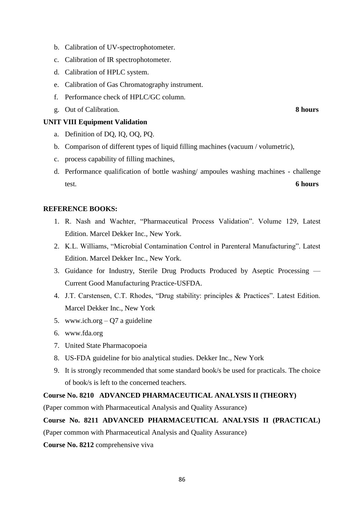- b. Calibration of UV-spectrophotometer.
- c. Calibration of IR spectrophotometer.
- d. Calibration of HPLC system.
- e. Calibration of Gas Chromatography instrument.
- f. Performance check of HPLC/GC column.
- g. Out of Calibration. **8 hours**

#### **UNIT VIII Equipment Validation**

- a. Definition of DQ, IQ, OQ, PQ.
- b. Comparison of different types of liquid filling machines (vacuum / volumetric),
- c. process capability of filling machines,
- d. Performance qualification of bottle washing/ ampoules washing machines challenge test. **6 hours**

#### **REFERENCE BOOKS:**

- 1. R. Nash and Wachter, "Pharmaceutical Process Validation". Volume 129, Latest Edition. Marcel Dekker Inc., New York.
- 2. K.L. Williams, "Microbial Contamination Control in Parenteral Manufacturing". Latest Edition. Marcel Dekker Inc., New York.
- 3. Guidance for Industry, Sterile Drug Products Produced by Aseptic Processing Current Good Manufacturing Practice-USFDA.
- 4. J.T. Carstensen, C.T. Rhodes, "Drug stability: principles & Practices". Latest Edition. Marcel Dekker Inc., New York
- 5. www.ich.org Q7 a guideline
- 6. www.fda.org
- 7. United State Pharmacopoeia
- 8. US-FDA guideline for bio analytical studies. Dekker Inc., New York
- 9. It is strongly recommended that some standard book/s be used for practicals. The choice of book/s is left to the concerned teachers.

#### **Course No. 8210 ADVANCED PHARMACEUTICAL ANALYSIS II (THEORY)**

(Paper common with Pharmaceutical Analysis and Quality Assurance)

#### **Course No. 8211 ADVANCED PHARMACEUTICAL ANALYSIS II (PRACTICAL)**

(Paper common with Pharmaceutical Analysis and Quality Assurance)

**Course No. 8212** comprehensive viva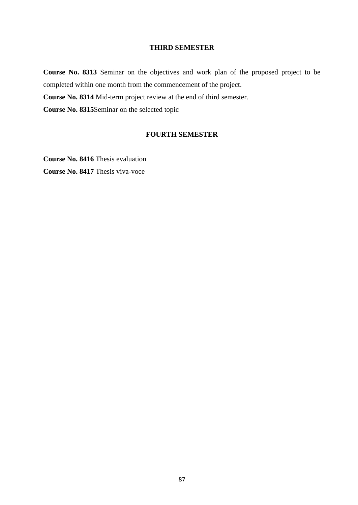#### **THIRD SEMESTER**

**Course No. 8313** Seminar on the objectives and work plan of the proposed project to be completed within one month from the commencement of the project.

**Course No. 8314** Mid-term project review at the end of third semester.

**Course No. 8315**Seminar on the selected topic

#### **FOURTH SEMESTER**

**Course No. 8416** Thesis evaluation **Course No. 8417** Thesis viva-voce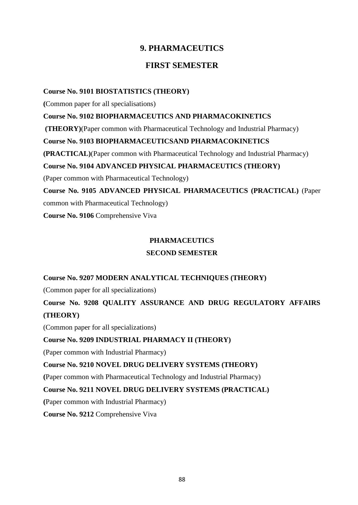## **9. PHARMACEUTICS**

### **FIRST SEMESTER**

#### **Course No. 9101 BIOSTATISTICS (THEORY)**

**(**Common paper for all specialisations)

**Course No. 9102 BIOPHARMACEUTICS AND PHARMACOKINETICS**

**(THEORY)**(Paper common with Pharmaceutical Technology and Industrial Pharmacy)

#### **Course No. 9103 BIOPHARMACEUTICSAND PHARMACOKINETICS**

**(PRACTICAL)**(Paper common with Pharmaceutical Technology and Industrial Pharmacy)

#### **Course No. 9104 ADVANCED PHYSICAL PHARMACEUTICS (THEORY)**

(Paper common with Pharmaceutical Technology)

**Course No. 9105 ADVANCED PHYSICAL PHARMACEUTICS (PRACTICAL)** (Paper common with Pharmaceutical Technology)

**Course No. 9106** Comprehensive Viva

#### **PHARMACEUTICS**

#### **SECOND SEMESTER**

**Course No. 9207 MODERN ANALYTICAL TECHNIQUES (THEORY)**

(Common paper for all specializations)

**Course No. 9208 QUALITY ASSURANCE AND DRUG REGULATORY AFFAIRS (THEORY)**

(Common paper for all specializations)

#### **Course No. 9209 INDUSTRIAL PHARMACY II (THEORY)**

(Paper common with Industrial Pharmacy)

#### **Course No. 9210 NOVEL DRUG DELIVERY SYSTEMS (THEORY)**

**(**Paper common with Pharmaceutical Technology and Industrial Pharmacy)

#### **Course No. 9211 NOVEL DRUG DELIVERY SYSTEMS (PRACTICAL)**

**(**Paper common with Industrial Pharmacy)

**Course No. 9212** Comprehensive Viva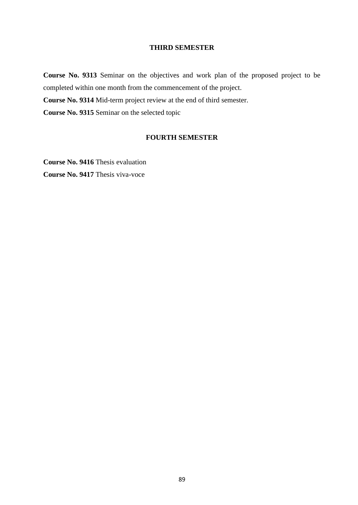#### **THIRD SEMESTER**

**Course No. 9313** Seminar on the objectives and work plan of the proposed project to be completed within one month from the commencement of the project.

**Course No. 9314** Mid-term project review at the end of third semester.

**Course No. 9315** Seminar on the selected topic

#### **FOURTH SEMESTER**

**Course No. 9416** Thesis evaluation **Course No. 9417** Thesis viva-voce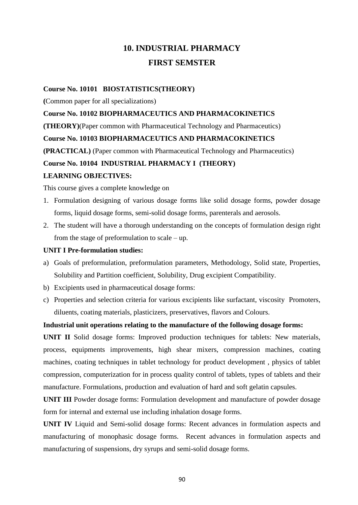# **10. INDUSTRIAL PHARMACY FIRST SEMSTER**

#### **Course No. 10101 BIOSTATISTICS(THEORY)**

**(**Common paper for all specializations)

#### **Course No. 10102 BIOPHARMACEUTICS AND PHARMACOKINETICS**

**(THEORY)**(Paper common with Pharmaceutical Technology and Pharmaceutics)

#### **Course No. 10103 BIOPHARMACEUTICS AND PHARMACOKINETICS**

**(PRACTICAL)** (Paper common with Pharmaceutical Technology and Pharmaceutics)

#### **Course No. 10104 INDUSTRIAL PHARMACY I (THEORY)**

#### **LEARNING OBJECTIVES:**

This course gives a complete knowledge on

- 1. Formulation designing of various dosage forms like solid dosage forms, powder dosage forms, liquid dosage forms, semi-solid dosage forms, parenterals and aerosols.
- 2. The student will have a thorough understanding on the concepts of formulation design right from the stage of preformulation to scale – up.

#### **UNIT I Pre-formulation studies:**

- a) Goals of preformulation, preformulation parameters, Methodology, Solid state, Properties, Solubility and Partition coefficient, Solubility, Drug excipient Compatibility.
- b) Excipients used in pharmaceutical dosage forms:
- c) Properties and selection criteria for various excipients like surfactant, viscosity Promoters, diluents, coating materials, plasticizers, preservatives, flavors and Colours.

#### **Industrial unit operations relating to the manufacture of the following dosage forms:**

**UNIT II** Solid dosage forms: Improved production techniques for tablets: New materials, process, equipments improvements, high shear mixers, compression machines, coating machines, coating techniques in tablet technology for product development , physics of tablet compression, computerization for in process quality control of tablets, types of tablets and their manufacture. Formulations, production and evaluation of hard and soft gelatin capsules.

**UNIT III** Powder dosage forms: Formulation development and manufacture of powder dosage form for internal and external use including inhalation dosage forms.

**UNIT IV** Liquid and Semi-solid dosage forms: Recent advances in formulation aspects and manufacturing of monophasic dosage forms. Recent advances in formulation aspects and manufacturing of suspensions, dry syrups and semi-solid dosage forms.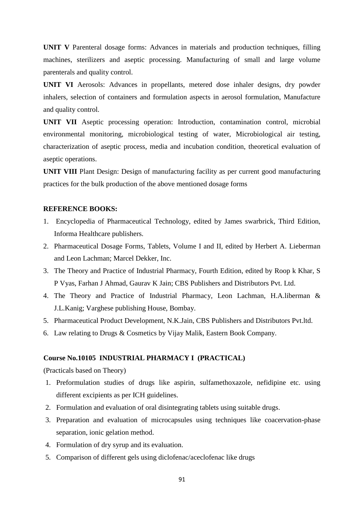**UNIT V** Parenteral dosage forms: Advances in materials and production techniques, filling machines, sterilizers and aseptic processing. Manufacturing of small and large volume parenterals and quality control.

**UNIT VI** Aerosols: Advances in propellants, metered dose inhaler designs, dry powder inhalers, selection of containers and formulation aspects in aerosol formulation, Manufacture and quality control.

**UNIT VII** Aseptic processing operation: Introduction, contamination control, microbial environmental monitoring, microbiological testing of water, Microbiological air testing, characterization of aseptic process, media and incubation condition, theoretical evaluation of aseptic operations.

**UNIT VIII** Plant Design: Design of manufacturing facility as per current good manufacturing practices for the bulk production of the above mentioned dosage forms

#### **REFERENCE BOOKS:**

- 1. Encyclopedia of Pharmaceutical Technology, edited by James swarbrick, Third Edition, Informa Healthcare publishers.
- 2. Pharmaceutical Dosage Forms, Tablets, Volume I and II, edited by Herbert A. Lieberman and Leon Lachman; Marcel Dekker, Inc.
- 3. The Theory and Practice of Industrial Pharmacy, Fourth Edition, edited by Roop k Khar, S P Vyas, Farhan J Ahmad, Gaurav K Jain; CBS Publishers and Distributors Pvt. Ltd.
- 4. The Theory and Practice of Industrial Pharmacy, Leon Lachman, H.A.liberman & J.L.Kanig; Varghese publishing House, Bombay.
- 5. Pharmaceutical Product Development, N.K.Jain, CBS Publishers and Distributors Pvt.ltd.
- 6. Law relating to Drugs & Cosmetics by Vijay Malik, Eastern Book Company.

#### **Course No.10105 INDUSTRIAL PHARMACY I (PRACTICAL)**

(Practicals based on Theory)

- 1. Preformulation studies of drugs like aspirin, sulfamethoxazole, nefidipine etc. using different excipients as per ICH guidelines.
- 2. Formulation and evaluation of oral disintegrating tablets using suitable drugs.
- 3. Preparation and evaluation of microcapsules using techniques like coacervation-phase separation, ionic gelation method.
- 4. Formulation of dry syrup and its evaluation.
- 5. Comparison of different gels using diclofenac/aceclofenac like drugs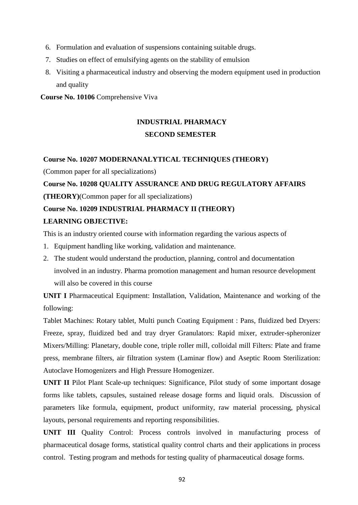- 6. Formulation and evaluation of suspensions containing suitable drugs.
- 7. Studies on effect of emulsifying agents on the stability of emulsion
- 8. Visiting a pharmaceutical industry and observing the modern equipment used in production and quality

**Course No. 10106** Comprehensive Viva

# **INDUSTRIAL PHARMACY SECOND SEMESTER**

#### **Course No. 10207 MODERNANALYTICAL TECHNIQUES (THEORY)**

(Common paper for all specializations)

**Course No. 10208 QUALITY ASSURANCE AND DRUG REGULATORY AFFAIRS** 

**(THEORY)**(Common paper for all specializations)

#### **Course No. 10209 INDUSTRIAL PHARMACY II (THEORY)**

#### **LEARNING OBJECTIVE:**

This is an industry oriented course with information regarding the various aspects of

- 1. Equipment handling like working, validation and maintenance.
- 2. The student would understand the production, planning, control and documentation involved in an industry. Pharma promotion management and human resource development will also be covered in this course

**UNIT I** Pharmaceutical Equipment: Installation, Validation, Maintenance and working of the following:

Tablet Machines: Rotary tablet, Multi punch Coating Equipment : Pans, fluidized bed Dryers: Freeze, spray, fluidized bed and tray dryer Granulators: Rapid mixer, extruder-spheronizer Mixers/Milling: Planetary, double cone, triple roller mill, colloidal mill Filters: Plate and frame press, membrane filters, air filtration system (Laminar flow) and Aseptic Room Sterilization: Autoclave Homogenizers and High Pressure Homogenizer.

**UNIT II** Pilot Plant Scale-up techniques: Significance, Pilot study of some important dosage forms like tablets, capsules, sustained release dosage forms and liquid orals. Discussion of parameters like formula, equipment, product uniformity, raw material processing, physical layouts, personal requirements and reporting responsibilities.

**UNIT III** Quality Control: Process controls involved in manufacturing process of pharmaceutical dosage forms, statistical quality control charts and their applications in process control. Testing program and methods for testing quality of pharmaceutical dosage forms.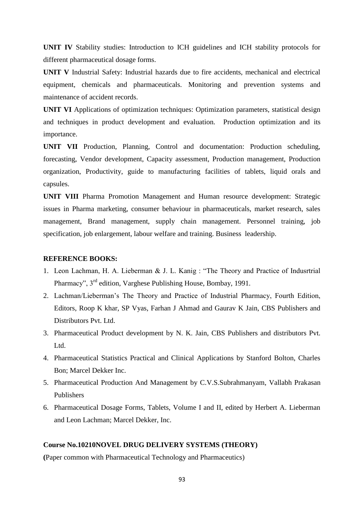**UNIT IV** Stability studies: Introduction to ICH guidelines and ICH stability protocols for different pharmaceutical dosage forms.

**UNIT V** Industrial Safety: Industrial hazards due to fire accidents, mechanical and electrical equipment, chemicals and pharmaceuticals. Monitoring and prevention systems and maintenance of accident records.

**UNIT VI** Applications of optimization techniques: Optimization parameters, statistical design and techniques in product development and evaluation. Production optimization and its importance.

**UNIT VII** Production, Planning, Control and documentation: Production scheduling, forecasting, Vendor development, Capacity assessment, Production management, Production organization, Productivity, guide to manufacturing facilities of tablets, liquid orals and capsules.

**UNIT VIII** Pharma Promotion Management and Human resource development: Strategic issues in Pharma marketing, consumer behaviour in pharmaceuticals, market research, sales management, Brand management, supply chain management. Personnel training, job specification, job enlargement, labour welfare and training. Business leadership.

#### **REFERENCE BOOKS:**

- 1. Leon Lachman, H. A. Lieberman & J. L. Kanig : "The Theory and Practice of Indusrtrial Pharmacy", 3rd edition, Varghese Publishing House, Bombay, 1991.
- 2. Lachman/Lieberman's The Theory and Practice of Industrial Pharmacy, Fourth Edition, Editors, Roop K khar, SP Vyas, Farhan J Ahmad and Gaurav K Jain, CBS Publishers and Distributors Pvt. Ltd.
- 3. Pharmaceutical Product development by N. K. Jain, CBS Publishers and distributors Pvt. Ltd.
- 4. Pharmaceutical Statistics Practical and Clinical Applications by Stanford Bolton, Charles Bon; Marcel Dekker Inc.
- 5. Pharmaceutical Production And Management by C.V.S.Subrahmanyam, Vallabh Prakasan Publishers
- 6. Pharmaceutical Dosage Forms, Tablets, Volume I and II, edited by Herbert A. Lieberman and Leon Lachman; Marcel Dekker, Inc.

#### **Course No.10210NOVEL DRUG DELIVERY SYSTEMS (THEORY)**

**(**Paper common with Pharmaceutical Technology and Pharmaceutics)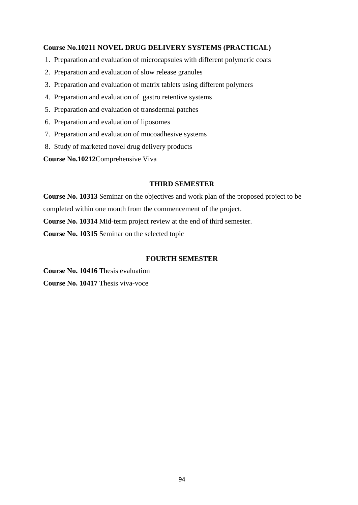#### **Course No.10211 NOVEL DRUG DELIVERY SYSTEMS (PRACTICAL)**

- 1. Preparation and evaluation of microcapsules with different polymeric coats
- 2. Preparation and evaluation of slow release granules
- 3. Preparation and evaluation of matrix tablets using different polymers
- 4. Preparation and evaluation of gastro retentive systems
- 5. Preparation and evaluation of transdermal patches
- 6. Preparation and evaluation of liposomes
- 7. Preparation and evaluation of mucoadhesive systems
- 8. Study of marketed novel drug delivery products

**Course No.10212**Comprehensive Viva

#### **THIRD SEMESTER**

**Course No. 10313** Seminar on the objectives and work plan of the proposed project to be completed within one month from the commencement of the project. **Course No. 10314** Mid-term project review at the end of third semester. **Course No. 10315** Seminar on the selected topic

#### **FOURTH SEMESTER**

**Course No. 10416** Thesis evaluation **Course No. 10417** Thesis viva-voce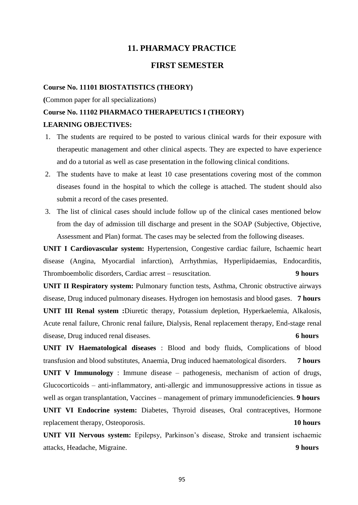#### **11. PHARMACY PRACTICE**

#### **FIRST SEMESTER**

#### **Course No. 11101 BIOSTATISTICS (THEORY)**

**(**Common paper for all specializations)

# **Course No. 11102 PHARMACO THERAPEUTICS I (THEORY) LEARNING OBJECTIVES:**

- 1. The students are required to be posted to various clinical wards for their exposure with therapeutic management and other clinical aspects. They are expected to have experience and do a tutorial as well as case presentation in the following clinical conditions.
- 2. The students have to make at least 10 case presentations covering most of the common diseases found in the hospital to which the college is attached. The student should also submit a record of the cases presented.
- 3. The list of clinical cases should include follow up of the clinical cases mentioned below from the day of admission till discharge and present in the SOAP (Subjective, Objective, Assessment and Plan) format. The cases may be selected from the following diseases.

**UNIT I Cardiovascular system:** Hypertension, Congestive cardiac failure, Ischaemic heart disease (Angina, Myocardial infarction), Arrhythmias, Hyperlipidaemias, Endocarditis, Thromboembolic disorders, Cardiac arrest – resuscitation. **9 hours**

**UNIT II Respiratory system:** Pulmonary function tests, Asthma, Chronic obstructive airways disease, Drug induced pulmonary diseases. Hydrogen ion hemostasis and blood gases. **7 hours**

**UNIT III Renal system :**Diuretic therapy, Potassium depletion, Hyperkaelemia, Alkalosis, Acute renal failure, Chronic renal failure, Dialysis, Renal replacement therapy, End-stage renal disease, Drug induced renal diseases. **6 hours**

**UNIT IV Haematological diseases** : Blood and body fluids, Complications of blood transfusion and blood substitutes, Anaemia, Drug induced haematological disorders. **7 hours**

**UNIT V Immunology** : Immune disease – pathogenesis, mechanism of action of drugs, Glucocorticoids – anti-inflammatory, anti-allergic and immunosuppressive actions in tissue as well as organ transplantation, Vaccines – management of primary immunodeficiencies. **9 hours UNIT VI Endocrine system:** Diabetes, Thyroid diseases, Oral contraceptives, Hormone replacement therapy, Osteoporosis. **10 hours**

**UNIT VII Nervous system:** Epilepsy, Parkinson's disease, Stroke and transient ischaemic attacks, Headache, Migraine. **9 hours**

95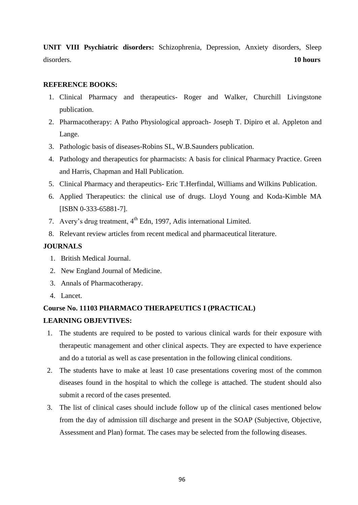**UNIT VIII Psychiatric disorders:** Schizophrenia, Depression, Anxiety disorders, Sleep disorders.**10 hours**

#### **REFERENCE BOOKS:**

- 1. Clinical Pharmacy and therapeutics- Roger and Walker, Churchill Livingstone publication.
- 2. Pharmacotherapy: A Patho Physiological approach- Joseph T. Dipiro et al. Appleton and Lange.
- 3. Pathologic basis of diseases-Robins SL, W.B.Saunders publication.
- 4. Pathology and therapeutics for pharmacists: A basis for clinical Pharmacy Practice. Green and Harris, Chapman and Hall Publication.
- 5. Clinical Pharmacy and therapeutics- Eric T.Herfindal, Williams and Wilkins Publication.
- 6. Applied Therapeutics: the clinical use of drugs. Lloyd Young and Koda-Kimble MA [ISBN 0-333-65881-7].
- 7. Avery's drug treatment, 4<sup>th</sup> Edn, 1997, Adis international Limited.
- 8. Relevant review articles from recent medical and pharmaceutical literature.

#### **JOURNALS**

- 1. British Medical Journal.
- 2. New England Journal of Medicine.
- 3. Annals of Pharmacotherapy.
- 4. Lancet.

#### **Course No. 11103 PHARMACO THERAPEUTICS I (PRACTICAL)**

#### **LEARNING OBJEVTIVES:**

- 1. The students are required to be posted to various clinical wards for their exposure with therapeutic management and other clinical aspects. They are expected to have experience and do a tutorial as well as case presentation in the following clinical conditions.
- 2. The students have to make at least 10 case presentations covering most of the common diseases found in the hospital to which the college is attached. The student should also submit a record of the cases presented.
- 3. The list of clinical cases should include follow up of the clinical cases mentioned below from the day of admission till discharge and present in the SOAP (Subjective, Objective, Assessment and Plan) format. The cases may be selected from the following diseases.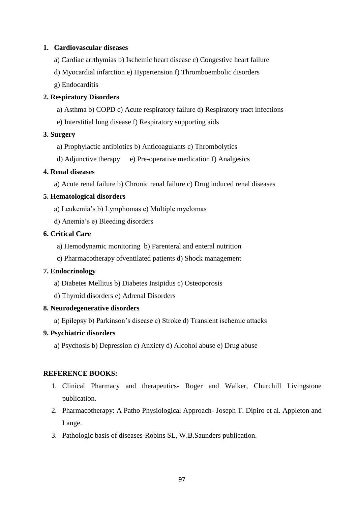#### **1. Cardiovascular diseases**

- a) Cardiac arrthymias b) Ischemic heart disease c) Congestive heart failure
- d) Myocardial infarction e) Hypertension f) Thromboembolic disorders
- g) Endocarditis

#### **2. Respiratory Disorders**

- a) Asthma b) COPD c) Acute respiratory failure d) Respiratory tract infections
- e) Interstitial lung disease f) Respiratory supporting aids

#### **3. Surgery**

- a) Prophylactic antibiotics b) Anticoagulants c) Thrombolytics
- d) Adjunctive therapy e) Pre-operative medication f) Analgesics

#### **4. Renal diseases**

a) Acute renal failure b) Chronic renal failure c) Drug induced renal diseases

#### **5. Hematological disorders**

- a) Leukemia's b) Lymphomas c) Multiple myelomas
- d) Anemia's e) Bleeding disorders

#### **6. Critical Care**

- a) Hemodynamic monitoring b) Parenteral and enteral nutrition
- c) Pharmacotherapy ofventilated patients d) Shock management

#### **7. Endocrinology**

- a) Diabetes Mellitus b) Diabetes Insipidus c) Osteoporosis
- d) Thyroid disorders e) Adrenal Disorders

#### **8. Neurodegenerative disorders**

a) Epilepsy b) Parkinson's disease c) Stroke d) Transient ischemic attacks

#### **9. Psychiatric disorders**

a) Psychosis b) Depression c) Anxiety d) Alcohol abuse e) Drug abuse

#### **REFERENCE BOOKS:**

- 1. Clinical Pharmacy and therapeutics- Roger and Walker, Churchill Livingstone publication.
- 2. Pharmacotherapy: A Patho Physiological Approach- Joseph T. Dipiro et al. Appleton and Lange.
- 3. Pathologic basis of diseases-Robins SL, W.B.Saunders publication.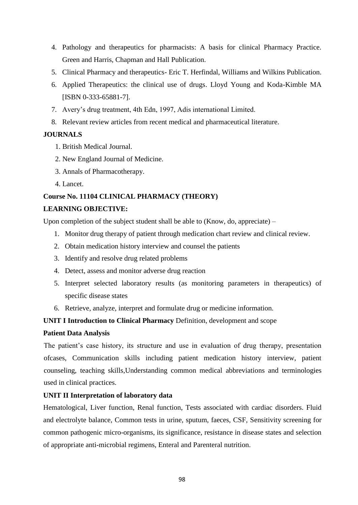- 4. Pathology and therapeutics for pharmacists: A basis for clinical Pharmacy Practice. Green and Harris, Chapman and Hall Publication.
- 5. Clinical Pharmacy and therapeutics- Eric T. Herfindal, Williams and Wilkins Publication.
- 6. Applied Therapeutics: the clinical use of drugs. Lloyd Young and Koda-Kimble MA [ISBN 0-333-65881-7].
- 7. Avery's drug treatment, 4th Edn, 1997, Adis international Limited.
- 8. Relevant review articles from recent medical and pharmaceutical literature.

#### **JOURNALS**

- 1. British Medical Journal.
- 2. New England Journal of Medicine.
- 3. Annals of Pharmacotherapy.
- 4. Lancet.

#### **Course No. 11104 CLINICAL PHARMACY (THEORY)**

#### **LEARNING OBJECTIVE:**

Upon completion of the subject student shall be able to (Know, do, appreciate) –

- 1. Monitor drug therapy of patient through medication chart review and clinical review.
- 2. Obtain medication history interview and counsel the patients
- 3. Identify and resolve drug related problems
- 4. Detect, assess and monitor adverse drug reaction
- 5. Interpret selected laboratory results (as monitoring parameters in therapeutics) of specific disease states
- 6. Retrieve, analyze, interpret and formulate drug or medicine information.

#### **UNIT I Introduction to Clinical Pharmacy** Definition, development and scope

#### **Patient Data Analysis**

The patient's case history, its structure and use in evaluation of drug therapy, presentation ofcases, Communication skills including patient medication history interview, patient counseling, teaching skills,Understanding common medical abbreviations and terminologies used in clinical practices.

#### **UNIT II Interpretation of laboratory data**

Hematological, Liver function, Renal function, Tests associated with cardiac disorders. Fluid and electrolyte balance, Common tests in urine, sputum, faeces, CSF, Sensitivity screening for common pathogenic micro-organisms, its significance, resistance in disease states and selection of appropriate anti-microbial regimens, Enteral and Parenteral nutrition.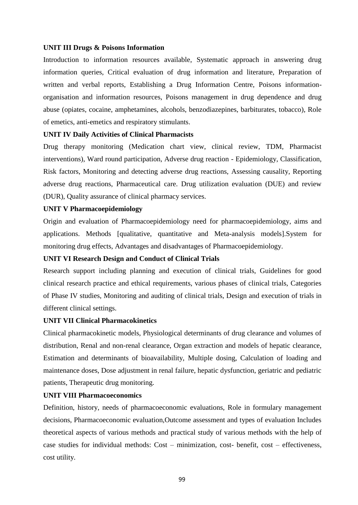#### **UNIT III Drugs & Poisons Information**

Introduction to information resources available, Systematic approach in answering drug information queries, Critical evaluation of drug information and literature, Preparation of written and verbal reports, Establishing a Drug Information Centre, Poisons informationorganisation and information resources, Poisons management in drug dependence and drug abuse (opiates, cocaine, amphetamines, alcohols, benzodiazepines, barbiturates, tobacco), Role of emetics, anti-emetics and respiratory stimulants.

#### **UNIT IV Daily Activities of Clinical Pharmacists**

Drug therapy monitoring (Medication chart view, clinical review, TDM, Pharmacist interventions), Ward round participation, Adverse drug reaction - Epidemiology, Classification, Risk factors, Monitoring and detecting adverse drug reactions, Assessing causality, Reporting adverse drug reactions, Pharmaceutical care. Drug utilization evaluation (DUE) and review (DUR), Quality assurance of clinical pharmacy services.

#### **UNIT V Pharmacoepidemiology**

Origin and evaluation of Pharmacoepidemiology need for pharmacoepidemiology, aims and applications. Methods [qualitative, quantitative and Meta-analysis models].System for monitoring drug effects, Advantages and disadvantages of Pharmacoepidemiology.

#### **UNIT VI Research Design and Conduct of Clinical Trials**

Research support including planning and execution of clinical trials, Guidelines for good clinical research practice and ethical requirements, various phases of clinical trials, Categories of Phase IV studies, Monitoring and auditing of clinical trials, Design and execution of trials in different clinical settings.

#### **UNIT VII Clinical Pharmacokinetics**

Clinical pharmacokinetic models, Physiological determinants of drug clearance and volumes of distribution, Renal and non-renal clearance, Organ extraction and models of hepatic clearance, Estimation and determinants of bioavailability, Multiple dosing, Calculation of loading and maintenance doses, Dose adjustment in renal failure, hepatic dysfunction, geriatric and pediatric patients, Therapeutic drug monitoring.

#### **UNIT VIII Pharmacoeconomics**

Definition, history, needs of pharmacoeconomic evaluations, Role in formulary management decisions, Pharmacoeconomic evaluation,Outcome assessment and types of evaluation Includes theoretical aspects of various methods and practical study of various methods with the help of case studies for individual methods: Cost – minimization, cost- benefit, cost – effectiveness, cost utility.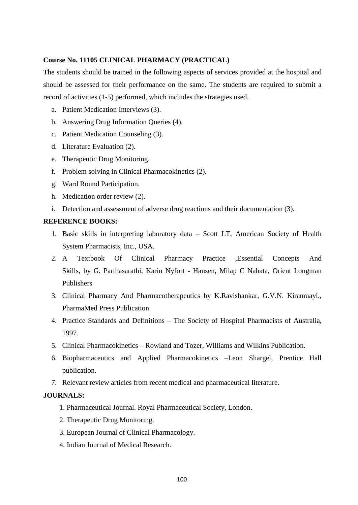#### **Course No. 11105 CLINICAL PHARMACY (PRACTICAL)**

The students should be trained in the following aspects of services provided at the hospital and should be assessed for their performance on the same. The students are required to submit a record of activities (1-5) performed, which includes the strategies used.

- a. Patient Medication Interviews (3).
- b. Answering Drug Information Queries (4).
- c. Patient Medication Counseling (3).
- d. Literature Evaluation (2).
- e. Therapeutic Drug Monitoring.
- f. Problem solving in Clinical Pharmacokinetics (2).
- g. Ward Round Participation.
- h. Medication order review (2).
- i. Detection and assessment of adverse drug reactions and their documentation (3).

#### **REFERENCE BOOKS:**

- 1. Basic skills in interpreting laboratory data Scott LT, American Society of Health System Pharmacists, Inc., USA.
- 2. A Textbook Of Clinical Pharmacy Practice ,Essential Concepts And Skills, by G. Parthasarathi, Karin Nyfort - Hansen, Milap C Nahata, Orient Longman Publishers
- 3. Clinical Pharmacy And Pharmacotherapeutics by K.Ravishankar, G.V.N. Kiranmayi., PharmaMed Press Publication
- 4. Practice Standards and Definitions The Society of Hospital Pharmacists of Australia, 1997.
- 5. Clinical Pharmacokinetics Rowland and Tozer, Williams and Wilkins Publication.
- 6. Biopharmaceutics and Applied Pharmacokinetics –Leon Shargel, Prentice Hall publication.
- 7. Relevant review articles from recent medical and pharmaceutical literature.

#### **JOURNALS:**

- 1. Pharmaceutical Journal. Royal Pharmaceutical Society, London.
- 2. Therapeutic Drug Monitoring.
- 3. European Journal of Clinical Pharmacology.
- 4. Indian Journal of Medical Research.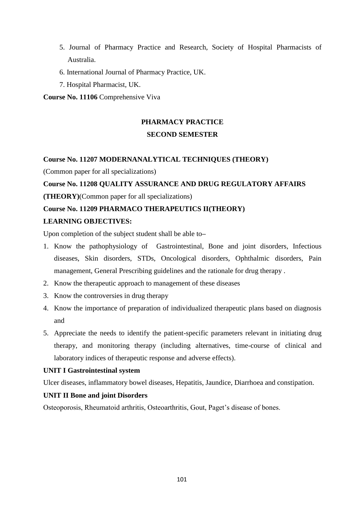- 5. Journal of Pharmacy Practice and Research, Society of Hospital Pharmacists of Australia.
- 6. International Journal of Pharmacy Practice, UK.
- 7. Hospital Pharmacist, UK.

#### **Course No. 11106** Comprehensive Viva

# **PHARMACY PRACTICE SECOND SEMESTER**

#### **Course No. 11207 MODERNANALYTICAL TECHNIQUES (THEORY)**

(Common paper for all specializations)

#### **Course No. 11208 QUALITY ASSURANCE AND DRUG REGULATORY AFFAIRS**

**(THEORY)**(Common paper for all specializations)

#### **Course No. 11209 PHARMACO THERAPEUTICS II(THEORY)**

#### **LEARNING OBJECTIVES:**

Upon completion of the subject student shall be able to**–**

- 1. Know the pathophysiology of Gastrointestinal, Bone and joint disorders, Infectious diseases, Skin disorders, STDs, Oncological disorders, Ophthalmic disorders, Pain management, General Prescribing guidelines and the rationale for drug therapy .
- 2. Know the therapeutic approach to management of these diseases
- 3. Know the controversies in drug therapy
- 4. Know the importance of preparation of individualized therapeutic plans based on diagnosis and
- 5. Appreciate the needs to identify the patient-specific parameters relevant in initiating drug therapy, and monitoring therapy (including alternatives, time-course of clinical and laboratory indices of therapeutic response and adverse effects).

#### **UNIT I Gastrointestinal system**

Ulcer diseases, inflammatory bowel diseases, Hepatitis, Jaundice, Diarrhoea and constipation.

#### **UNIT II Bone and joint Disorders**

Osteoporosis, Rheumatoid arthritis, Osteoarthritis, Gout, Paget's disease of bones.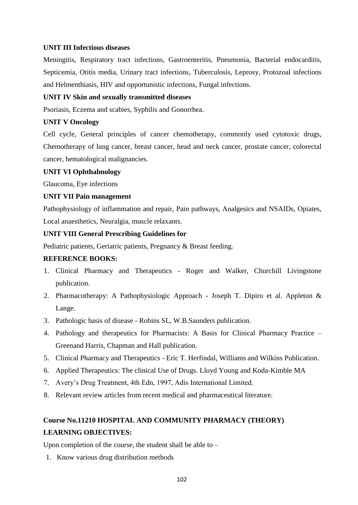#### **UNIT III Infectious diseases**

Meningitis, Respiratory tract infections, Gastroenteritis, Pneumonia, Bacterial endocarditis, Septicemia, Otitis media, Urinary tract infections, Tuberculosis, Leprosy, Protozoal infections and Helmenthiasis, HIV and opportunistic infections, Fungal infections.

#### **UNIT IV Skin and sexually transmitted diseases**

Psoriasis, Eczema and scabies, Syphilis and Gonorrhea.

#### **UNIT V Oncology**

Cell cycle, General principles of cancer chemotherapy, commonly used cytotoxic drugs, Chemotherapy of lung cancer, breast cancer, head and neck cancer, prostate cancer, colorectal cancer, hematological malignancies.

#### **UNIT VI Ophthalmology**

Glaucoma, Eye infections

#### **UNIT VII Pain management**

Pathophysiology of inflammation and repair, Pain pathways, Analgesics and NSAIDs, Opiates, Local anaesthetics, Neuralgia, muscle relaxants.

#### **UNIT VIII General Prescribing Guidelines for**

Pediatric patients, Geriatric patients, Pregnancy & Breast feeding.

#### **REFERENCE BOOKS:**

- 1. Clinical Pharmacy and Therapeutics Roger and Walker, Churchill Livingstone publication.
- 2. Pharmacotherapy: A Pathophysiologic Approach Joseph T. Dipiro et al. Appleton & Lange.
- 3. Pathologic basis of disease Robins SL, W.B.Saunders publication.
- 4. Pathology and therapeutics for Pharmacists: A Basis for Clinical Pharmacy Practice Greenand Harris, Chapman and Hall publication.
- 5. Clinical Pharmacy and Therapeutics Eric T. Herfindal, Williams and Wilkins Publication.
- 6. Applied Therapeutics: The clinical Use of Drugs. Lloyd Young and Koda-Kimble MA
- 7. Avery's Drug Treatment, 4th Edn, 1997, Adis International Limited.
- 8. Relevant review articles from recent medical and pharmaceutical literature.

# **Course No.11210 HOSPITAL AND COMMUNITY PHARMACY (THEORY) LEARNING OBJECTIVES:**

Upon completion of the course, the student shall be able to –

1. Know various drug distribution methods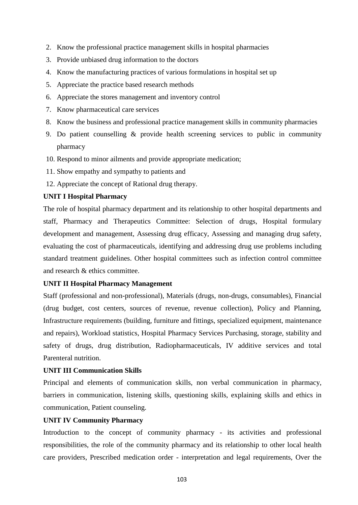- 2. Know the professional practice management skills in hospital pharmacies
- 3. Provide unbiased drug information to the doctors
- 4. Know the manufacturing practices of various formulations in hospital set up
- 5. Appreciate the practice based research methods
- 6. Appreciate the stores management and inventory control
- 7. Know pharmaceutical care services
- 8. Know the business and professional practice management skills in community pharmacies
- 9. Do patient counselling & provide health screening services to public in community pharmacy
- 10. Respond to minor ailments and provide appropriate medication;
- 11. Show empathy and sympathy to patients and
- 12. Appreciate the concept of Rational drug therapy.

#### **UNIT I Hospital Pharmacy**

The role of hospital pharmacy department and its relationship to other hospital departments and staff, Pharmacy and Therapeutics Committee: Selection of drugs, Hospital formulary development and management, Assessing drug efficacy, Assessing and managing drug safety, evaluating the cost of pharmaceuticals, identifying and addressing drug use problems including standard treatment guidelines. Other hospital committees such as infection control committee and research & ethics committee.

#### **UNIT II Hospital Pharmacy Management**

Staff (professional and non-professional), Materials (drugs, non-drugs, consumables), Financial (drug budget, cost centers, sources of revenue, revenue collection), Policy and Planning, Infrastructure requirements (building, furniture and fittings, specialized equipment, maintenance and repairs), Workload statistics, Hospital Pharmacy Services Purchasing, storage, stability and safety of drugs, drug distribution, Radiopharmaceuticals, IV additive services and total Parenteral nutrition.

#### **UNIT III Communication Skills**

Principal and elements of communication skills, non verbal communication in pharmacy, barriers in communication, listening skills, questioning skills, explaining skills and ethics in communication, Patient counseling.

#### **UNIT IV Community Pharmacy**

Introduction to the concept of community pharmacy - its activities and professional responsibilities, the role of the community pharmacy and its relationship to other local health care providers, Prescribed medication order - interpretation and legal requirements, Over the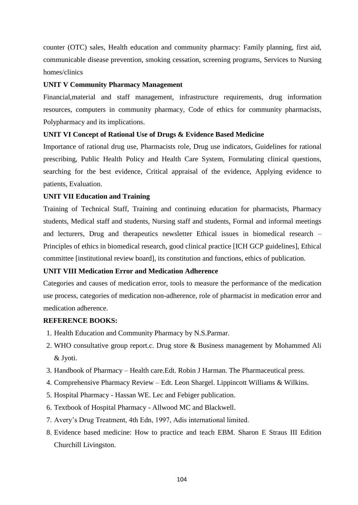counter (OTC) sales, Health education and community pharmacy: Family planning, first aid, communicable disease prevention, smoking cessation, screening programs, Services to Nursing homes/clinics

#### **UNIT V Community Pharmacy Management**

Financial,material and staff management, infrastructure requirements, drug information resources, computers in community pharmacy, Code of ethics for community pharmacists, Polypharmacy and its implications.

#### **UNIT VI Concept of Rational Use of Drugs & Evidence Based Medicine**

Importance of rational drug use, Pharmacists role, Drug use indicators, Guidelines for rational prescribing, Public Health Policy and Health Care System, Formulating clinical questions, searching for the best evidence, Critical appraisal of the evidence, Applying evidence to patients, Evaluation.

#### **UNIT VII Education and Training**

Training of Technical Staff, Training and continuing education for pharmacists, Pharmacy students, Medical staff and students, Nursing staff and students, Formal and informal meetings and lecturers, Drug and therapeutics newsletter Ethical issues in biomedical research – Principles of ethics in biomedical research, good clinical practice [ICH GCP guidelines], Ethical committee [institutional review board], its constitution and functions, ethics of publication.

#### **UNIT VIII Medication Error and Medication Adherence**

Categories and causes of medication error, tools to measure the performance of the medication use process, categories of medication non-adherence, role of pharmacist in medication error and medication adherence.

#### **REFERENCE BOOKS:**

- 1. Health Education and Community Pharmacy by N.S.Parmar.
- 2. WHO consultative group report.c. Drug store & Business management by Mohammed Ali & Jyoti.
- 3. Handbook of Pharmacy Health care.Edt. Robin J Harman. The Pharmaceutical press.
- 4. Comprehensive Pharmacy Review Edt. Leon Shargel. Lippincott Williams & Wilkins.
- 5. Hospital Pharmacy Hassan WE. Lec and Febiger publication.
- 6. Textbook of Hospital Pharmacy Allwood MC and Blackwell.
- 7. Avery's Drug Treatment, 4th Edn, 1997, Adis international limited.
- 8. Evidence based medicine: How to practice and teach EBM. Sharon E Straus III Edition Churchill Livingston.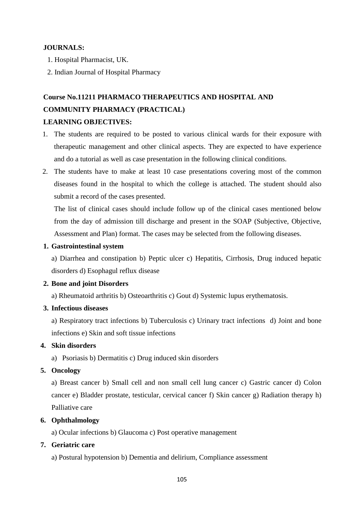#### **JOURNALS:**

- 1. Hospital Pharmacist, UK.
- 2. Indian Journal of Hospital Pharmacy

# **Course No.11211 PHARMACO THERAPEUTICS AND HOSPITAL AND COMMUNITY PHARMACY (PRACTICAL)**

#### **LEARNING OBJECTIVES:**

- 1. The students are required to be posted to various clinical wards for their exposure with therapeutic management and other clinical aspects. They are expected to have experience and do a tutorial as well as case presentation in the following clinical conditions.
- 2. The students have to make at least 10 case presentations covering most of the common diseases found in the hospital to which the college is attached. The student should also submit a record of the cases presented.

The list of clinical cases should include follow up of the clinical cases mentioned below from the day of admission till discharge and present in the SOAP (Subjective, Objective, Assessment and Plan) format. The cases may be selected from the following diseases.

#### **1. Gastrointestinal system**

a) Diarrhea and constipation b) Peptic ulcer c) Hepatitis, Cirrhosis, Drug induced hepatic disorders d) Esophagul reflux disease

#### **2. Bone and joint Disorders**

a) Rheumatoid arthritis b) Osteoarthritis c) Gout d) Systemic lupus erythematosis.

#### **3. Infectious diseases**

a) Respiratory tract infections b) Tuberculosis c) Urinary tract infections d) Joint and bone infections e) Skin and soft tissue infections

#### **4. Skin disorders**

a) Psoriasis b) Dermatitis c) Drug induced skin disorders

#### **5. Oncology**

a) Breast cancer b) Small cell and non small cell lung cancer c) Gastric cancer d) Colon cancer e) Bladder prostate, testicular, cervical cancer f) Skin cancer g) Radiation therapy h) Palliative care

#### **6. Ophthalmology**

a) Ocular infections b) Glaucoma c) Post operative management

#### **7. Geriatric care**

a) Postural hypotension b) Dementia and delirium, Compliance assessment